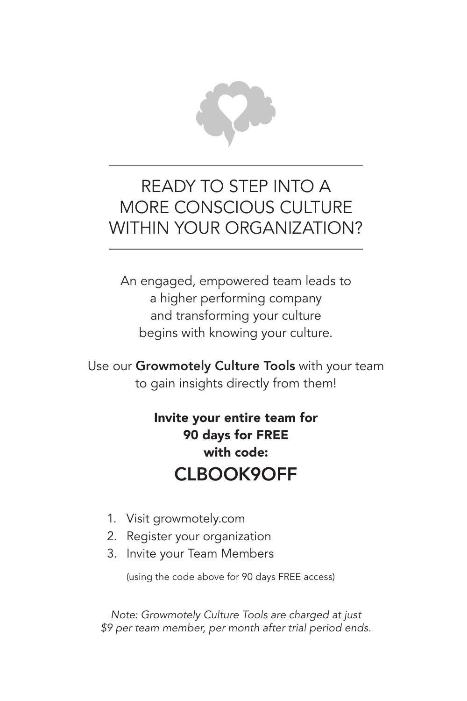

# READY TO STEP INTO A MORE CONSCIOUS CULTURE WITHIN YOUR ORGANIZATION?

An engaged, empowered team leads to a higher performing company and transforming your culture begins with knowing your culture.

Use our Growmotely Culture Tools with your team to gain insights directly from them!

## Invite your entire team for 90 days for FREE with code: CLBOOK9OFF

- 1. Visit growmotely.com
- 2. Register your organization
- 3. Invite your Team Members

(using the code above for 90 days FREE access)

*Note: Growmotely Culture Tools are charged at just \$9 per team member, per month after trial period ends.*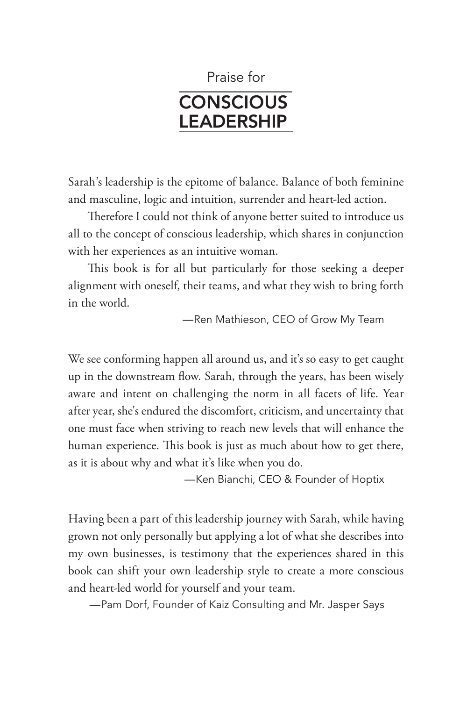# Praise for **CONSCIOUS** LEADERSHIP

Sarah's leadership is the epitome of balance. Balance of both feminine and masculine, logic and intuition, surrender and heart-led action.

Therefore I could not think of anyone better suited to introduce us all to the concept of conscious leadership, which shares in conjunction with her experiences as an intuitive woman.

This book is for all but particularly for those seeking a deeper alignment with oneself, their teams, and what they wish to bring forth in the world.

—Ren Mathieson, CEO of Grow My Team

We see conforming happen all around us, and it's so easy to get caught up in the downstream flow. Sarah, through the years, has been wisely aware and intent on challenging the norm in all facets of life. Year after year, she's endured the discomfort, criticism, and uncertainty that one must face when striving to reach new levels that will enhance the human experience. This book is just as much about how to get there, as it is about why and what it's like when you do.

—Ken Bianchi, CEO & Founder of Hoptix

Having been a part of this leadership journey with Sarah, while having grown not only personally but applying a lot of what she describes into my own businesses, is testimony that the experiences shared in this book can shift your own leadership style to create a more conscious and heart-led world for yourself and your team.

—Pam Dorf, Founder of Kaiz Consulting and Mr. Jasper Says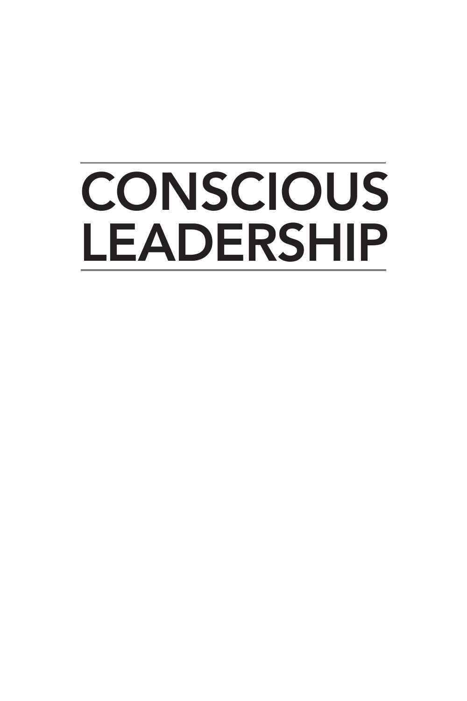# **CONSCIOUS** LEADERSHIP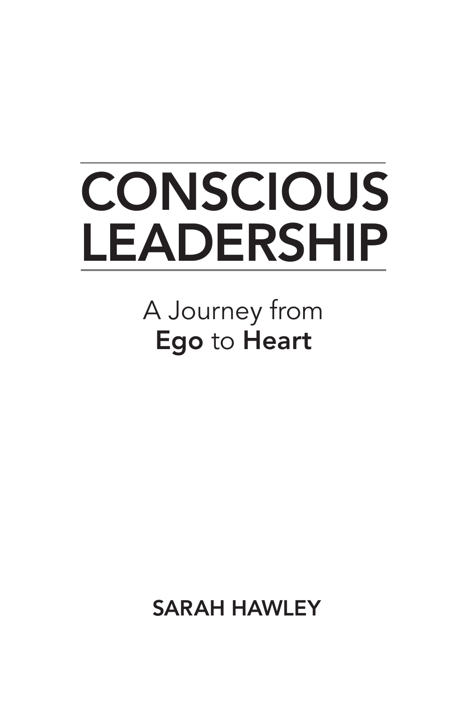# **CONSCIOUS** LEADERSHIP

A Journey from Ego to Heart

SARAH HAWLEY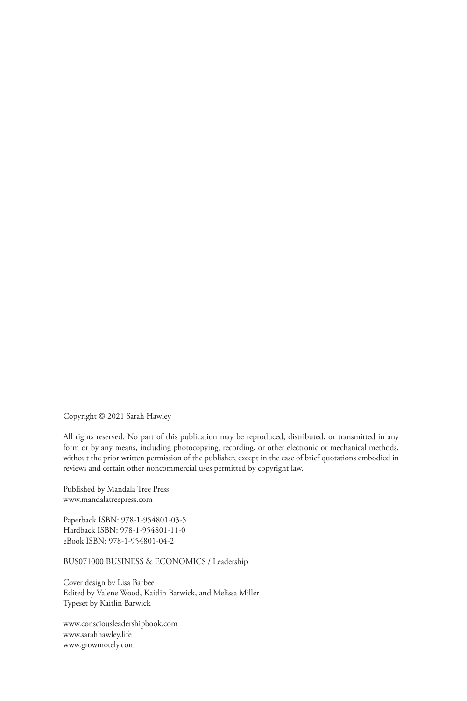Copyright © 2021 Sarah Hawley

All rights reserved. No part of this publication may be reproduced, distributed, or transmitted in any form or by any means, including photocopying, recording, or other electronic or mechanical methods, without the prior written permission of the publisher, except in the case of brief quotations embodied in reviews and certain other noncommercial uses permitted by copyright law.

Published by Mandala Tree Press www.mandalatreepress.com

Paperback ISBN: 978-1-954801-03-5 Hardback ISBN: 978-1-954801-11-0 eBook ISBN: 978-1-954801-04-2

BUS071000 BUSINESS & ECONOMICS / Leadership

Cover design by Lisa Barbee Edited by Valene Wood, Kaitlin Barwick, and Melissa Miller Typeset by Kaitlin Barwick

www.consciousleadershipbook.com www.sarahhawley.life www.growmotely.com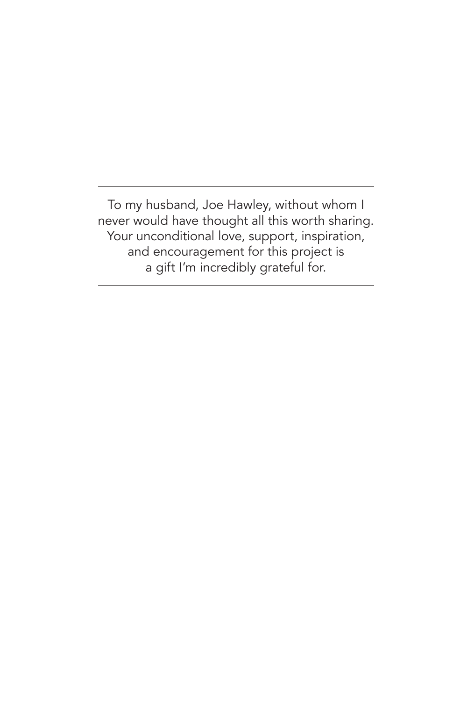To my husband, Joe Hawley, without whom I never would have thought all this worth sharing. Your unconditional love, support, inspiration, and encouragement for this project is a gift I'm incredibly grateful for.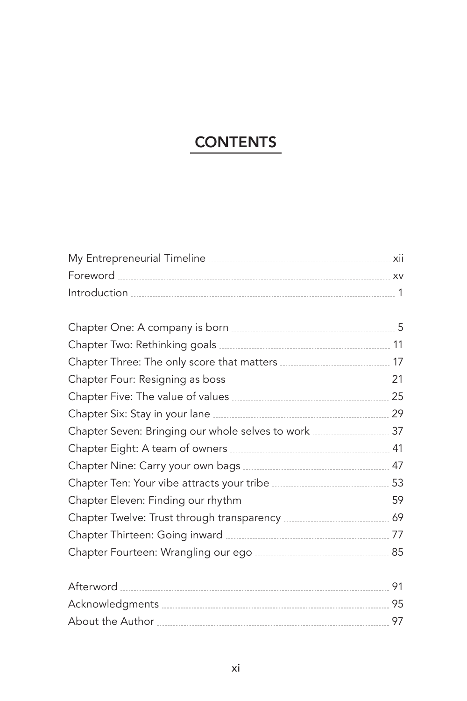# **CONTENTS**

|                                                  | xii |
|--------------------------------------------------|-----|
| Foreword                                         | XV  |
|                                                  | -1  |
|                                                  | 5   |
|                                                  | 11  |
|                                                  | 17  |
| Chapter Four: Resigning as boss.                 | 21  |
|                                                  | 25  |
|                                                  | 29  |
| Chapter Seven: Bringing our whole selves to work | 37  |
|                                                  | 41  |
|                                                  | 47  |
|                                                  | 53  |
|                                                  | 59  |
|                                                  | 69  |
| Chapter Thirteen: Going inward                   | 77  |
|                                                  | 85  |

| Afterword         |     |
|-------------------|-----|
| Acknowledgments   | 95. |
| About the Author. |     |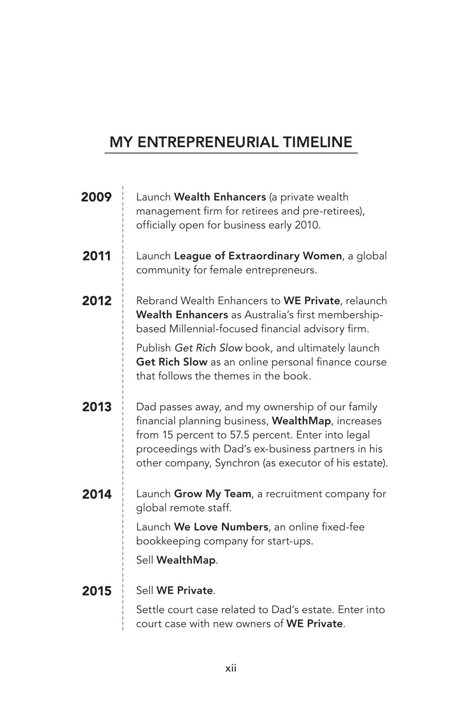## MY ENTREPRENEURIAL TIMELINE

| 2009 | Launch Wealth Enhancers (a private wealth<br>management firm for retirees and pre-retirees),<br>officially open for business early 2010.                                                                                                                                                                      |
|------|---------------------------------------------------------------------------------------------------------------------------------------------------------------------------------------------------------------------------------------------------------------------------------------------------------------|
| 2011 | Launch League of Extraordinary Women, a global<br>community for female entrepreneurs.                                                                                                                                                                                                                         |
| 2012 | Rebrand Wealth Enhancers to WE Private, relaunch<br>Wealth Enhancers as Australia's first membership-<br>based Millennial-focused financial advisory firm.<br>Publish Get Rich Slow book, and ultimately launch<br>Get Rich Slow as an online personal finance course<br>that follows the themes in the book. |
| 2013 | Dad passes away, and my ownership of our family<br>financial planning business, WealthMap, increases<br>from 15 percent to 57.5 percent. Enter into legal<br>proceedings with Dad's ex-business partners in his<br>other company, Synchron (as executor of his estate).                                       |
| 2014 | Launch Grow My Team, a recruitment company for<br>global remote staff.<br>Launch We Love Numbers, an online fixed-fee<br>bookkeeping company for start-ups.<br>Sell WealthMap.                                                                                                                                |
| 2015 | Sell WE Private.<br>Settle court case related to Dad's estate. Enter into<br>court case with new owners of WE Private.                                                                                                                                                                                        |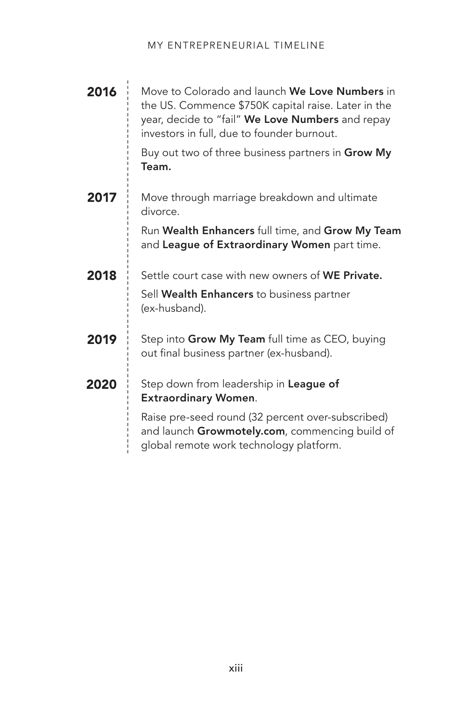2016 **Move to Colorado and launch We Love Numbers** in the US. Commence \$750K capital raise. Later in the year, decide to "fail" We Love Numbers and repay investors in full, due to founder burnout. Buy out two of three business partners in Grow My Team. **2017** Nove through marriage breakdown and ultimate divorce. Run Wealth Enhancers full time, and Grow My Team and League of Extraordinary Women part time. 2018  $\pm$  Settle court case with new owners of WE Private. Sell Wealth Enhancers to business partner (ex-husband). **2019**  $\vdash$  Step into Grow My Team full time as CEO, buying out final business partner (ex-husband). **2020**  $\vdash$  Step down from leadership in League of Extraordinary Women. Raise pre-seed round (32 percent over-subscribed) and launch Growmotely.com, commencing build of global remote work technology platform.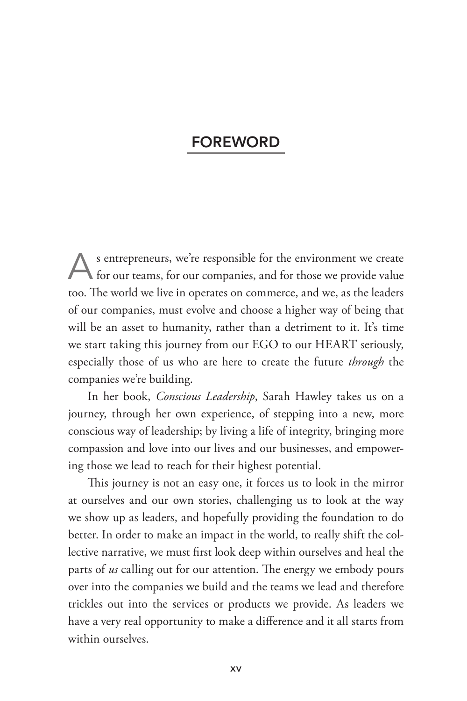#### FOREWORD

As entrepreneurs, we're responsible for the environment we create for our teams, for our companies, and for those we provide value too. The world we live in operates on commerce, and we, as the leaders of our companies, must evolve and choose a higher way of being that will be an asset to humanity, rather than a detriment to it. It's time we start taking this journey from our EGO to our HEART seriously, especially those of us who are here to create the future *through* the companies we're building.

In her book, *Conscious Leadership*, Sarah Hawley takes us on a journey, through her own experience, of stepping into a new, more conscious way of leadership; by living a life of integrity, bringing more compassion and love into our lives and our businesses, and empowering those we lead to reach for their highest potential.

This journey is not an easy one, it forces us to look in the mirror at ourselves and our own stories, challenging us to look at the way we show up as leaders, and hopefully providing the foundation to do better. In order to make an impact in the world, to really shift the collective narrative, we must first look deep within ourselves and heal the parts of *us* calling out for our attention. The energy we embody pours over into the companies we build and the teams we lead and therefore trickles out into the services or products we provide. As leaders we have a very real opportunity to make a difference and it all starts from within ourselves.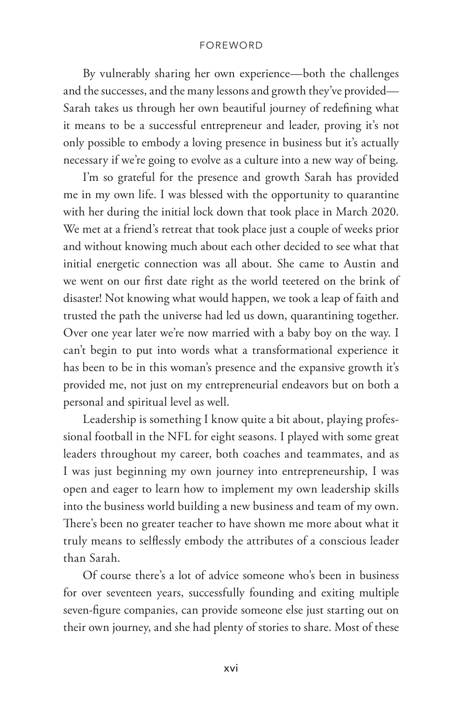#### FOREWORD

By vulnerably sharing her own experience—both the challenges and the successes, and the many lessons and growth they've provided— Sarah takes us through her own beautiful journey of redefining what it means to be a successful entrepreneur and leader, proving it's not only possible to embody a loving presence in business but it's actually necessary if we're going to evolve as a culture into a new way of being.

I'm so grateful for the presence and growth Sarah has provided me in my own life. I was blessed with the opportunity to quarantine with her during the initial lock down that took place in March 2020. We met at a friend's retreat that took place just a couple of weeks prior and without knowing much about each other decided to see what that initial energetic connection was all about. She came to Austin and we went on our first date right as the world teetered on the brink of disaster! Not knowing what would happen, we took a leap of faith and trusted the path the universe had led us down, quarantining together. Over one year later we're now married with a baby boy on the way. I can't begin to put into words what a transformational experience it has been to be in this woman's presence and the expansive growth it's provided me, not just on my entrepreneurial endeavors but on both a personal and spiritual level as well.

Leadership is something I know quite a bit about, playing professional football in the NFL for eight seasons. I played with some great leaders throughout my career, both coaches and teammates, and as I was just beginning my own journey into entrepreneurship, I was open and eager to learn how to implement my own leadership skills into the business world building a new business and team of my own. There's been no greater teacher to have shown me more about what it truly means to selflessly embody the attributes of a conscious leader than Sarah.

Of course there's a lot of advice someone who's been in business for over seventeen years, successfully founding and exiting multiple seven-figure companies, can provide someone else just starting out on their own journey, and she had plenty of stories to share. Most of these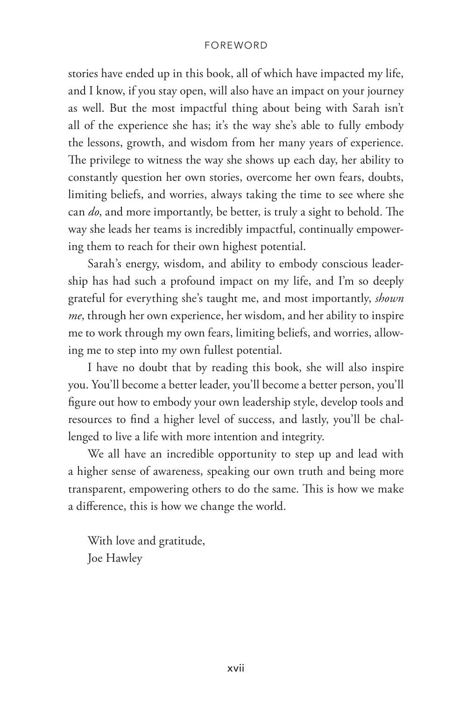#### FOREWORD

stories have ended up in this book, all of which have impacted my life, and I know, if you stay open, will also have an impact on your journey as well. But the most impactful thing about being with Sarah isn't all of the experience she has; it's the way she's able to fully embody the lessons, growth, and wisdom from her many years of experience. The privilege to witness the way she shows up each day, her ability to constantly question her own stories, overcome her own fears, doubts, limiting beliefs, and worries, always taking the time to see where she can *do*, and more importantly, be better, is truly a sight to behold. The way she leads her teams is incredibly impactful, continually empowering them to reach for their own highest potential.

Sarah's energy, wisdom, and ability to embody conscious leadership has had such a profound impact on my life, and I'm so deeply grateful for everything she's taught me, and most importantly, *shown me*, through her own experience, her wisdom, and her ability to inspire me to work through my own fears, limiting beliefs, and worries, allowing me to step into my own fullest potential.

I have no doubt that by reading this book, she will also inspire you. You'll become a better leader, you'll become a better person, you'll figure out how to embody your own leadership style, develop tools and resources to find a higher level of success, and lastly, you'll be challenged to live a life with more intention and integrity.

We all have an incredible opportunity to step up and lead with a higher sense of awareness, speaking our own truth and being more transparent, empowering others to do the same. This is how we make a difference, this is how we change the world.

With love and gratitude, Joe Hawley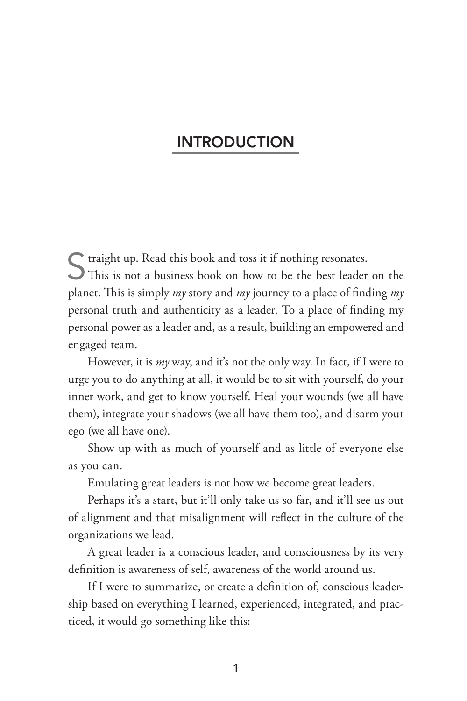### INTRODUCTION

Straight up. Read this book and toss it if nothing resonates.<br>This is not a business book on how to be the best leader on the planet. This is simply *my* story and *my* journey to a place of finding *my* personal truth and authenticity as a leader. To a place of finding my personal power as a leader and, as a result, building an empowered and engaged team.

However, it is *my* way, and it's not the only way. In fact, if I were to urge you to do anything at all, it would be to sit with yourself, do your inner work, and get to know yourself. Heal your wounds (we all have them), integrate your shadows (we all have them too), and disarm your ego (we all have one).

Show up with as much of yourself and as little of everyone else as you can.

Emulating great leaders is not how we become great leaders.

Perhaps it's a start, but it'll only take us so far, and it'll see us out of alignment and that misalignment will reflect in the culture of the organizations we lead.

A great leader is a conscious leader, and consciousness by its very definition is awareness of self, awareness of the world around us.

If I were to summarize, or create a definition of, conscious leadership based on everything I learned, experienced, integrated, and practiced, it would go something like this: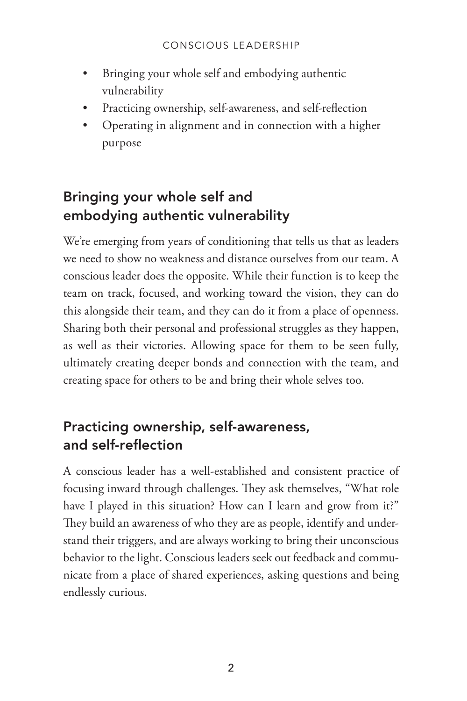- Bringing your whole self and embodying authentic vulnerability
- Practicing ownership, self-awareness, and self-reflection
- Operating in alignment and in connection with a higher purpose

## Bringing your whole self and embodying authentic vulnerability

We're emerging from years of conditioning that tells us that as leaders we need to show no weakness and distance ourselves from our team. A conscious leader does the opposite. While their function is to keep the team on track, focused, and working toward the vision, they can do this alongside their team, and they can do it from a place of openness. Sharing both their personal and professional struggles as they happen, as well as their victories. Allowing space for them to be seen fully, ultimately creating deeper bonds and connection with the team, and creating space for others to be and bring their whole selves too.

### Practicing ownership, self-awareness, and self-reflection

A conscious leader has a well-established and consistent practice of focusing inward through challenges. They ask themselves, "What role have I played in this situation? How can I learn and grow from it?" They build an awareness of who they are as people, identify and understand their triggers, and are always working to bring their unconscious behavior to the light. Conscious leaders seek out feedback and communicate from a place of shared experiences, asking questions and being endlessly curious.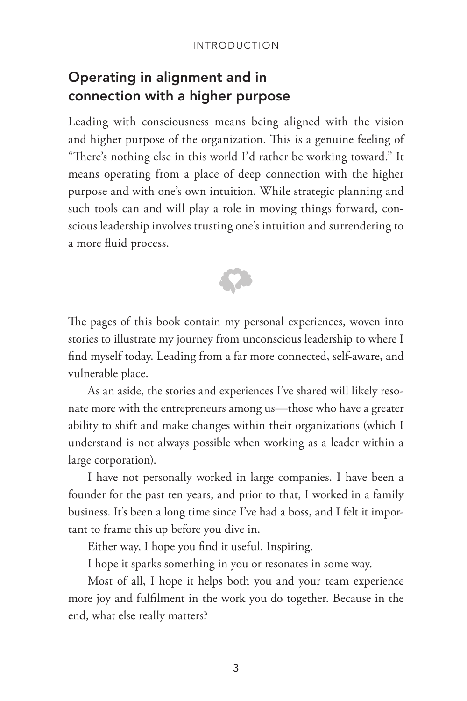## Operating in alignment and in connection with a higher purpose

Leading with consciousness means being aligned with the vision and higher purpose of the organization. This is a genuine feeling of "There's nothing else in this world I'd rather be working toward." It means operating from a place of deep connection with the higher purpose and with one's own intuition. While strategic planning and such tools can and will play a role in moving things forward, conscious leadership involves trusting one's intuition and surrendering to a more fluid process.



The pages of this book contain my personal experiences, woven into stories to illustrate my journey from unconscious leadership to where I find myself today. Leading from a far more connected, self-aware, and vulnerable place.

As an aside, the stories and experiences I've shared will likely resonate more with the entrepreneurs among us—those who have a greater ability to shift and make changes within their organizations (which I understand is not always possible when working as a leader within a large corporation).

I have not personally worked in large companies. I have been a founder for the past ten years, and prior to that, I worked in a family business. It's been a long time since I've had a boss, and I felt it important to frame this up before you dive in.

Either way, I hope you find it useful. Inspiring.

I hope it sparks something in you or resonates in some way.

Most of all, I hope it helps both you and your team experience more joy and fulfilment in the work you do together. Because in the end, what else really matters?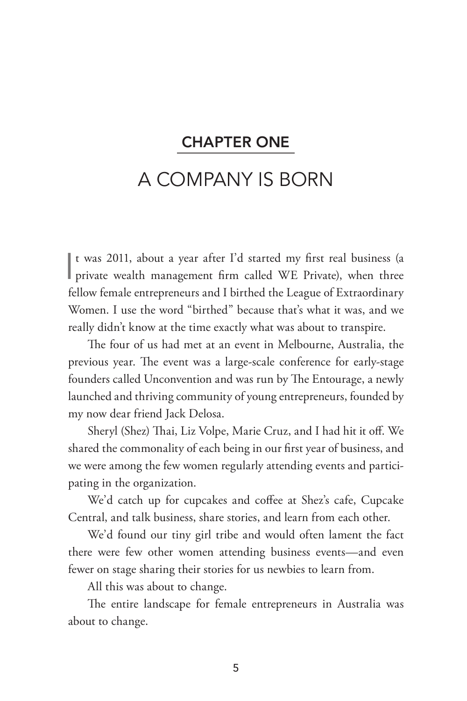#### CHAPTER ONE

# A COMPANY IS BORN

It was 2011, about a year after I'd started my first real business (a private wealth management firm called WE Private), when three t was 2011, about a year after I'd started my first real business (a fellow female entrepreneurs and I birthed the League of Extraordinary Women. I use the word "birthed" because that's what it was, and we really didn't know at the time exactly what was about to transpire.

The four of us had met at an event in Melbourne, Australia, the previous year. The event was a large-scale conference for early-stage founders called Unconvention and was run by The Entourage, a newly launched and thriving community of young entrepreneurs, founded by my now dear friend Jack Delosa.

Sheryl (Shez) Thai, Liz Volpe, Marie Cruz, and I had hit it off. We shared the commonality of each being in our first year of business, and we were among the few women regularly attending events and participating in the organization.

We'd catch up for cupcakes and coffee at Shez's cafe, Cupcake Central, and talk business, share stories, and learn from each other.

We'd found our tiny girl tribe and would often lament the fact there were few other women attending business events—and even fewer on stage sharing their stories for us newbies to learn from.

All this was about to change.

The entire landscape for female entrepreneurs in Australia was about to change.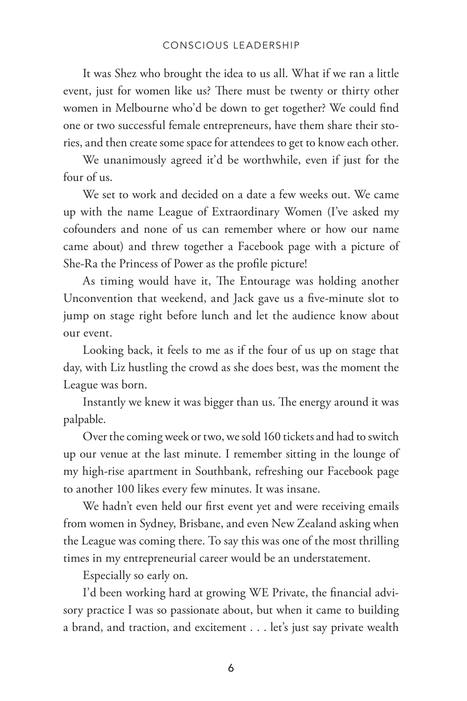It was Shez who brought the idea to us all. What if we ran a little event, just for women like us? There must be twenty or thirty other women in Melbourne who'd be down to get together? We could find one or two successful female entrepreneurs, have them share their stories, and then create some space for attendees to get to know each other.

We unanimously agreed it'd be worthwhile, even if just for the four of us.

We set to work and decided on a date a few weeks out. We came up with the name League of Extraordinary Women (I've asked my cofounders and none of us can remember where or how our name came about) and threw together a Facebook page with a picture of She-Ra the Princess of Power as the profile picture!

As timing would have it, The Entourage was holding another Unconvention that weekend, and Jack gave us a five-minute slot to jump on stage right before lunch and let the audience know about our event.

Looking back, it feels to me as if the four of us up on stage that day, with Liz hustling the crowd as she does best, was the moment the League was born.

Instantly we knew it was bigger than us. The energy around it was palpable.

Over the coming week or two, we sold 160 tickets and had to switch up our venue at the last minute. I remember sitting in the lounge of my high-rise apartment in Southbank, refreshing our Facebook page to another 100 likes every few minutes. It was insane.

We hadn't even held our first event yet and were receiving emails from women in Sydney, Brisbane, and even New Zealand asking when the League was coming there. To say this was one of the most thrilling times in my entrepreneurial career would be an understatement.

Especially so early on.

I'd been working hard at growing WE Private, the financial advisory practice I was so passionate about, but when it came to building a brand, and traction, and excitement . . . let's just say private wealth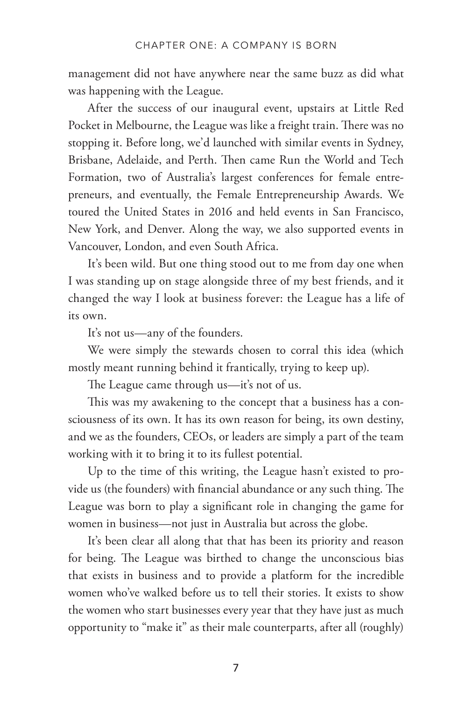management did not have anywhere near the same buzz as did what was happening with the League.

After the success of our inaugural event, upstairs at Little Red Pocket in Melbourne, the League was like a freight train. There was no stopping it. Before long, we'd launched with similar events in Sydney, Brisbane, Adelaide, and Perth. Then came Run the World and Tech Formation, two of Australia's largest conferences for female entrepreneurs, and eventually, the Female Entrepreneurship Awards. We toured the United States in 2016 and held events in San Francisco, New York, and Denver. Along the way, we also supported events in Vancouver, London, and even South Africa.

It's been wild. But one thing stood out to me from day one when I was standing up on stage alongside three of my best friends, and it changed the way I look at business forever: the League has a life of its own.

It's not us—any of the founders.

We were simply the stewards chosen to corral this idea (which mostly meant running behind it frantically, trying to keep up).

The League came through us—it's not of us.

This was my awakening to the concept that a business has a consciousness of its own. It has its own reason for being, its own destiny, and we as the founders, CEOs, or leaders are simply a part of the team working with it to bring it to its fullest potential.

Up to the time of this writing, the League hasn't existed to provide us (the founders) with financial abundance or any such thing. The League was born to play a significant role in changing the game for women in business—not just in Australia but across the globe.

It's been clear all along that that has been its priority and reason for being. The League was birthed to change the unconscious bias that exists in business and to provide a platform for the incredible women who've walked before us to tell their stories. It exists to show the women who start businesses every year that they have just as much opportunity to "make it" as their male counterparts, after all (roughly)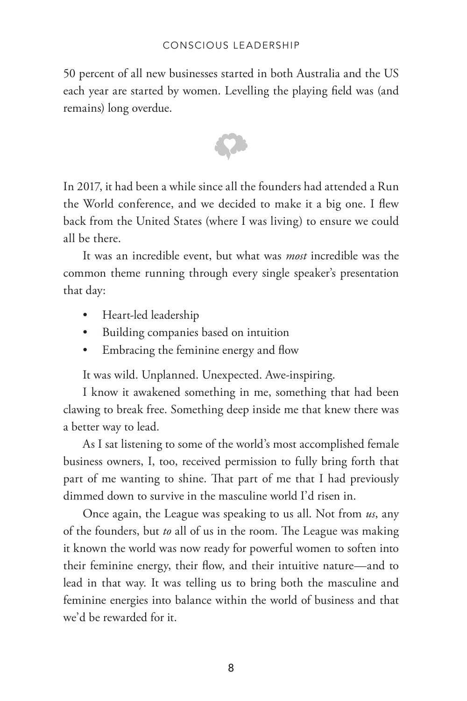50 percent of all new businesses started in both Australia and the US each year are started by women. Levelling the playing field was (and remains) long overdue.



In 2017, it had been a while since all the founders had attended a Run the World conference, and we decided to make it a big one. I flew back from the United States (where I was living) to ensure we could all be there.

It was an incredible event, but what was *most* incredible was the common theme running through every single speaker's presentation that day:

- Heart-led leadership
- Building companies based on intuition
- Embracing the feminine energy and flow

It was wild. Unplanned. Unexpected. Awe-inspiring.

I know it awakened something in me, something that had been clawing to break free. Something deep inside me that knew there was a better way to lead.

As I sat listening to some of the world's most accomplished female business owners, I, too, received permission to fully bring forth that part of me wanting to shine. That part of me that I had previously dimmed down to survive in the masculine world I'd risen in.

Once again, the League was speaking to us all. Not from *us*, any of the founders, but *to* all of us in the room. The League was making it known the world was now ready for powerful women to soften into their feminine energy, their flow, and their intuitive nature—and to lead in that way. It was telling us to bring both the masculine and feminine energies into balance within the world of business and that we'd be rewarded for it.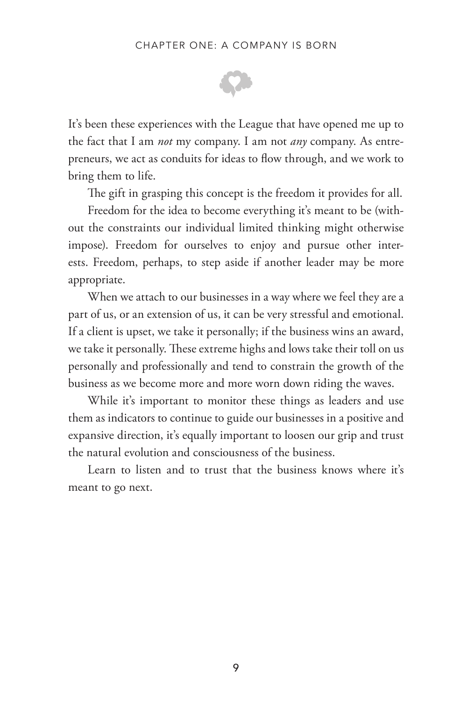

It's been these experiences with the League that have opened me up to the fact that I am *not* my company. I am not *any* company. As entrepreneurs, we act as conduits for ideas to flow through, and we work to bring them to life.

The gift in grasping this concept is the freedom it provides for all.

Freedom for the idea to become everything it's meant to be (without the constraints our individual limited thinking might otherwise impose). Freedom for ourselves to enjoy and pursue other interests. Freedom, perhaps, to step aside if another leader may be more appropriate.

When we attach to our businesses in a way where we feel they are a part of us, or an extension of us, it can be very stressful and emotional. If a client is upset, we take it personally; if the business wins an award, we take it personally. These extreme highs and lows take their toll on us personally and professionally and tend to constrain the growth of the business as we become more and more worn down riding the waves.

While it's important to monitor these things as leaders and use them as indicators to continue to guide our businesses in a positive and expansive direction, it's equally important to loosen our grip and trust the natural evolution and consciousness of the business.

Learn to listen and to trust that the business knows where it's meant to go next.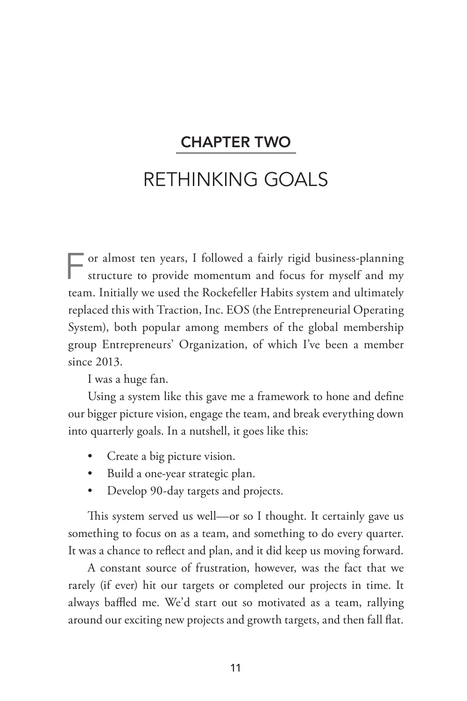#### CHAPTER TWO

# RETHINKING GOALS

For almost ten years, I followed a fairly rigid business-planning structure to provide momentum and focus for myself and my team. Initially we used the Rockefeller Habits system and ultimately replaced this with Traction, Inc. EOS (the Entrepreneurial Operating System), both popular among members of the global membership group Entrepreneurs' Organization, of which I've been a member since 2013.

I was a huge fan.

Using a system like this gave me a framework to hone and define our bigger picture vision, engage the team, and break everything down into quarterly goals. In a nutshell, it goes like this:

- Create a big picture vision.
- Build a one-year strategic plan.
- Develop 90-day targets and projects.

This system served us well—or so I thought. It certainly gave us something to focus on as a team, and something to do every quarter. It was a chance to reflect and plan, and it did keep us moving forward.

A constant source of frustration, however, was the fact that we rarely (if ever) hit our targets or completed our projects in time. It always baffled me. We'd start out so motivated as a team, rallying around our exciting new projects and growth targets, and then fall flat.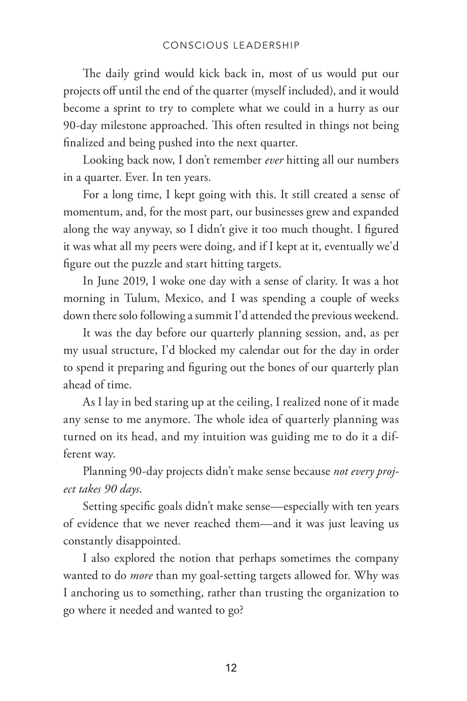The daily grind would kick back in, most of us would put our projects off until the end of the quarter (myself included), and it would become a sprint to try to complete what we could in a hurry as our 90-day milestone approached. This often resulted in things not being finalized and being pushed into the next quarter.

Looking back now, I don't remember *ever* hitting all our numbers in a quarter. Ever. In ten years.

For a long time, I kept going with this. It still created a sense of momentum, and, for the most part, our businesses grew and expanded along the way anyway, so I didn't give it too much thought. I figured it was what all my peers were doing, and if I kept at it, eventually we'd figure out the puzzle and start hitting targets.

In June 2019, I woke one day with a sense of clarity. It was a hot morning in Tulum, Mexico, and I was spending a couple of weeks down there solo following a summit I'd attended the previous weekend.

It was the day before our quarterly planning session, and, as per my usual structure, I'd blocked my calendar out for the day in order to spend it preparing and figuring out the bones of our quarterly plan ahead of time.

As I lay in bed staring up at the ceiling, I realized none of it made any sense to me anymore. The whole idea of quarterly planning was turned on its head, and my intuition was guiding me to do it a different way.

Planning 90-day projects didn't make sense because *not every project takes 90 days*.

Setting specific goals didn't make sense—especially with ten years of evidence that we never reached them—and it was just leaving us constantly disappointed.

I also explored the notion that perhaps sometimes the company wanted to do *more* than my goal-setting targets allowed for. Why was I anchoring us to something, rather than trusting the organization to go where it needed and wanted to go?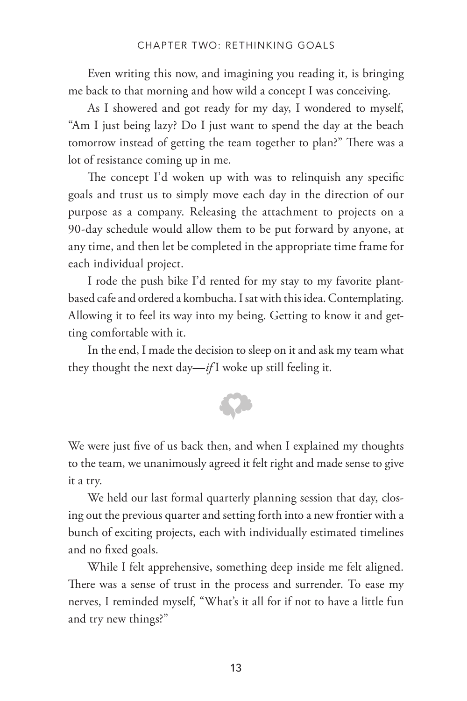Even writing this now, and imagining you reading it, is bringing me back to that morning and how wild a concept I was conceiving.

As I showered and got ready for my day, I wondered to myself, "Am I just being lazy? Do I just want to spend the day at the beach tomorrow instead of getting the team together to plan?" There was a lot of resistance coming up in me.

The concept I'd woken up with was to relinquish any specific goals and trust us to simply move each day in the direction of our purpose as a company. Releasing the attachment to projects on a 90-day schedule would allow them to be put forward by anyone, at any time, and then let be completed in the appropriate time frame for each individual project.

I rode the push bike I'd rented for my stay to my favorite plantbased cafe and ordered a kombucha. I sat with this idea. Contemplating. Allowing it to feel its way into my being. Getting to know it and getting comfortable with it.

In the end, I made the decision to sleep on it and ask my team what they thought the next day—*if* I woke up still feeling it.



We were just five of us back then, and when I explained my thoughts to the team, we unanimously agreed it felt right and made sense to give it a try.

We held our last formal quarterly planning session that day, closing out the previous quarter and setting forth into a new frontier with a bunch of exciting projects, each with individually estimated timelines and no fixed goals.

While I felt apprehensive, something deep inside me felt aligned. There was a sense of trust in the process and surrender. To ease my nerves, I reminded myself, "What's it all for if not to have a little fun and try new things?"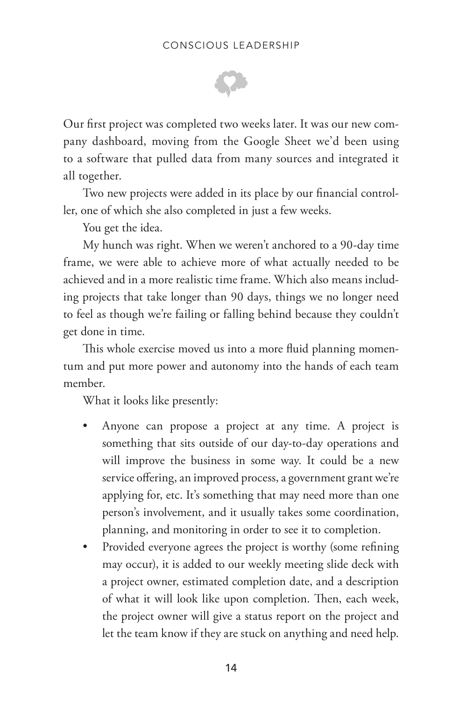

Our first project was completed two weeks later. It was our new company dashboard, moving from the Google Sheet we'd been using to a software that pulled data from many sources and integrated it all together.

Two new projects were added in its place by our financial controller, one of which she also completed in just a few weeks.

You get the idea.

My hunch was right. When we weren't anchored to a 90-day time frame, we were able to achieve more of what actually needed to be achieved and in a more realistic time frame. Which also means including projects that take longer than 90 days, things we no longer need to feel as though we're failing or falling behind because they couldn't get done in time.

This whole exercise moved us into a more fluid planning momentum and put more power and autonomy into the hands of each team member.

What it looks like presently:

- Anyone can propose a project at any time. A project is something that sits outside of our day-to-day operations and will improve the business in some way. It could be a new service offering, an improved process, a government grant we're applying for, etc. It's something that may need more than one person's involvement, and it usually takes some coordination, planning, and monitoring in order to see it to completion.
- Provided everyone agrees the project is worthy (some refining may occur), it is added to our weekly meeting slide deck with a project owner, estimated completion date, and a description of what it will look like upon completion. Then, each week, the project owner will give a status report on the project and let the team know if they are stuck on anything and need help.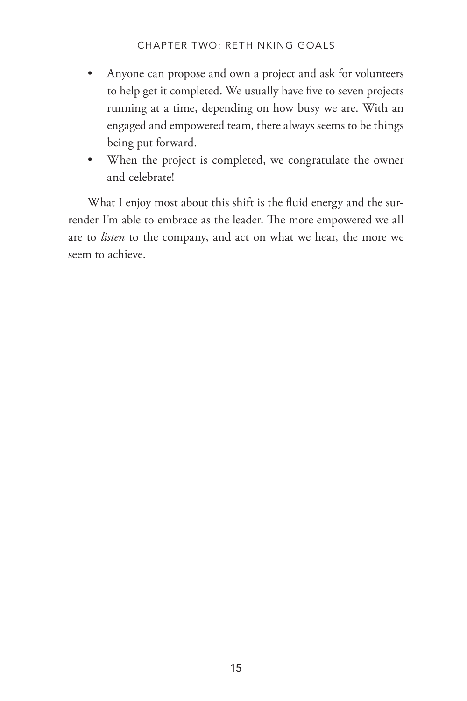#### Chapter Two: Rethinking goals

- Anyone can propose and own a project and ask for volunteers to help get it completed. We usually have five to seven projects running at a time, depending on how busy we are. With an engaged and empowered team, there always seems to be things being put forward.
- When the project is completed, we congratulate the owner and celebrate!

What I enjoy most about this shift is the fluid energy and the surrender I'm able to embrace as the leader. The more empowered we all are to *listen* to the company, and act on what we hear, the more we seem to achieve.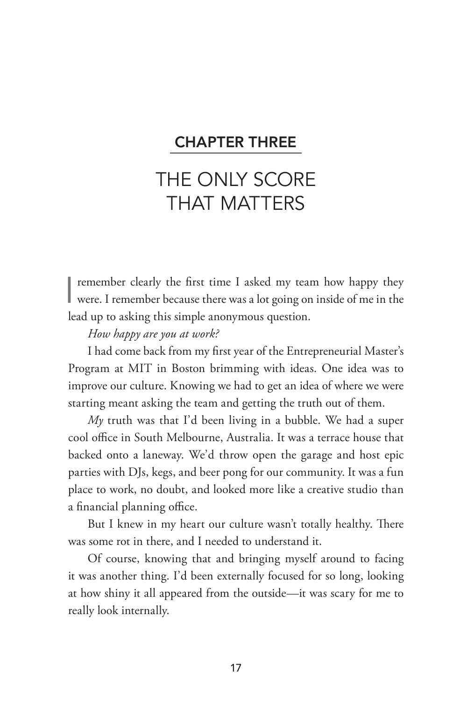#### CHAPTER THREE

# THE ONLY SCORE THAT MATTERS

I remember clearly the first time I asked my team how happy they were. I remember because there was a lot going on inside of me in the lead up to asking this simple anonymous question.

*How happy are you at work?*

I had come back from my first year of the Entrepreneurial Master's Program at MIT in Boston brimming with ideas. One idea was to improve our culture. Knowing we had to get an idea of where we were starting meant asking the team and getting the truth out of them.

*My* truth was that I'd been living in a bubble. We had a super cool office in South Melbourne, Australia. It was a terrace house that backed onto a laneway. We'd throw open the garage and host epic parties with DJs, kegs, and beer pong for our community. It was a fun place to work, no doubt, and looked more like a creative studio than a financial planning office.

But I knew in my heart our culture wasn't totally healthy. There was some rot in there, and I needed to understand it.

Of course, knowing that and bringing myself around to facing it was another thing. I'd been externally focused for so long, looking at how shiny it all appeared from the outside—it was scary for me to really look internally.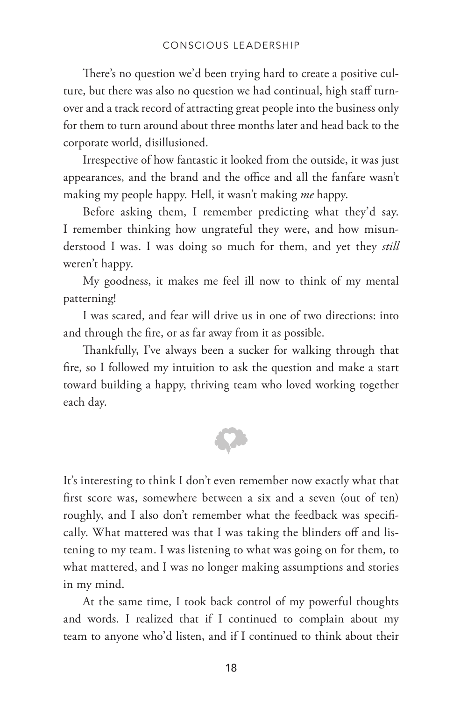#### CONSCIOUS LEADERSHIP

There's no question we'd been trying hard to create a positive culture, but there was also no question we had continual, high staff turnover and a track record of attracting great people into the business only for them to turn around about three months later and head back to the corporate world, disillusioned.

Irrespective of how fantastic it looked from the outside, it was just appearances, and the brand and the office and all the fanfare wasn't making my people happy. Hell, it wasn't making *me* happy.

Before asking them, I remember predicting what they'd say. I remember thinking how ungrateful they were, and how misunderstood I was. I was doing so much for them, and yet they *still* weren't happy.

My goodness, it makes me feel ill now to think of my mental patterning!

I was scared, and fear will drive us in one of two directions: into and through the fire, or as far away from it as possible.

Thankfully, I've always been a sucker for walking through that fire, so I followed my intuition to ask the question and make a start toward building a happy, thriving team who loved working together each day.



It's interesting to think I don't even remember now exactly what that first score was, somewhere between a six and a seven (out of ten) roughly, and I also don't remember what the feedback was specifically. What mattered was that I was taking the blinders off and listening to my team. I was listening to what was going on for them, to what mattered, and I was no longer making assumptions and stories in my mind.

At the same time, I took back control of my powerful thoughts and words. I realized that if I continued to complain about my team to anyone who'd listen, and if I continued to think about their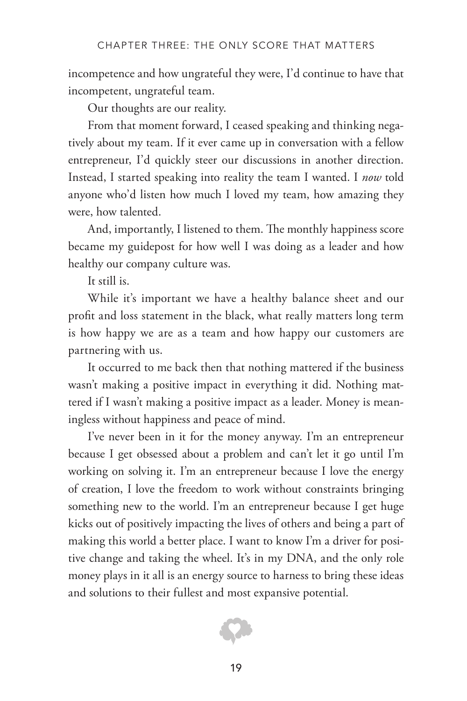incompetence and how ungrateful they were, I'd continue to have that incompetent, ungrateful team.

Our thoughts are our reality.

From that moment forward, I ceased speaking and thinking negatively about my team. If it ever came up in conversation with a fellow entrepreneur, I'd quickly steer our discussions in another direction. Instead, I started speaking into reality the team I wanted. I *now* told anyone who'd listen how much I loved my team, how amazing they were, how talented.

And, importantly, I listened to them. The monthly happiness score became my guidepost for how well I was doing as a leader and how healthy our company culture was.

It still is.

While it's important we have a healthy balance sheet and our profit and loss statement in the black, what really matters long term is how happy we are as a team and how happy our customers are partnering with us.

It occurred to me back then that nothing mattered if the business wasn't making a positive impact in everything it did. Nothing mattered if I wasn't making a positive impact as a leader. Money is meaningless without happiness and peace of mind.

I've never been in it for the money anyway. I'm an entrepreneur because I get obsessed about a problem and can't let it go until I'm working on solving it. I'm an entrepreneur because I love the energy of creation, I love the freedom to work without constraints bringing something new to the world. I'm an entrepreneur because I get huge kicks out of positively impacting the lives of others and being a part of making this world a better place. I want to know I'm a driver for positive change and taking the wheel. It's in my DNA, and the only role money plays in it all is an energy source to harness to bring these ideas and solutions to their fullest and most expansive potential.

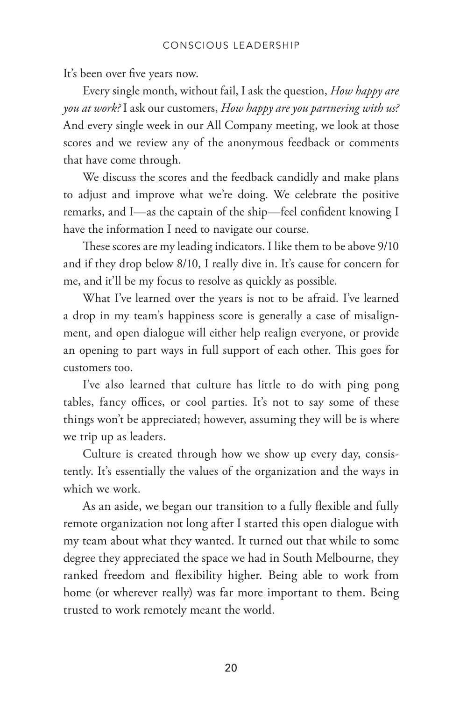It's been over five years now.

Every single month, without fail, I ask the question, *How happy are you at work?* I ask our customers, *How happy are you partnering with us?* And every single week in our All Company meeting, we look at those scores and we review any of the anonymous feedback or comments that have come through.

We discuss the scores and the feedback candidly and make plans to adjust and improve what we're doing. We celebrate the positive remarks, and I—as the captain of the ship—feel confident knowing I have the information I need to navigate our course.

These scores are my leading indicators. I like them to be above 9/10 and if they drop below 8/10, I really dive in. It's cause for concern for me, and it'll be my focus to resolve as quickly as possible.

What I've learned over the years is not to be afraid. I've learned a drop in my team's happiness score is generally a case of misalignment, and open dialogue will either help realign everyone, or provide an opening to part ways in full support of each other. This goes for customers too.

I've also learned that culture has little to do with ping pong tables, fancy offices, or cool parties. It's not to say some of these things won't be appreciated; however, assuming they will be is where we trip up as leaders.

Culture is created through how we show up every day, consistently. It's essentially the values of the organization and the ways in which we work.

As an aside, we began our transition to a fully flexible and fully remote organization not long after I started this open dialogue with my team about what they wanted. It turned out that while to some degree they appreciated the space we had in South Melbourne, they ranked freedom and flexibility higher. Being able to work from home (or wherever really) was far more important to them. Being trusted to work remotely meant the world.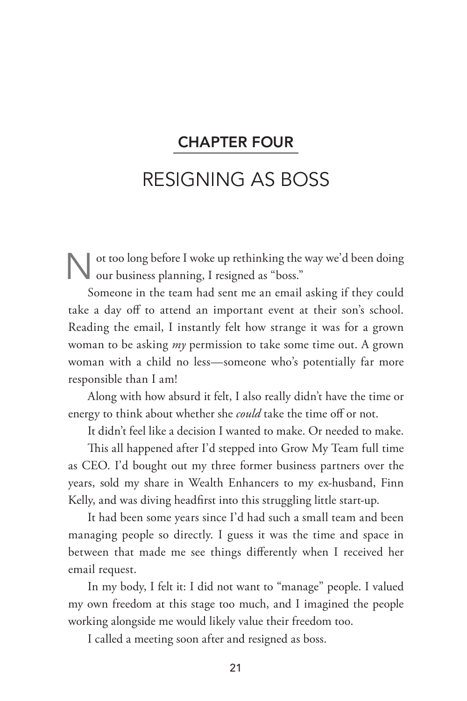## CHAPTER FOUR

# RESIGNING AS BOSS

Not too long before I woke up rethinking the way we'd been doing our business planning, I resigned as "boss."

Someone in the team had sent me an email asking if they could take a day off to attend an important event at their son's school. Reading the email, I instantly felt how strange it was for a grown woman to be asking *my* permission to take some time out. A grown woman with a child no less—someone who's potentially far more responsible than I am!

Along with how absurd it felt, I also really didn't have the time or energy to think about whether she *could* take the time off or not.

It didn't feel like a decision I wanted to make. Or needed to make.

This all happened after I'd stepped into Grow My Team full time as CEO. I'd bought out my three former business partners over the years, sold my share in Wealth Enhancers to my ex-husband, Finn Kelly, and was diving headfirst into this struggling little start-up.

It had been some years since I'd had such a small team and been managing people so directly. I guess it was the time and space in between that made me see things differently when I received her email request.

In my body, I felt it: I did not want to "manage" people. I valued my own freedom at this stage too much, and I imagined the people working alongside me would likely value their freedom too.

I called a meeting soon after and resigned as boss.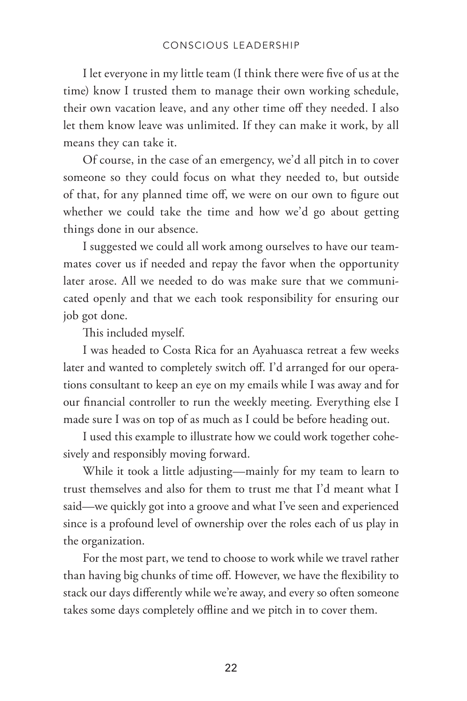#### CONSCIOUS LEADERSHIP

I let everyone in my little team (I think there were five of us at the time) know I trusted them to manage their own working schedule, their own vacation leave, and any other time off they needed. I also let them know leave was unlimited. If they can make it work, by all means they can take it.

Of course, in the case of an emergency, we'd all pitch in to cover someone so they could focus on what they needed to, but outside of that, for any planned time off, we were on our own to figure out whether we could take the time and how we'd go about getting things done in our absence.

I suggested we could all work among ourselves to have our teammates cover us if needed and repay the favor when the opportunity later arose. All we needed to do was make sure that we communicated openly and that we each took responsibility for ensuring our job got done.

This included myself.

I was headed to Costa Rica for an Ayahuasca retreat a few weeks later and wanted to completely switch off. I'd arranged for our operations consultant to keep an eye on my emails while I was away and for our financial controller to run the weekly meeting. Everything else I made sure I was on top of as much as I could be before heading out.

I used this example to illustrate how we could work together cohesively and responsibly moving forward.

While it took a little adjusting—mainly for my team to learn to trust themselves and also for them to trust me that I'd meant what I said—we quickly got into a groove and what I've seen and experienced since is a profound level of ownership over the roles each of us play in the organization.

For the most part, we tend to choose to work while we travel rather than having big chunks of time off. However, we have the flexibility to stack our days differently while we're away, and every so often someone takes some days completely offline and we pitch in to cover them.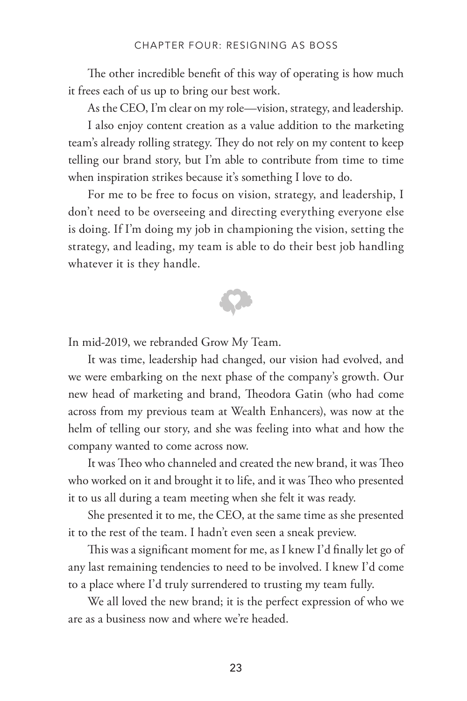The other incredible benefit of this way of operating is how much it frees each of us up to bring our best work.

As the CEO, I'm clear on my role—vision, strategy, and leadership. I also enjoy content creation as a value addition to the marketing team's already rolling strategy. They do not rely on my content to keep telling our brand story, but I'm able to contribute from time to time when inspiration strikes because it's something I love to do.

For me to be free to focus on vision, strategy, and leadership, I don't need to be overseeing and directing everything everyone else is doing. If I'm doing my job in championing the vision, setting the strategy, and leading, my team is able to do their best job handling whatever it is they handle.

In mid-2019, we rebranded Grow My Team.

It was time, leadership had changed, our vision had evolved, and we were embarking on the next phase of the company's growth. Our new head of marketing and brand, Theodora Gatin (who had come across from my previous team at Wealth Enhancers), was now at the helm of telling our story, and she was feeling into what and how the company wanted to come across now.

It was Theo who channeled and created the new brand, it was Theo who worked on it and brought it to life, and it was Theo who presented it to us all during a team meeting when she felt it was ready.

She presented it to me, the CEO, at the same time as she presented it to the rest of the team. I hadn't even seen a sneak preview.

This was a significant moment for me, as I knew I'd finally let go of any last remaining tendencies to need to be involved. I knew I'd come to a place where I'd truly surrendered to trusting my team fully.

We all loved the new brand; it is the perfect expression of who we are as a business now and where we're headed.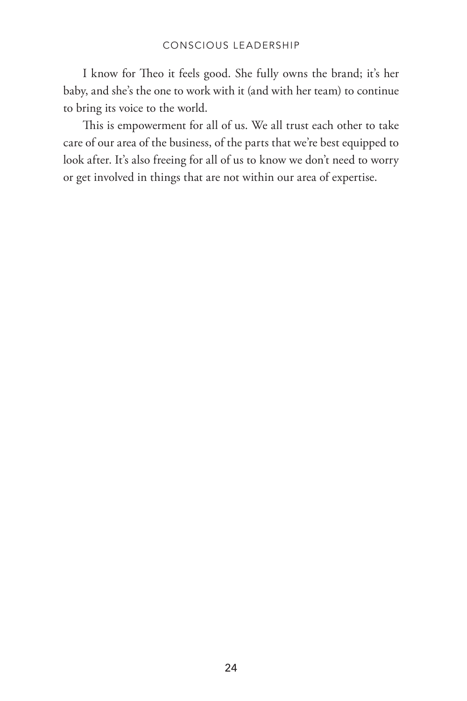I know for Theo it feels good. She fully owns the brand; it's her baby, and she's the one to work with it (and with her team) to continue to bring its voice to the world.

This is empowerment for all of us. We all trust each other to take care of our area of the business, of the parts that we're best equipped to look after. It's also freeing for all of us to know we don't need to worry or get involved in things that are not within our area of expertise.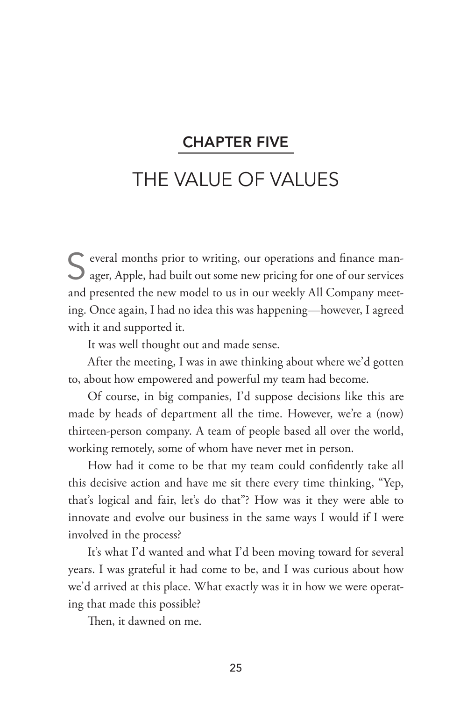## CHAPTER FIVE

## THE VALUE OF VALUES

Several months prior to writing, our operations and finance man-<br>ager, Apple, had built out some new pricing for one of our services and presented the new model to us in our weekly All Company meeting. Once again, I had no idea this was happening—however, I agreed with it and supported it.

It was well thought out and made sense.

After the meeting, I was in awe thinking about where we'd gotten to, about how empowered and powerful my team had become.

Of course, in big companies, I'd suppose decisions like this are made by heads of department all the time. However, we're a (now) thirteen-person company. A team of people based all over the world, working remotely, some of whom have never met in person.

How had it come to be that my team could confidently take all this decisive action and have me sit there every time thinking, "Yep, that's logical and fair, let's do that"? How was it they were able to innovate and evolve our business in the same ways I would if I were involved in the process?

It's what I'd wanted and what I'd been moving toward for several years. I was grateful it had come to be, and I was curious about how we'd arrived at this place. What exactly was it in how we were operating that made this possible?

Then, it dawned on me.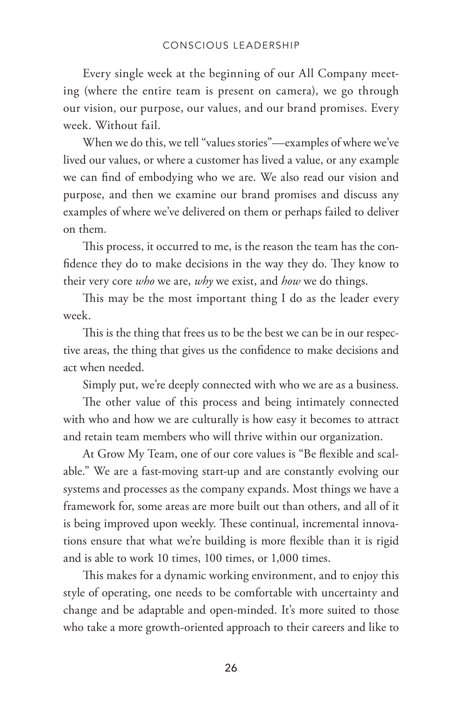Every single week at the beginning of our All Company meeting (where the entire team is present on camera), we go through our vision, our purpose, our values, and our brand promises. Every week. Without fail.

When we do this, we tell "values stories"—examples of where we've lived our values, or where a customer has lived a value, or any example we can find of embodying who we are. We also read our vision and purpose, and then we examine our brand promises and discuss any examples of where we've delivered on them or perhaps failed to deliver on them.

This process, it occurred to me, is the reason the team has the confidence they do to make decisions in the way they do. They know to their very core *who* we are, *why* we exist, and *how* we do things.

This may be the most important thing I do as the leader every week.

This is the thing that frees us to be the best we can be in our respective areas, the thing that gives us the confidence to make decisions and act when needed.

Simply put, we're deeply connected with who we are as a business.

The other value of this process and being intimately connected with who and how we are culturally is how easy it becomes to attract and retain team members who will thrive within our organization.

At Grow My Team, one of our core values is "Be flexible and scalable." We are a fast-moving start-up and are constantly evolving our systems and processes as the company expands. Most things we have a framework for, some areas are more built out than others, and all of it is being improved upon weekly. These continual, incremental innovations ensure that what we're building is more flexible than it is rigid and is able to work 10 times, 100 times, or 1,000 times.

This makes for a dynamic working environment, and to enjoy this style of operating, one needs to be comfortable with uncertainty and change and be adaptable and open-minded. It's more suited to those who take a more growth-oriented approach to their careers and like to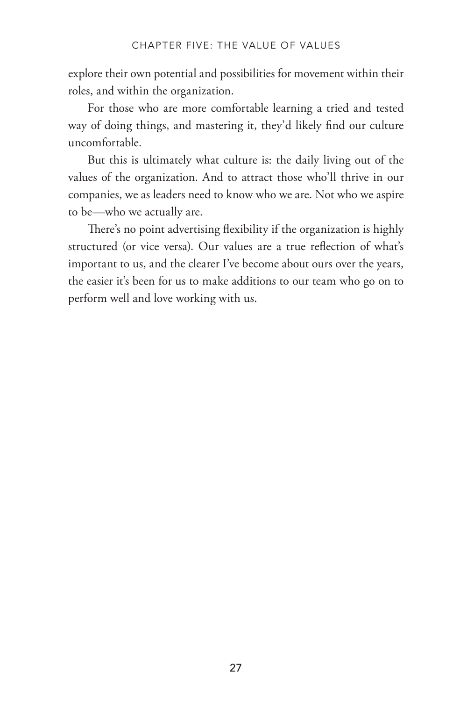explore their own potential and possibilities for movement within their roles, and within the organization.

For those who are more comfortable learning a tried and tested way of doing things, and mastering it, they'd likely find our culture uncomfortable.

But this is ultimately what culture is: the daily living out of the values of the organization. And to attract those who'll thrive in our companies, we as leaders need to know who we are. Not who we aspire to be—who we actually are.

There's no point advertising flexibility if the organization is highly structured (or vice versa). Our values are a true reflection of what's important to us, and the clearer I've become about ours over the years, the easier it's been for us to make additions to our team who go on to perform well and love working with us.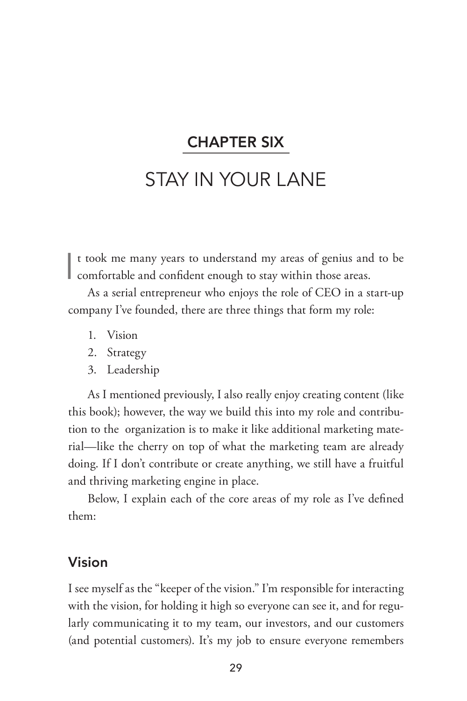## CHAPTER SIX

## STAY IN YOUR LANE

It took me many years to understand my areas of genius and comfortable and confident enough to stay within those areas. t took me many years to understand my areas of genius and to be

As a serial entrepreneur who enjoys the role of CEO in a start-up company I've founded, there are three things that form my role:

- 1. Vision
- 2. Strategy
- 3. Leadership

As I mentioned previously, I also really enjoy creating content (like this book); however, the way we build this into my role and contribution to the organization is to make it like additional marketing material—like the cherry on top of what the marketing team are already doing. If I don't contribute or create anything, we still have a fruitful and thriving marketing engine in place.

Below, I explain each of the core areas of my role as I've defined them:

### Vision

I see myself as the "keeper of the vision." I'm responsible for interacting with the vision, for holding it high so everyone can see it, and for regularly communicating it to my team, our investors, and our customers (and potential customers). It's my job to ensure everyone remembers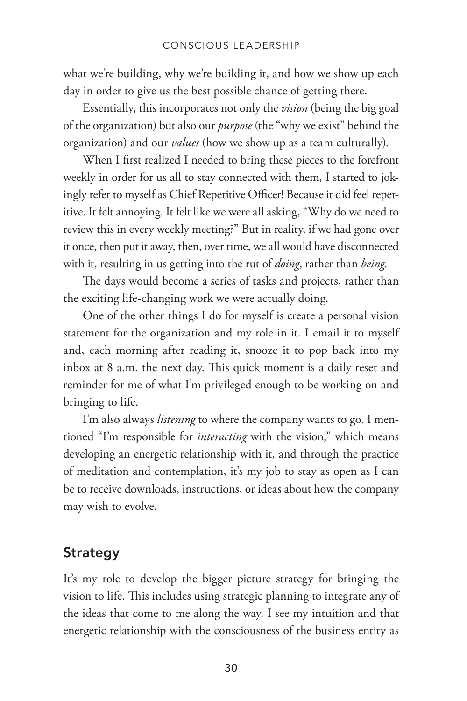what we're building, why we're building it, and how we show up each day in order to give us the best possible chance of getting there.

Essentially, this incorporates not only the *vision* (being the big goal of the organization) but also our *purpose* (the "why we exist" behind the organization) and our *values* (how we show up as a team culturally).

When I first realized I needed to bring these pieces to the forefront weekly in order for us all to stay connected with them, I started to jokingly refer to myself as Chief Repetitive Officer! Because it did feel repetitive. It felt annoying. It felt like we were all asking, "Why do we need to review this in every weekly meeting?" But in reality, if we had gone over it once, then put it away, then, over time, we all would have disconnected with it, resulting in us getting into the rut of *doing*, rather than *being*.

The days would become a series of tasks and projects, rather than the exciting life-changing work we were actually doing.

One of the other things I do for myself is create a personal vision statement for the organization and my role in it. I email it to myself and, each morning after reading it, snooze it to pop back into my inbox at 8 a.m. the next day. This quick moment is a daily reset and reminder for me of what I'm privileged enough to be working on and bringing to life.

I'm also always *listening* to where the company wants to go. I mentioned "I'm responsible for *interacting* with the vision," which means developing an energetic relationship with it, and through the practice of meditation and contemplation, it's my job to stay as open as I can be to receive downloads, instructions, or ideas about how the company may wish to evolve.

### Strategy

It's my role to develop the bigger picture strategy for bringing the vision to life. This includes using strategic planning to integrate any of the ideas that come to me along the way. I see my intuition and that energetic relationship with the consciousness of the business entity as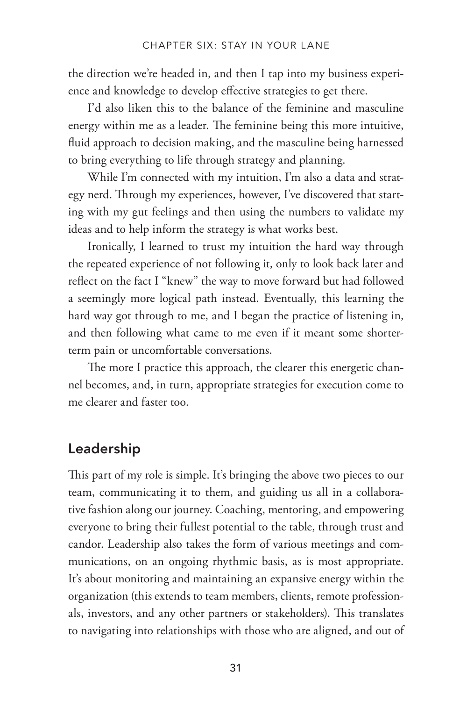the direction we're headed in, and then I tap into my business experience and knowledge to develop effective strategies to get there.

I'd also liken this to the balance of the feminine and masculine energy within me as a leader. The feminine being this more intuitive, fluid approach to decision making, and the masculine being harnessed to bring everything to life through strategy and planning.

While I'm connected with my intuition, I'm also a data and strategy nerd. Through my experiences, however, I've discovered that starting with my gut feelings and then using the numbers to validate my ideas and to help inform the strategy is what works best.

Ironically, I learned to trust my intuition the hard way through the repeated experience of not following it, only to look back later and reflect on the fact I "knew" the way to move forward but had followed a seemingly more logical path instead. Eventually, this learning the hard way got through to me, and I began the practice of listening in, and then following what came to me even if it meant some shorterterm pain or uncomfortable conversations.

The more I practice this approach, the clearer this energetic channel becomes, and, in turn, appropriate strategies for execution come to me clearer and faster too.

### Leadership

This part of my role is simple. It's bringing the above two pieces to our team, communicating it to them, and guiding us all in a collaborative fashion along our journey. Coaching, mentoring, and empowering everyone to bring their fullest potential to the table, through trust and candor. Leadership also takes the form of various meetings and communications, on an ongoing rhythmic basis, as is most appropriate. It's about monitoring and maintaining an expansive energy within the organization (this extends to team members, clients, remote professionals, investors, and any other partners or stakeholders). This translates to navigating into relationships with those who are aligned, and out of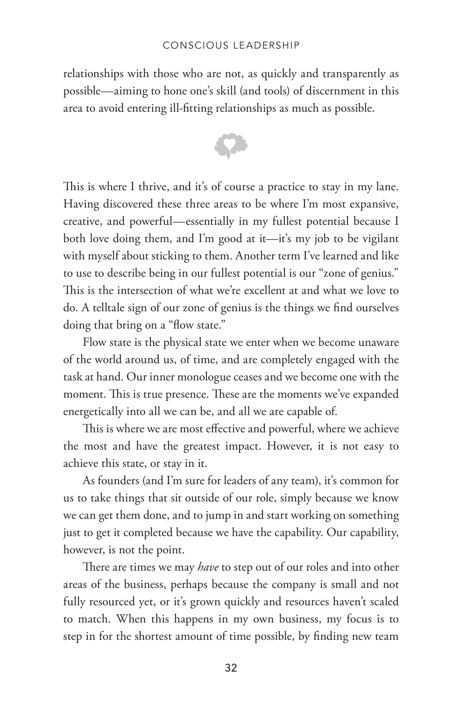#### CONSCIOUS LEADERSHIP

relationships with those who are not, as quickly and transparently as possible—aiming to hone one's skill (and tools) of discernment in this area to avoid entering ill-fitting relationships as much as possible.



This is where I thrive, and it's of course a practice to stay in my lane. Having discovered these three areas to be where I'm most expansive, creative, and powerful—essentially in my fullest potential because I both love doing them, and I'm good at it—it's my job to be vigilant with myself about sticking to them. Another term I've learned and like to use to describe being in our fullest potential is our "zone of genius." This is the intersection of what we're excellent at and what we love to do. A telltale sign of our zone of genius is the things we find ourselves doing that bring on a "flow state."

Flow state is the physical state we enter when we become unaware of the world around us, of time, and are completely engaged with the task at hand. Our inner monologue ceases and we become one with the moment. This is true presence. These are the moments we've expanded energetically into all we can be, and all we are capable of.

This is where we are most effective and powerful, where we achieve the most and have the greatest impact. However, it is not easy to achieve this state, or stay in it.

As founders (and I'm sure for leaders of any team), it's common for us to take things that sit outside of our role, simply because we know we can get them done, and to jump in and start working on something just to get it completed because we have the capability. Our capability, however, is not the point.

There are times we may *have* to step out of our roles and into other areas of the business, perhaps because the company is small and not fully resourced yet, or it's grown quickly and resources haven't scaled to match. When this happens in my own business, my focus is to step in for the shortest amount of time possible, by finding new team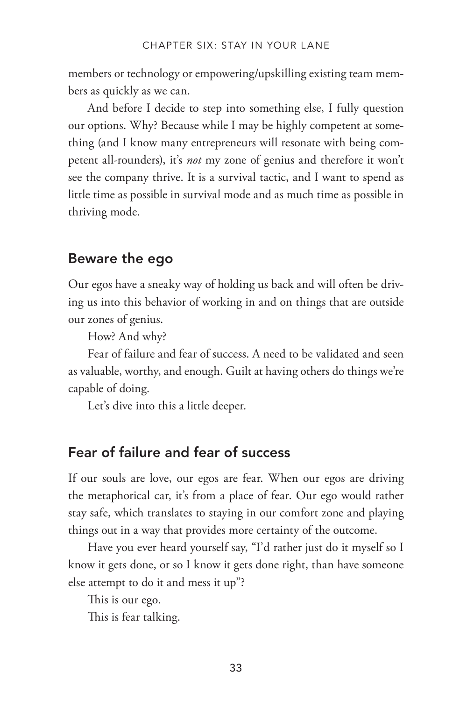members or technology or empowering/upskilling existing team members as quickly as we can.

And before I decide to step into something else, I fully question our options. Why? Because while I may be highly competent at something (and I know many entrepreneurs will resonate with being competent all-rounders), it's *not* my zone of genius and therefore it won't see the company thrive. It is a survival tactic, and I want to spend as little time as possible in survival mode and as much time as possible in thriving mode.

### Beware the ego

Our egos have a sneaky way of holding us back and will often be driving us into this behavior of working in and on things that are outside our zones of genius.

How? And why?

Fear of failure and fear of success. A need to be validated and seen as valuable, worthy, and enough. Guilt at having others do things we're capable of doing.

Let's dive into this a little deeper.

### Fear of failure and fear of success

If our souls are love, our egos are fear. When our egos are driving the metaphorical car, it's from a place of fear. Our ego would rather stay safe, which translates to staying in our comfort zone and playing things out in a way that provides more certainty of the outcome.

Have you ever heard yourself say, "I'd rather just do it myself so I know it gets done, or so I know it gets done right, than have someone else attempt to do it and mess it up"?

This is our ego. This is fear talking.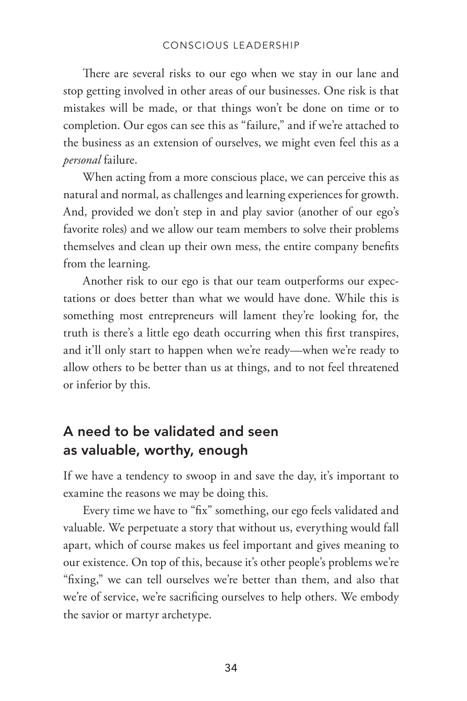#### CONSCIOUS LEADERSHIP

There are several risks to our ego when we stay in our lane and stop getting involved in other areas of our businesses. One risk is that mistakes will be made, or that things won't be done on time or to completion. Our egos can see this as "failure," and if we're attached to the business as an extension of ourselves, we might even feel this as a *personal* failure.

When acting from a more conscious place, we can perceive this as natural and normal, as challenges and learning experiences for growth. And, provided we don't step in and play savior (another of our ego's favorite roles) and we allow our team members to solve their problems themselves and clean up their own mess, the entire company benefits from the learning.

Another risk to our ego is that our team outperforms our expectations or does better than what we would have done. While this is something most entrepreneurs will lament they're looking for, the truth is there's a little ego death occurring when this first transpires, and it'll only start to happen when we're ready—when we're ready to allow others to be better than us at things, and to not feel threatened or inferior by this.

## A need to be validated and seen as valuable, worthy, enough

If we have a tendency to swoop in and save the day, it's important to examine the reasons we may be doing this.

Every time we have to "fix" something, our ego feels validated and valuable. We perpetuate a story that without us, everything would fall apart, which of course makes us feel important and gives meaning to our existence. On top of this, because it's other people's problems we're "fixing," we can tell ourselves we're better than them, and also that we're of service, we're sacrificing ourselves to help others. We embody the savior or martyr archetype.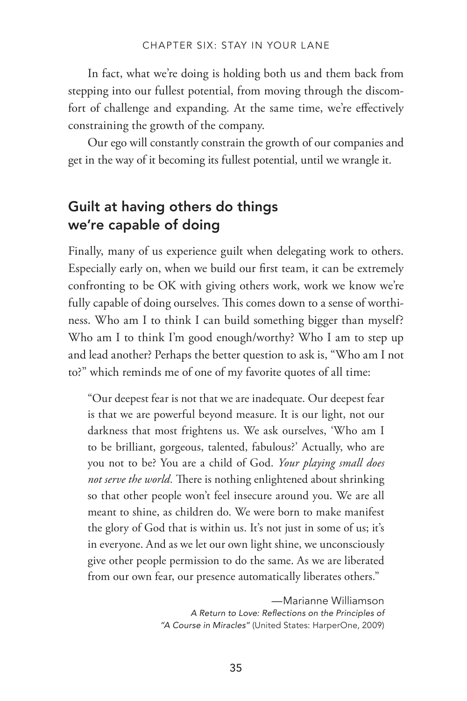In fact, what we're doing is holding both us and them back from stepping into our fullest potential, from moving through the discomfort of challenge and expanding. At the same time, we're effectively constraining the growth of the company.

Our ego will constantly constrain the growth of our companies and get in the way of it becoming its fullest potential, until we wrangle it.

## Guilt at having others do things we're capable of doing

Finally, many of us experience guilt when delegating work to others. Especially early on, when we build our first team, it can be extremely confronting to be OK with giving others work, work we know we're fully capable of doing ourselves. This comes down to a sense of worthiness. Who am I to think I can build something bigger than myself? Who am I to think I'm good enough/worthy? Who I am to step up and lead another? Perhaps the better question to ask is, "Who am I not to?" which reminds me of one of my favorite quotes of all time:

"Our deepest fear is not that we are inadequate. Our deepest fear is that we are powerful beyond measure. It is our light, not our darkness that most frightens us. We ask ourselves, 'Who am I to be brilliant, gorgeous, talented, fabulous?' Actually, who are you not to be? You are a child of God. *Your playing small does not serve the world.* There is nothing enlightened about shrinking so that other people won't feel insecure around you. We are all meant to shine, as children do. We were born to make manifest the glory of God that is within us. It's not just in some of us; it's in everyone. And as we let our own light shine, we unconsciously give other people permission to do the same. As we are liberated from our own fear, our presence automatically liberates others."

> —Marianne Williamson A Return to Love: Reflections on the Principles of "A Course in Miracles" (United States: HarperOne, 2009)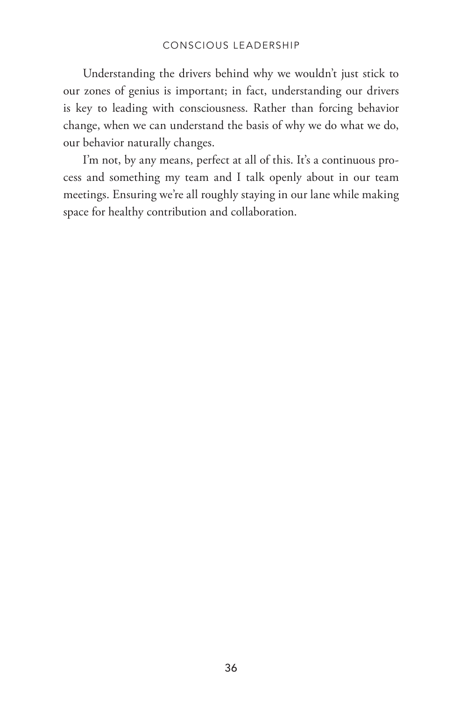#### CONSCIOUS LEADERSHIP

Understanding the drivers behind why we wouldn't just stick to our zones of genius is important; in fact, understanding our drivers is key to leading with consciousness. Rather than forcing behavior change, when we can understand the basis of why we do what we do, our behavior naturally changes.

I'm not, by any means, perfect at all of this. It's a continuous process and something my team and I talk openly about in our team meetings. Ensuring we're all roughly staying in our lane while making space for healthy contribution and collaboration.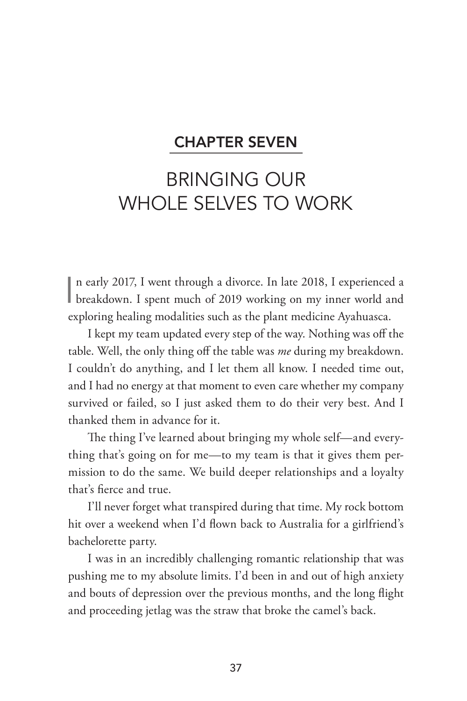### CHAPTER SEVEN

# BRINGING OUR WHOLE SELVES TO WORK

In early 2017, I went through a divorce. In late 2018, I experienced a breakdown. I spent much of 2019 working on my inner world and n early 2017, I went through a divorce. In late 2018, I experienced a exploring healing modalities such as the plant medicine Ayahuasca.

I kept my team updated every step of the way. Nothing was off the table. Well, the only thing off the table was *me* during my breakdown. I couldn't do anything, and I let them all know. I needed time out, and I had no energy at that moment to even care whether my company survived or failed, so I just asked them to do their very best. And I thanked them in advance for it.

The thing I've learned about bringing my whole self—and everything that's going on for me—to my team is that it gives them permission to do the same. We build deeper relationships and a loyalty that's fierce and true.

I'll never forget what transpired during that time. My rock bottom hit over a weekend when I'd flown back to Australia for a girlfriend's bachelorette party.

I was in an incredibly challenging romantic relationship that was pushing me to my absolute limits. I'd been in and out of high anxiety and bouts of depression over the previous months, and the long flight and proceeding jetlag was the straw that broke the camel's back.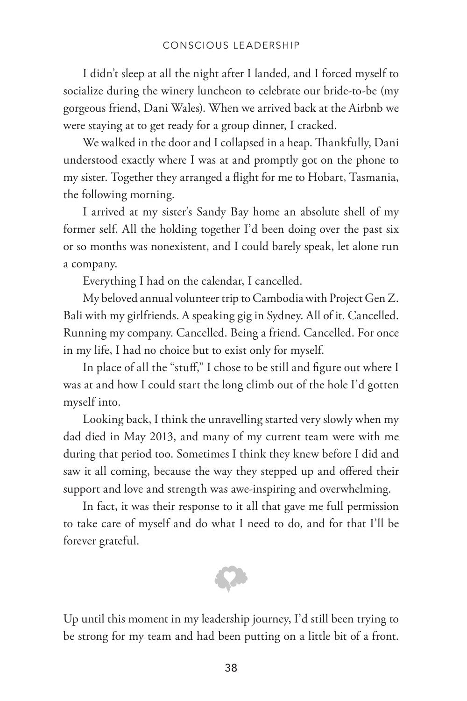I didn't sleep at all the night after I landed, and I forced myself to socialize during the winery luncheon to celebrate our bride-to-be (my gorgeous friend, Dani Wales). When we arrived back at the Airbnb we were staying at to get ready for a group dinner, I cracked.

We walked in the door and I collapsed in a heap. Thankfully, Dani understood exactly where I was at and promptly got on the phone to my sister. Together they arranged a flight for me to Hobart, Tasmania, the following morning.

I arrived at my sister's Sandy Bay home an absolute shell of my former self. All the holding together I'd been doing over the past six or so months was nonexistent, and I could barely speak, let alone run a company.

Everything I had on the calendar, I cancelled.

My beloved annual volunteer trip to Cambodia with Project Gen Z. Bali with my girlfriends. A speaking gig in Sydney. All of it. Cancelled. Running my company. Cancelled. Being a friend. Cancelled. For once in my life, I had no choice but to exist only for myself.

In place of all the "stuff," I chose to be still and figure out where I was at and how I could start the long climb out of the hole I'd gotten myself into.

Looking back, I think the unravelling started very slowly when my dad died in May 2013, and many of my current team were with me during that period too. Sometimes I think they knew before I did and saw it all coming, because the way they stepped up and offered their support and love and strength was awe-inspiring and overwhelming.

In fact, it was their response to it all that gave me full permission to take care of myself and do what I need to do, and for that I'll be forever grateful.



Up until this moment in my leadership journey, I'd still been trying to be strong for my team and had been putting on a little bit of a front.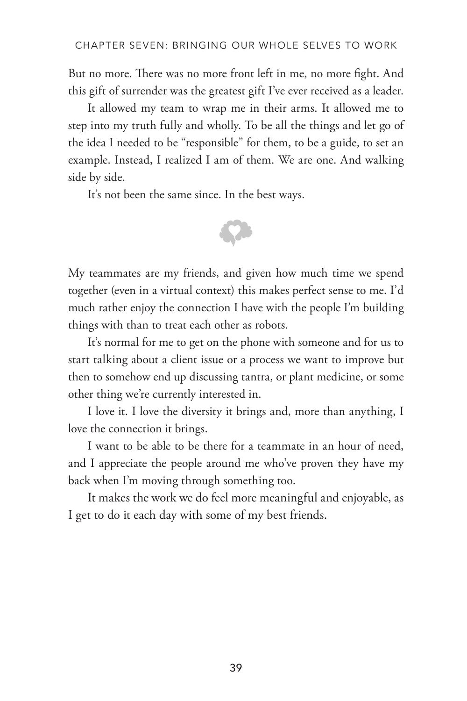But no more. There was no more front left in me, no more fight. And this gift of surrender was the greatest gift I've ever received as a leader.

It allowed my team to wrap me in their arms. It allowed me to step into my truth fully and wholly. To be all the things and let go of the idea I needed to be "responsible" for them, to be a guide, to set an example. Instead, I realized I am of them. We are one. And walking side by side.

It's not been the same since. In the best ways.



My teammates are my friends, and given how much time we spend together (even in a virtual context) this makes perfect sense to me. I'd much rather enjoy the connection I have with the people I'm building things with than to treat each other as robots.

It's normal for me to get on the phone with someone and for us to start talking about a client issue or a process we want to improve but then to somehow end up discussing tantra, or plant medicine, or some other thing we're currently interested in.

I love it. I love the diversity it brings and, more than anything, I love the connection it brings.

I want to be able to be there for a teammate in an hour of need, and I appreciate the people around me who've proven they have my back when I'm moving through something too.

It makes the work we do feel more meaningful and enjoyable, as I get to do it each day with some of my best friends.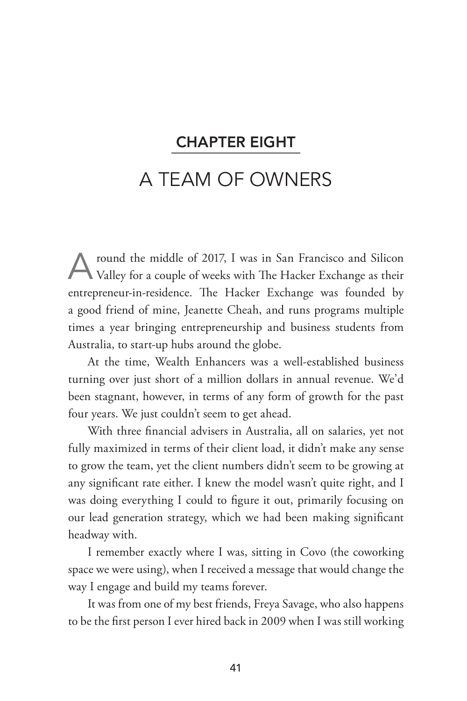## CHAPTER EIGHT

## A TEAM OF OWNERS

Around the middle of 2017, I was in San Francisco and Silicon Valley for a couple of weeks with The Hacker Exchange as their entrepreneur-in-residence. The Hacker Exchange was founded by a good friend of mine, Jeanette Cheah, and runs programs multiple times a year bringing entrepreneurship and business students from Australia, to start-up hubs around the globe.

At the time, Wealth Enhancers was a well-established business turning over just short of a million dollars in annual revenue. We'd been stagnant, however, in terms of any form of growth for the past four years. We just couldn't seem to get ahead.

With three financial advisers in Australia, all on salaries, yet not fully maximized in terms of their client load, it didn't make any sense to grow the team, yet the client numbers didn't seem to be growing at any significant rate either. I knew the model wasn't quite right, and I was doing everything I could to figure it out, primarily focusing on our lead generation strategy, which we had been making significant headway with.

I remember exactly where I was, sitting in Covo (the coworking space we were using), when I received a message that would change the way I engage and build my teams forever.

It was from one of my best friends, Freya Savage, who also happens to be the first person I ever hired back in 2009 when I was still working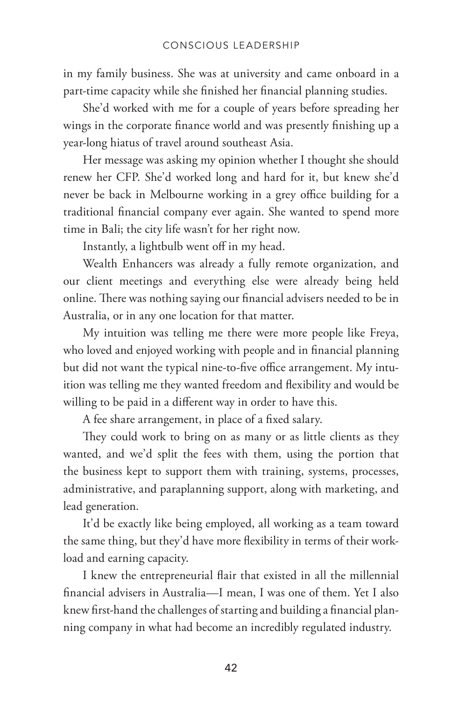in my family business. She was at university and came onboard in a part-time capacity while she finished her financial planning studies.

She'd worked with me for a couple of years before spreading her wings in the corporate finance world and was presently finishing up a year-long hiatus of travel around southeast Asia.

Her message was asking my opinion whether I thought she should renew her CFP. She'd worked long and hard for it, but knew she'd never be back in Melbourne working in a grey office building for a traditional financial company ever again. She wanted to spend more time in Bali; the city life wasn't for her right now.

Instantly, a lightbulb went off in my head.

Wealth Enhancers was already a fully remote organization, and our client meetings and everything else were already being held online. There was nothing saying our financial advisers needed to be in Australia, or in any one location for that matter.

My intuition was telling me there were more people like Freya, who loved and enjoyed working with people and in financial planning but did not want the typical nine-to-five office arrangement. My intuition was telling me they wanted freedom and flexibility and would be willing to be paid in a different way in order to have this.

A fee share arrangement, in place of a fixed salary.

They could work to bring on as many or as little clients as they wanted, and we'd split the fees with them, using the portion that the business kept to support them with training, systems, processes, administrative, and paraplanning support, along with marketing, and lead generation.

It'd be exactly like being employed, all working as a team toward the same thing, but they'd have more flexibility in terms of their workload and earning capacity.

I knew the entrepreneurial flair that existed in all the millennial financial advisers in Australia—I mean, I was one of them. Yet I also knew first-hand the challenges of starting and building a financial planning company in what had become an incredibly regulated industry.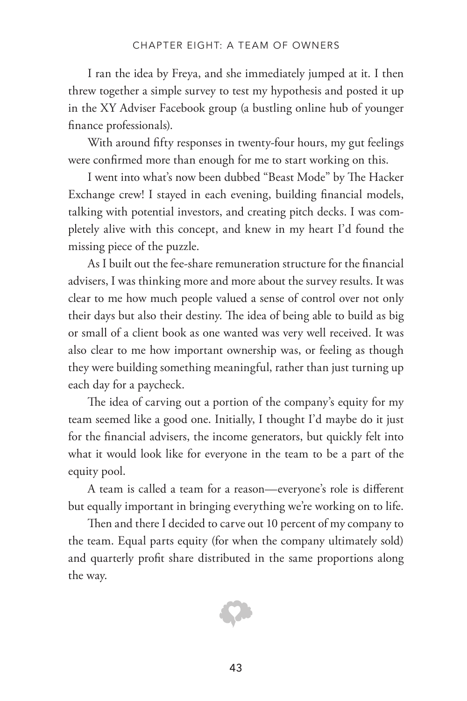I ran the idea by Freya, and she immediately jumped at it. I then threw together a simple survey to test my hypothesis and posted it up in the XY Adviser Facebook group (a bustling online hub of younger finance professionals).

With around fifty responses in twenty-four hours, my gut feelings were confirmed more than enough for me to start working on this.

I went into what's now been dubbed "Beast Mode" by The Hacker Exchange crew! I stayed in each evening, building financial models, talking with potential investors, and creating pitch decks. I was completely alive with this concept, and knew in my heart I'd found the missing piece of the puzzle.

As I built out the fee-share remuneration structure for the financial advisers, I was thinking more and more about the survey results. It was clear to me how much people valued a sense of control over not only their days but also their destiny. The idea of being able to build as big or small of a client book as one wanted was very well received. It was also clear to me how important ownership was, or feeling as though they were building something meaningful, rather than just turning up each day for a paycheck.

The idea of carving out a portion of the company's equity for my team seemed like a good one. Initially, I thought I'd maybe do it just for the financial advisers, the income generators, but quickly felt into what it would look like for everyone in the team to be a part of the equity pool.

A team is called a team for a reason—everyone's role is different but equally important in bringing everything we're working on to life.

Then and there I decided to carve out 10 percent of my company to the team. Equal parts equity (for when the company ultimately sold) and quarterly profit share distributed in the same proportions along the way.

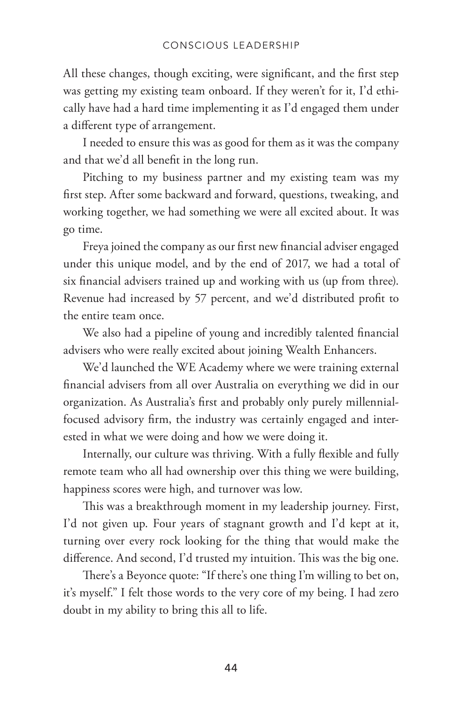All these changes, though exciting, were significant, and the first step was getting my existing team onboard. If they weren't for it, I'd ethically have had a hard time implementing it as I'd engaged them under a different type of arrangement.

I needed to ensure this was as good for them as it was the company and that we'd all benefit in the long run.

Pitching to my business partner and my existing team was my first step. After some backward and forward, questions, tweaking, and working together, we had something we were all excited about. It was go time.

Freya joined the company as our first new financial adviser engaged under this unique model, and by the end of 2017, we had a total of six financial advisers trained up and working with us (up from three). Revenue had increased by 57 percent, and we'd distributed profit to the entire team once.

We also had a pipeline of young and incredibly talented financial advisers who were really excited about joining Wealth Enhancers.

We'd launched the WE Academy where we were training external financial advisers from all over Australia on everything we did in our organization. As Australia's first and probably only purely millennialfocused advisory firm, the industry was certainly engaged and interested in what we were doing and how we were doing it.

Internally, our culture was thriving. With a fully flexible and fully remote team who all had ownership over this thing we were building, happiness scores were high, and turnover was low.

This was a breakthrough moment in my leadership journey. First, I'd not given up. Four years of stagnant growth and I'd kept at it, turning over every rock looking for the thing that would make the difference. And second, I'd trusted my intuition. This was the big one.

There's a Beyonce quote: "If there's one thing I'm willing to bet on, it's myself." I felt those words to the very core of my being. I had zero doubt in my ability to bring this all to life.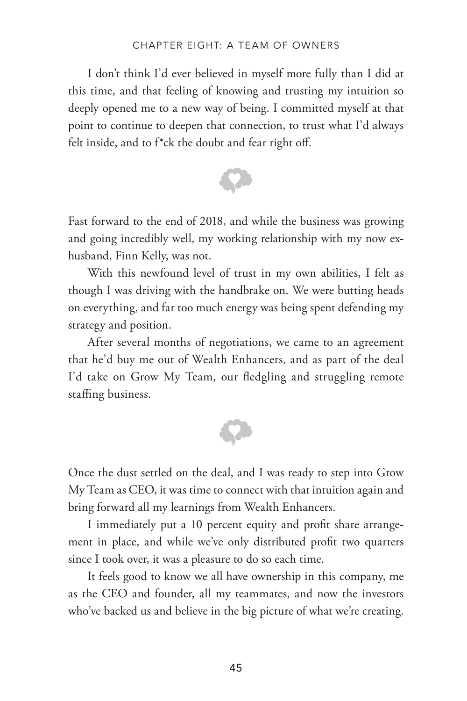#### Chapter Eight: A team of owners

I don't think I'd ever believed in myself more fully than I did at this time, and that feeling of knowing and trusting my intuition so deeply opened me to a new way of being. I committed myself at that point to continue to deepen that connection, to trust what I'd always felt inside, and to f\*ck the doubt and fear right off.



Fast forward to the end of 2018, and while the business was growing and going incredibly well, my working relationship with my now exhusband, Finn Kelly, was not.

With this newfound level of trust in my own abilities, I felt as though I was driving with the handbrake on. We were butting heads on everything, and far too much energy was being spent defending my strategy and position.

After several months of negotiations, we came to an agreement that he'd buy me out of Wealth Enhancers, and as part of the deal I'd take on Grow My Team, our fledgling and struggling remote staffing business.



Once the dust settled on the deal, and I was ready to step into Grow My Team as CEO, it was time to connect with that intuition again and bring forward all my learnings from Wealth Enhancers.

I immediately put a 10 percent equity and profit share arrangement in place, and while we've only distributed profit two quarters since I took over, it was a pleasure to do so each time.

It feels good to know we all have ownership in this company, me as the CEO and founder, all my teammates, and now the investors who've backed us and believe in the big picture of what we're creating.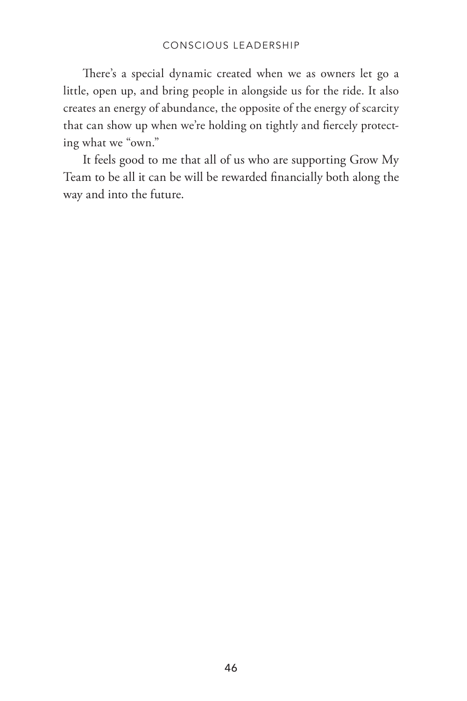There's a special dynamic created when we as owners let go a little, open up, and bring people in alongside us for the ride. It also creates an energy of abundance, the opposite of the energy of scarcity that can show up when we're holding on tightly and fiercely protecting what we "own."

It feels good to me that all of us who are supporting Grow My Team to be all it can be will be rewarded financially both along the way and into the future.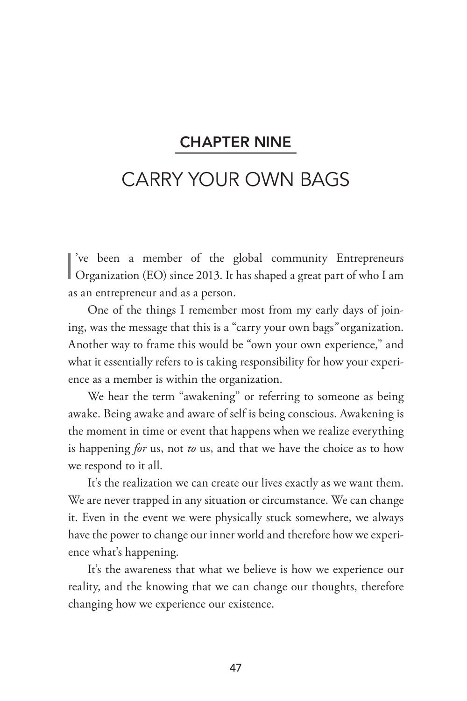### CHAPTER NINE

# CARRY YOUR OWN BAGS

I've been a member of the global community Entrepreneurs<br>Organization (EO) since 2013. It has shaped a great part of who I am 've been a member of the global community Entrepreneurs as an entrepreneur and as a person.

One of the things I remember most from my early days of joining, was the message that this is a "carry your own bags*"* organization. Another way to frame this would be "own your own experience," and what it essentially refers to is taking responsibility for how your experience as a member is within the organization.

We hear the term "awakening" or referring to someone as being awake. Being awake and aware of self is being conscious. Awakening is the moment in time or event that happens when we realize everything is happening *for* us, not *to* us, and that we have the choice as to how we respond to it all.

It's the realization we can create our lives exactly as we want them. We are never trapped in any situation or circumstance. We can change it. Even in the event we were physically stuck somewhere, we always have the power to change our inner world and therefore how we experience what's happening.

It's the awareness that what we believe is how we experience our reality, and the knowing that we can change our thoughts, therefore changing how we experience our existence.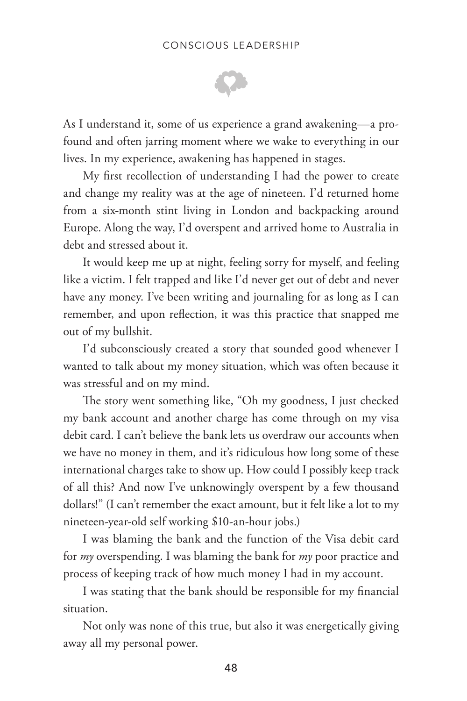

As I understand it, some of us experience a grand awakening—a profound and often jarring moment where we wake to everything in our lives. In my experience, awakening has happened in stages.

My first recollection of understanding I had the power to create and change my reality was at the age of nineteen. I'd returned home from a six-month stint living in London and backpacking around Europe. Along the way, I'd overspent and arrived home to Australia in debt and stressed about it.

It would keep me up at night, feeling sorry for myself, and feeling like a victim. I felt trapped and like I'd never get out of debt and never have any money. I've been writing and journaling for as long as I can remember, and upon reflection, it was this practice that snapped me out of my bullshit.

I'd subconsciously created a story that sounded good whenever I wanted to talk about my money situation, which was often because it was stressful and on my mind.

The story went something like, "Oh my goodness, I just checked my bank account and another charge has come through on my visa debit card. I can't believe the bank lets us overdraw our accounts when we have no money in them, and it's ridiculous how long some of these international charges take to show up. How could I possibly keep track of all this? And now I've unknowingly overspent by a few thousand dollars!" (I can't remember the exact amount, but it felt like a lot to my nineteen-year-old self working \$10-an-hour jobs.)

I was blaming the bank and the function of the Visa debit card for *my* overspending. I was blaming the bank for *my* poor practice and process of keeping track of how much money I had in my account.

I was stating that the bank should be responsible for my financial situation.

Not only was none of this true, but also it was energetically giving away all my personal power.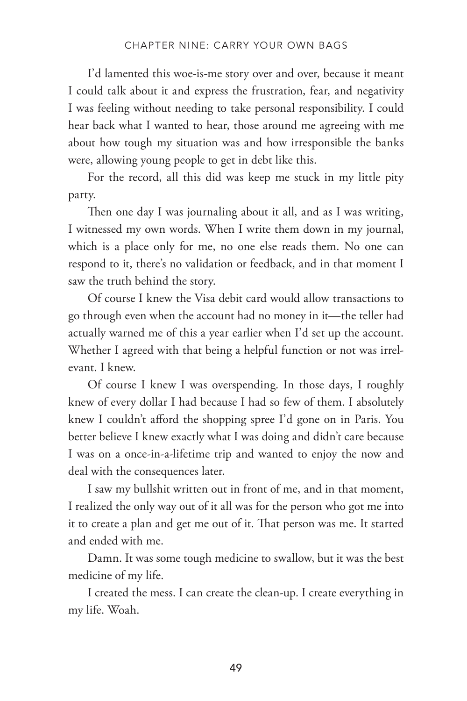#### Chapter Nine: Carry your own bags

I'd lamented this woe-is-me story over and over, because it meant I could talk about it and express the frustration, fear, and negativity I was feeling without needing to take personal responsibility. I could hear back what I wanted to hear, those around me agreeing with me about how tough my situation was and how irresponsible the banks were, allowing young people to get in debt like this.

For the record, all this did was keep me stuck in my little pity party.

Then one day I was journaling about it all, and as I was writing, I witnessed my own words. When I write them down in my journal, which is a place only for me, no one else reads them. No one can respond to it, there's no validation or feedback, and in that moment I saw the truth behind the story.

Of course I knew the Visa debit card would allow transactions to go through even when the account had no money in it—the teller had actually warned me of this a year earlier when I'd set up the account. Whether I agreed with that being a helpful function or not was irrelevant. I knew.

Of course I knew I was overspending. In those days, I roughly knew of every dollar I had because I had so few of them. I absolutely knew I couldn't afford the shopping spree I'd gone on in Paris. You better believe I knew exactly what I was doing and didn't care because I was on a once-in-a-lifetime trip and wanted to enjoy the now and deal with the consequences later.

I saw my bullshit written out in front of me, and in that moment, I realized the only way out of it all was for the person who got me into it to create a plan and get me out of it. That person was me. It started and ended with me.

Damn. It was some tough medicine to swallow, but it was the best medicine of my life.

I created the mess. I can create the clean-up. I create everything in my life. Woah.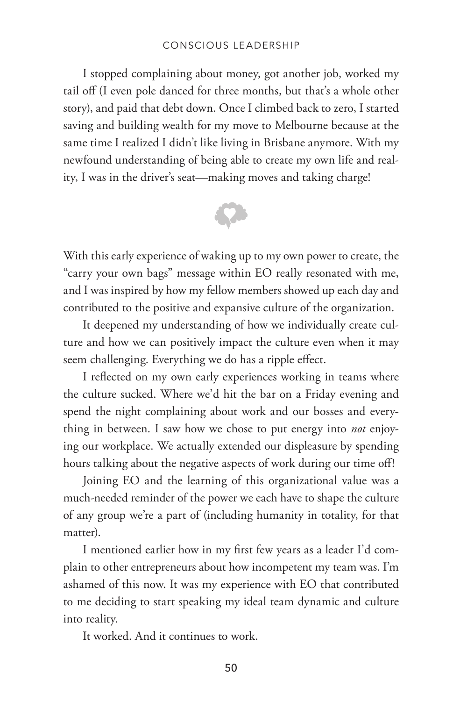#### CONSCIOUS LEADERSHIP

I stopped complaining about money, got another job, worked my tail off (I even pole danced for three months, but that's a whole other story), and paid that debt down. Once I climbed back to zero, I started saving and building wealth for my move to Melbourne because at the same time I realized I didn't like living in Brisbane anymore. With my newfound understanding of being able to create my own life and reality, I was in the driver's seat—making moves and taking charge!



With this early experience of waking up to my own power to create, the "carry your own bags" message within EO really resonated with me, and I was inspired by how my fellow members showed up each day and contributed to the positive and expansive culture of the organization.

It deepened my understanding of how we individually create culture and how we can positively impact the culture even when it may seem challenging. Everything we do has a ripple effect.

I reflected on my own early experiences working in teams where the culture sucked. Where we'd hit the bar on a Friday evening and spend the night complaining about work and our bosses and everything in between. I saw how we chose to put energy into *not* enjoying our workplace. We actually extended our displeasure by spending hours talking about the negative aspects of work during our time off!

Joining EO and the learning of this organizational value was a much-needed reminder of the power we each have to shape the culture of any group we're a part of (including humanity in totality, for that matter).

I mentioned earlier how in my first few years as a leader I'd complain to other entrepreneurs about how incompetent my team was. I'm ashamed of this now. It was my experience with EO that contributed to me deciding to start speaking my ideal team dynamic and culture into reality.

It worked. And it continues to work.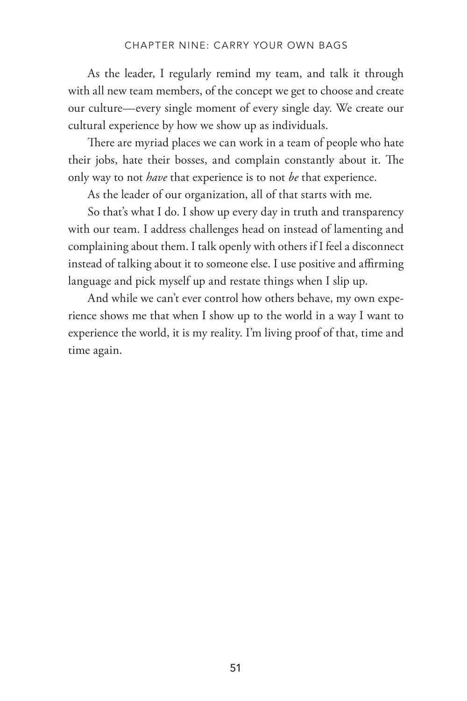#### Chapter Nine: Carry your own bags

As the leader, I regularly remind my team, and talk it through with all new team members, of the concept we get to choose and create our culture—every single moment of every single day. We create our cultural experience by how we show up as individuals.

There are myriad places we can work in a team of people who hate their jobs, hate their bosses, and complain constantly about it. The only way to not *have* that experience is to not *be* that experience.

As the leader of our organization, all of that starts with me.

So that's what I do. I show up every day in truth and transparency with our team. I address challenges head on instead of lamenting and complaining about them. I talk openly with others if I feel a disconnect instead of talking about it to someone else. I use positive and affirming language and pick myself up and restate things when I slip up.

And while we can't ever control how others behave, my own experience shows me that when I show up to the world in a way I want to experience the world, it is my reality. I'm living proof of that, time and time again.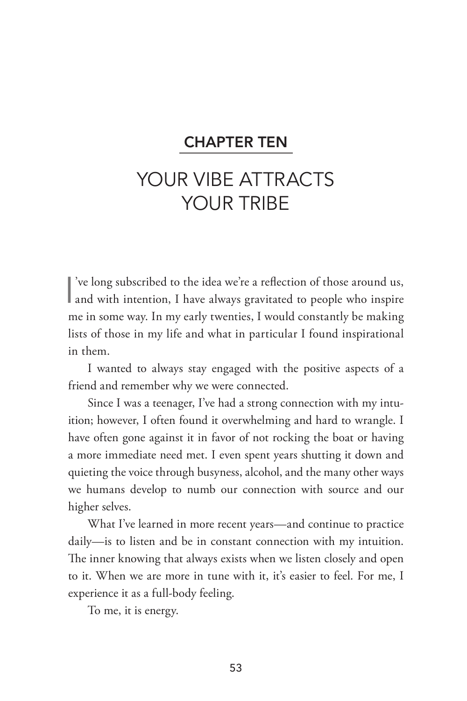### CHAPTER TEN

# YOUR VIBE ATTRACTS YOUR TRIBE

I've long subscribed to the idea we're a reflection of those around us,<br>and with intention, I have always gravitated to people who inspire 've long subscribed to the idea we're a reflection of those around us, me in some way. In my early twenties, I would constantly be making lists of those in my life and what in particular I found inspirational in them.

I wanted to always stay engaged with the positive aspects of a friend and remember why we were connected.

Since I was a teenager, I've had a strong connection with my intuition; however, I often found it overwhelming and hard to wrangle. I have often gone against it in favor of not rocking the boat or having a more immediate need met. I even spent years shutting it down and quieting the voice through busyness, alcohol, and the many other ways we humans develop to numb our connection with source and our higher selves.

What I've learned in more recent years—and continue to practice daily—is to listen and be in constant connection with my intuition. The inner knowing that always exists when we listen closely and open to it. When we are more in tune with it, it's easier to feel. For me, I experience it as a full-body feeling.

To me, it is energy.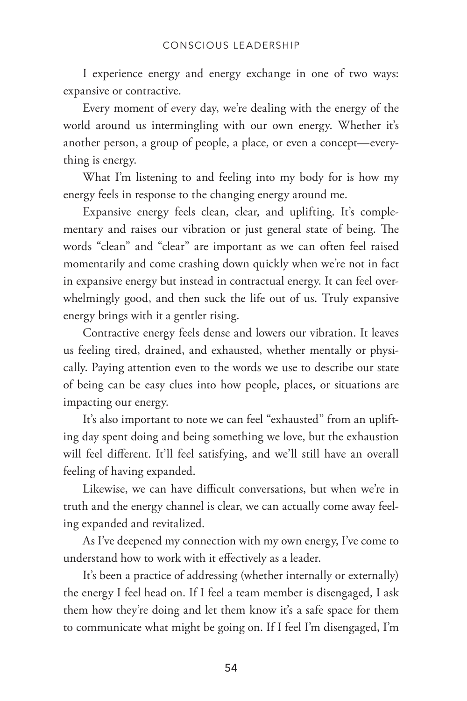### CONSCIOUS LEADERSHIP

I experience energy and energy exchange in one of two ways: expansive or contractive.

Every moment of every day, we're dealing with the energy of the world around us intermingling with our own energy. Whether it's another person, a group of people, a place, or even a concept—everything is energy.

What I'm listening to and feeling into my body for is how my energy feels in response to the changing energy around me.

Expansive energy feels clean, clear, and uplifting. It's complementary and raises our vibration or just general state of being. The words "clean" and "clear" are important as we can often feel raised momentarily and come crashing down quickly when we're not in fact in expansive energy but instead in contractual energy. It can feel overwhelmingly good, and then suck the life out of us. Truly expansive energy brings with it a gentler rising.

Contractive energy feels dense and lowers our vibration. It leaves us feeling tired, drained, and exhausted, whether mentally or physically. Paying attention even to the words we use to describe our state of being can be easy clues into how people, places, or situations are impacting our energy.

It's also important to note we can feel "exhausted" from an uplifting day spent doing and being something we love, but the exhaustion will feel different. It'll feel satisfying, and we'll still have an overall feeling of having expanded.

Likewise, we can have difficult conversations, but when we're in truth and the energy channel is clear, we can actually come away feeling expanded and revitalized.

As I've deepened my connection with my own energy, I've come to understand how to work with it effectively as a leader.

It's been a practice of addressing (whether internally or externally) the energy I feel head on. If I feel a team member is disengaged, I ask them how they're doing and let them know it's a safe space for them to communicate what might be going on. If I feel I'm disengaged, I'm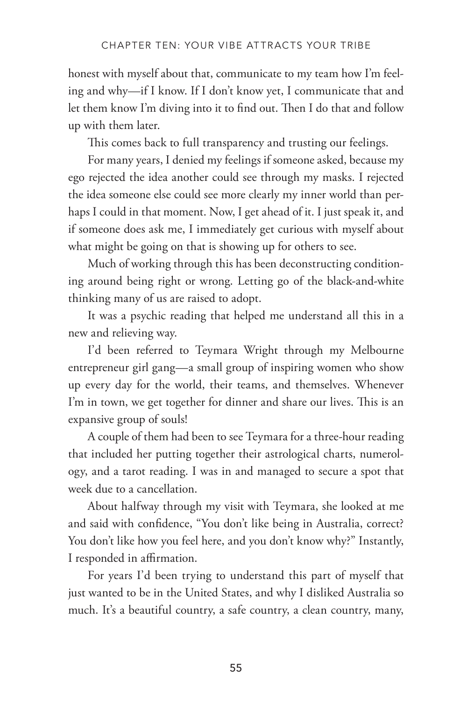honest with myself about that, communicate to my team how I'm feeling and why—if I know. If I don't know yet, I communicate that and let them know I'm diving into it to find out. Then I do that and follow up with them later.

This comes back to full transparency and trusting our feelings.

For many years, I denied my feelings if someone asked, because my ego rejected the idea another could see through my masks. I rejected the idea someone else could see more clearly my inner world than perhaps I could in that moment. Now, I get ahead of it. I just speak it, and if someone does ask me, I immediately get curious with myself about what might be going on that is showing up for others to see.

Much of working through this has been deconstructing conditioning around being right or wrong. Letting go of the black-and-white thinking many of us are raised to adopt.

It was a psychic reading that helped me understand all this in a new and relieving way.

I'd been referred to Teymara Wright through my Melbourne entrepreneur girl gang—a small group of inspiring women who show up every day for the world, their teams, and themselves. Whenever I'm in town, we get together for dinner and share our lives. This is an expansive group of souls!

A couple of them had been to see Teymara for a three-hour reading that included her putting together their astrological charts, numerology, and a tarot reading. I was in and managed to secure a spot that week due to a cancellation.

About halfway through my visit with Teymara, she looked at me and said with confidence, "You don't like being in Australia, correct? You don't like how you feel here, and you don't know why?" Instantly, I responded in affirmation.

For years I'd been trying to understand this part of myself that just wanted to be in the United States, and why I disliked Australia so much. It's a beautiful country, a safe country, a clean country, many,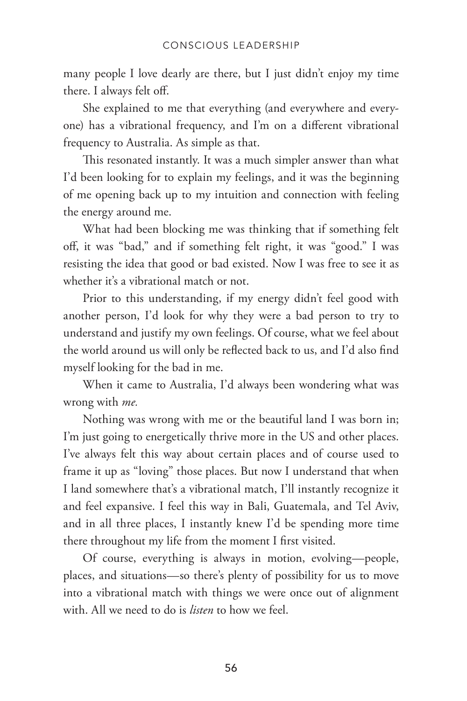many people I love dearly are there, but I just didn't enjoy my time there. I always felt off.

She explained to me that everything (and everywhere and everyone) has a vibrational frequency, and I'm on a different vibrational frequency to Australia. As simple as that.

This resonated instantly. It was a much simpler answer than what I'd been looking for to explain my feelings, and it was the beginning of me opening back up to my intuition and connection with feeling the energy around me.

What had been blocking me was thinking that if something felt off, it was "bad," and if something felt right, it was "good." I was resisting the idea that good or bad existed. Now I was free to see it as whether it's a vibrational match or not.

Prior to this understanding, if my energy didn't feel good with another person, I'd look for why they were a bad person to try to understand and justify my own feelings. Of course, what we feel about the world around us will only be reflected back to us, and I'd also find myself looking for the bad in me.

When it came to Australia, I'd always been wondering what was wrong with *me.*

Nothing was wrong with me or the beautiful land I was born in; I'm just going to energetically thrive more in the US and other places. I've always felt this way about certain places and of course used to frame it up as "loving" those places. But now I understand that when I land somewhere that's a vibrational match, I'll instantly recognize it and feel expansive. I feel this way in Bali, Guatemala, and Tel Aviv, and in all three places, I instantly knew I'd be spending more time there throughout my life from the moment I first visited.

Of course, everything is always in motion, evolving—people, places, and situations—so there's plenty of possibility for us to move into a vibrational match with things we were once out of alignment with. All we need to do is *listen* to how we feel.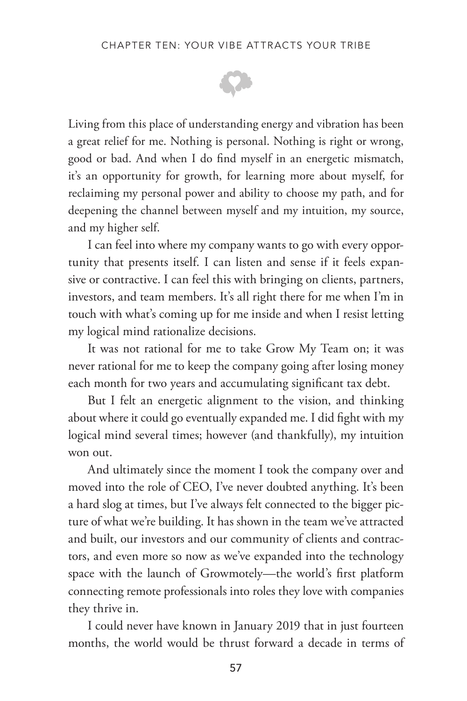

Living from this place of understanding energy and vibration has been a great relief for me. Nothing is personal. Nothing is right or wrong, good or bad. And when I do find myself in an energetic mismatch, it's an opportunity for growth, for learning more about myself, for reclaiming my personal power and ability to choose my path, and for deepening the channel between myself and my intuition, my source, and my higher self.

I can feel into where my company wants to go with every opportunity that presents itself. I can listen and sense if it feels expansive or contractive. I can feel this with bringing on clients, partners, investors, and team members. It's all right there for me when I'm in touch with what's coming up for me inside and when I resist letting my logical mind rationalize decisions.

It was not rational for me to take Grow My Team on; it was never rational for me to keep the company going after losing money each month for two years and accumulating significant tax debt.

But I felt an energetic alignment to the vision, and thinking about where it could go eventually expanded me. I did fight with my logical mind several times; however (and thankfully), my intuition won out.

And ultimately since the moment I took the company over and moved into the role of CEO, I've never doubted anything. It's been a hard slog at times, but I've always felt connected to the bigger picture of what we're building. It has shown in the team we've attracted and built, our investors and our community of clients and contractors, and even more so now as we've expanded into the technology space with the launch of Growmotely—the world's first platform connecting remote professionals into roles they love with companies they thrive in.

I could never have known in January 2019 that in just fourteen months, the world would be thrust forward a decade in terms of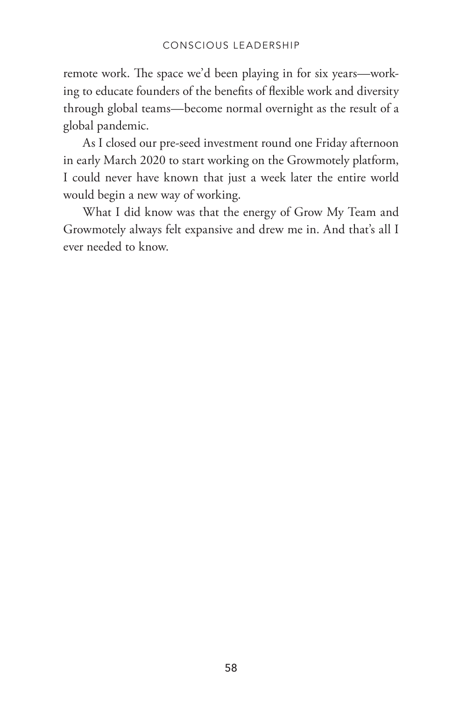remote work. The space we'd been playing in for six years—working to educate founders of the benefits of flexible work and diversity through global teams—become normal overnight as the result of a global pandemic.

As I closed our pre-seed investment round one Friday afternoon in early March 2020 to start working on the Growmotely platform, I could never have known that just a week later the entire world would begin a new way of working.

What I did know was that the energy of Grow My Team and Growmotely always felt expansive and drew me in. And that's all I ever needed to know.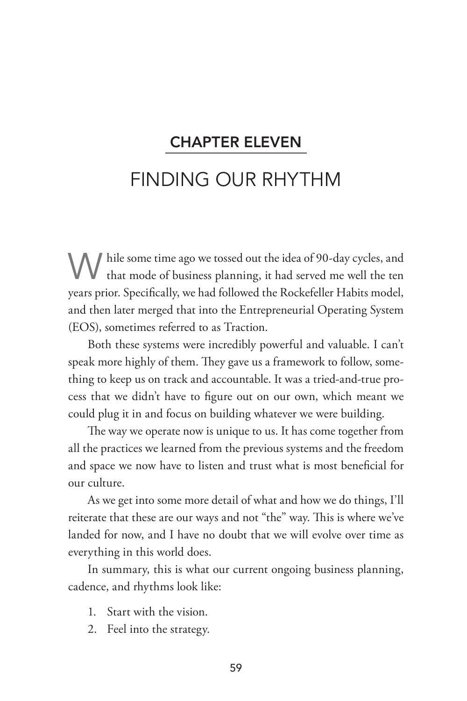## CHAPTER ELEVEN

# FINDING OUR RHYTHM

While some time ago we tossed out the idea of 90-day cycles, and that mode of business planning, it had served me well the ten years prior. Specifically, we had followed the Rockefeller Habits model, and then later merged that into the Entrepreneurial Operating System (EOS), sometimes referred to as Traction.

Both these systems were incredibly powerful and valuable. I can't speak more highly of them. They gave us a framework to follow, something to keep us on track and accountable. It was a tried-and-true process that we didn't have to figure out on our own, which meant we could plug it in and focus on building whatever we were building.

The way we operate now is unique to us. It has come together from all the practices we learned from the previous systems and the freedom and space we now have to listen and trust what is most beneficial for our culture.

As we get into some more detail of what and how we do things, I'll reiterate that these are our ways and not "the" way. This is where we've landed for now, and I have no doubt that we will evolve over time as everything in this world does.

In summary, this is what our current ongoing business planning, cadence, and rhythms look like:

- 1. Start with the vision.
- 2. Feel into the strategy.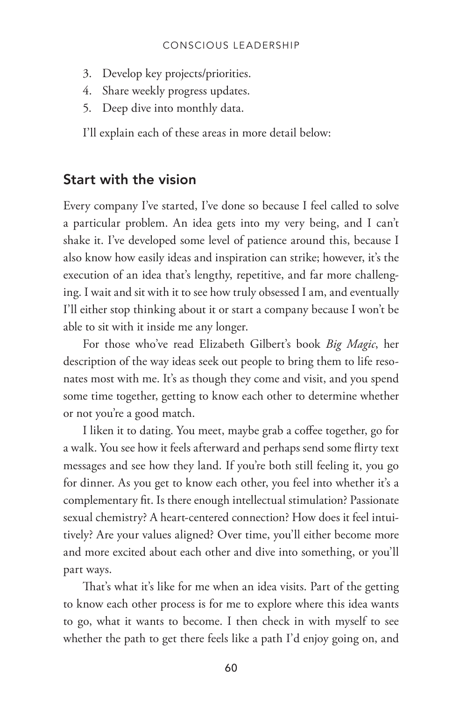### CONSCIOUS LEADERSHIP

- 3. Develop key projects/priorities.
- 4. Share weekly progress updates.
- 5. Deep dive into monthly data.

I'll explain each of these areas in more detail below:

### Start with the vision

Every company I've started, I've done so because I feel called to solve a particular problem. An idea gets into my very being, and I can't shake it. I've developed some level of patience around this, because I also know how easily ideas and inspiration can strike; however, it's the execution of an idea that's lengthy, repetitive, and far more challenging. I wait and sit with it to see how truly obsessed I am, and eventually I'll either stop thinking about it or start a company because I won't be able to sit with it inside me any longer.

For those who've read Elizabeth Gilbert's book *Big Magic*, her description of the way ideas seek out people to bring them to life resonates most with me. It's as though they come and visit, and you spend some time together, getting to know each other to determine whether or not you're a good match.

I liken it to dating. You meet, maybe grab a coffee together, go for a walk. You see how it feels afterward and perhaps send some flirty text messages and see how they land. If you're both still feeling it, you go for dinner. As you get to know each other, you feel into whether it's a complementary fit. Is there enough intellectual stimulation? Passionate sexual chemistry? A heart-centered connection? How does it feel intuitively? Are your values aligned? Over time, you'll either become more and more excited about each other and dive into something, or you'll part ways.

That's what it's like for me when an idea visits. Part of the getting to know each other process is for me to explore where this idea wants to go, what it wants to become. I then check in with myself to see whether the path to get there feels like a path I'd enjoy going on, and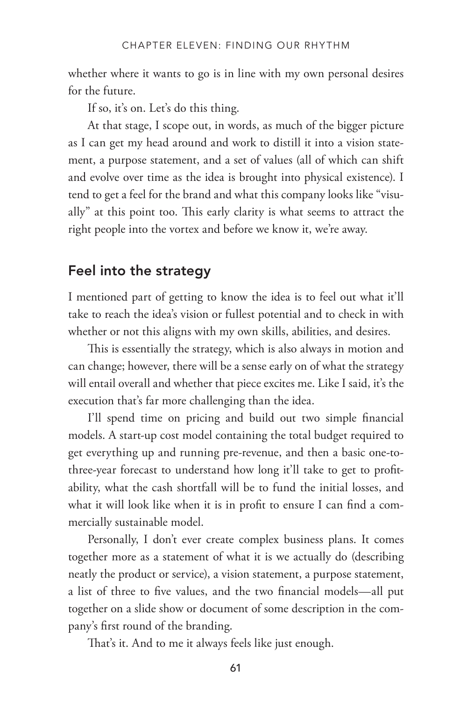whether where it wants to go is in line with my own personal desires for the future.

If so, it's on. Let's do this thing.

At that stage, I scope out, in words, as much of the bigger picture as I can get my head around and work to distill it into a vision statement, a purpose statement, and a set of values (all of which can shift and evolve over time as the idea is brought into physical existence). I tend to get a feel for the brand and what this company looks like "visually" at this point too. This early clarity is what seems to attract the right people into the vortex and before we know it, we're away.

### Feel into the strategy

I mentioned part of getting to know the idea is to feel out what it'll take to reach the idea's vision or fullest potential and to check in with whether or not this aligns with my own skills, abilities, and desires.

This is essentially the strategy, which is also always in motion and can change; however, there will be a sense early on of what the strategy will entail overall and whether that piece excites me. Like I said, it's the execution that's far more challenging than the idea.

I'll spend time on pricing and build out two simple financial models. A start-up cost model containing the total budget required to get everything up and running pre-revenue, and then a basic one-tothree-year forecast to understand how long it'll take to get to profitability, what the cash shortfall will be to fund the initial losses, and what it will look like when it is in profit to ensure I can find a commercially sustainable model.

Personally, I don't ever create complex business plans. It comes together more as a statement of what it is we actually do (describing neatly the product or service), a vision statement, a purpose statement, a list of three to five values, and the two financial models—all put together on a slide show or document of some description in the company's first round of the branding.

That's it. And to me it always feels like just enough.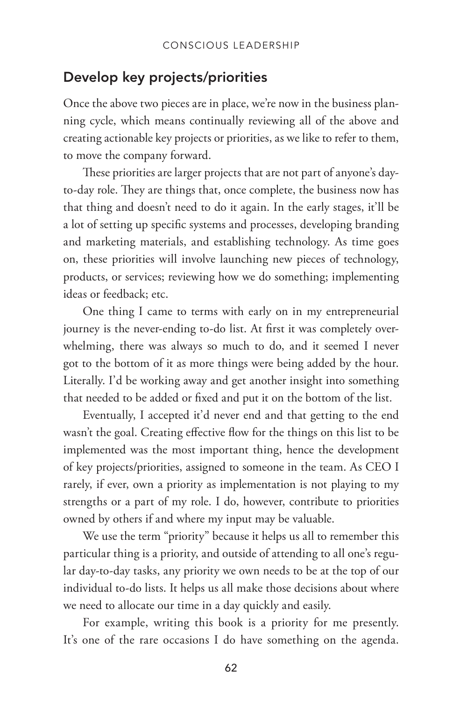## Develop key projects/priorities

Once the above two pieces are in place, we're now in the business planning cycle, which means continually reviewing all of the above and creating actionable key projects or priorities, as we like to refer to them, to move the company forward.

These priorities are larger projects that are not part of anyone's dayto-day role. They are things that, once complete, the business now has that thing and doesn't need to do it again. In the early stages, it'll be a lot of setting up specific systems and processes, developing branding and marketing materials, and establishing technology. As time goes on, these priorities will involve launching new pieces of technology, products, or services; reviewing how we do something; implementing ideas or feedback; etc.

One thing I came to terms with early on in my entrepreneurial journey is the never-ending to-do list. At first it was completely overwhelming, there was always so much to do, and it seemed I never got to the bottom of it as more things were being added by the hour. Literally. I'd be working away and get another insight into something that needed to be added or fixed and put it on the bottom of the list.

Eventually, I accepted it'd never end and that getting to the end wasn't the goal. Creating effective flow for the things on this list to be implemented was the most important thing, hence the development of key projects/priorities, assigned to someone in the team. As CEO I rarely, if ever, own a priority as implementation is not playing to my strengths or a part of my role. I do, however, contribute to priorities owned by others if and where my input may be valuable.

We use the term "priority" because it helps us all to remember this particular thing is a priority, and outside of attending to all one's regular day-to-day tasks, any priority we own needs to be at the top of our individual to-do lists. It helps us all make those decisions about where we need to allocate our time in a day quickly and easily.

For example, writing this book is a priority for me presently. It's one of the rare occasions I do have something on the agenda.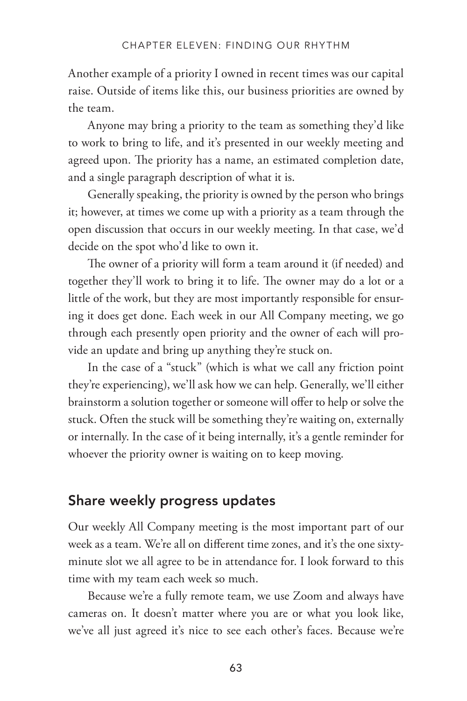Another example of a priority I owned in recent times was our capital raise. Outside of items like this, our business priorities are owned by the team.

Anyone may bring a priority to the team as something they'd like to work to bring to life, and it's presented in our weekly meeting and agreed upon. The priority has a name, an estimated completion date, and a single paragraph description of what it is.

Generally speaking, the priority is owned by the person who brings it; however, at times we come up with a priority as a team through the open discussion that occurs in our weekly meeting. In that case, we'd decide on the spot who'd like to own it.

The owner of a priority will form a team around it (if needed) and together they'll work to bring it to life. The owner may do a lot or a little of the work, but they are most importantly responsible for ensuring it does get done. Each week in our All Company meeting, we go through each presently open priority and the owner of each will provide an update and bring up anything they're stuck on.

In the case of a "stuck" (which is what we call any friction point they're experiencing), we'll ask how we can help. Generally, we'll either brainstorm a solution together or someone will offer to help or solve the stuck. Often the stuck will be something they're waiting on, externally or internally. In the case of it being internally, it's a gentle reminder for whoever the priority owner is waiting on to keep moving.

### Share weekly progress updates

Our weekly All Company meeting is the most important part of our week as a team. We're all on different time zones, and it's the one sixtyminute slot we all agree to be in attendance for. I look forward to this time with my team each week so much.

Because we're a fully remote team, we use Zoom and always have cameras on. It doesn't matter where you are or what you look like, we've all just agreed it's nice to see each other's faces. Because we're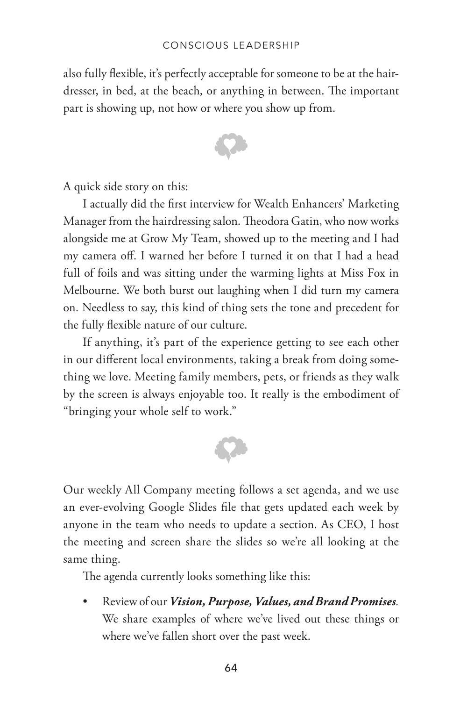also fully flexible, it's perfectly acceptable for someone to be at the hairdresser, in bed, at the beach, or anything in between. The important part is showing up, not how or where you show up from.



A quick side story on this:

I actually did the first interview for Wealth Enhancers' Marketing Manager from the hairdressing salon. Theodora Gatin, who now works alongside me at Grow My Team, showed up to the meeting and I had my camera off. I warned her before I turned it on that I had a head full of foils and was sitting under the warming lights at Miss Fox in Melbourne. We both burst out laughing when I did turn my camera on. Needless to say, this kind of thing sets the tone and precedent for the fully flexible nature of our culture.

If anything, it's part of the experience getting to see each other in our different local environments, taking a break from doing something we love. Meeting family members, pets, or friends as they walk by the screen is always enjoyable too. It really is the embodiment of "bringing your whole self to work."



Our weekly All Company meeting follows a set agenda, and we use an ever-evolving Google Slides file that gets updated each week by anyone in the team who needs to update a section. As CEO, I host the meeting and screen share the slides so we're all looking at the same thing.

The agenda currently looks something like this:

• Review of our *Vision, Purpose, Values, and Brand Promises.* We share examples of where we've lived out these things or where we've fallen short over the past week.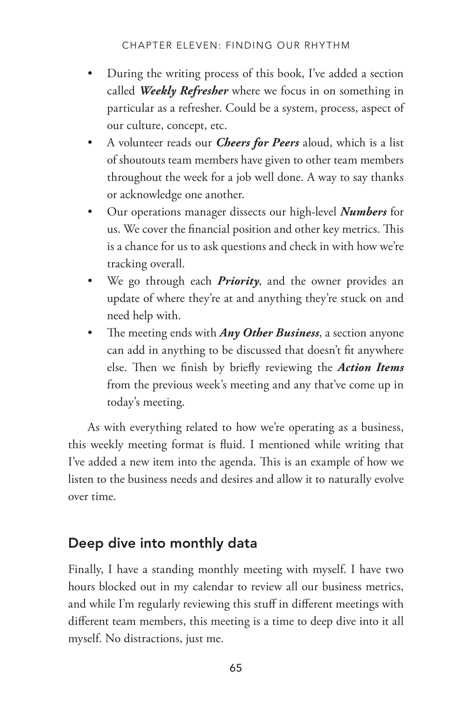- During the writing process of this book, I've added a section called *Weekly Refresher* where we focus in on something in particular as a refresher. Could be a system, process, aspect of our culture, concept, etc.
- A volunteer reads our *Cheers for Peers* aloud, which is a list of shoutouts team members have given to other team members throughout the week for a job well done. A way to say thanks or acknowledge one another.
- Our operations manager dissects our high-level *Numbers* for us. We cover the financial position and other key metrics. This is a chance for us to ask questions and check in with how we're tracking overall.
- We go through each *Priority*, and the owner provides an update of where they're at and anything they're stuck on and need help with.
- The meeting ends with *Any Other Business*, a section anyone can add in anything to be discussed that doesn't fit anywhere else. Then we finish by briefly reviewing the *Action Items* from the previous week's meeting and any that've come up in today's meeting.

As with everything related to how we're operating as a business, this weekly meeting format is fluid. I mentioned while writing that I've added a new item into the agenda. This is an example of how we listen to the business needs and desires and allow it to naturally evolve over time.

## Deep dive into monthly data

Finally, I have a standing monthly meeting with myself. I have two hours blocked out in my calendar to review all our business metrics, and while I'm regularly reviewing this stuff in different meetings with different team members, this meeting is a time to deep dive into it all myself. No distractions, just me.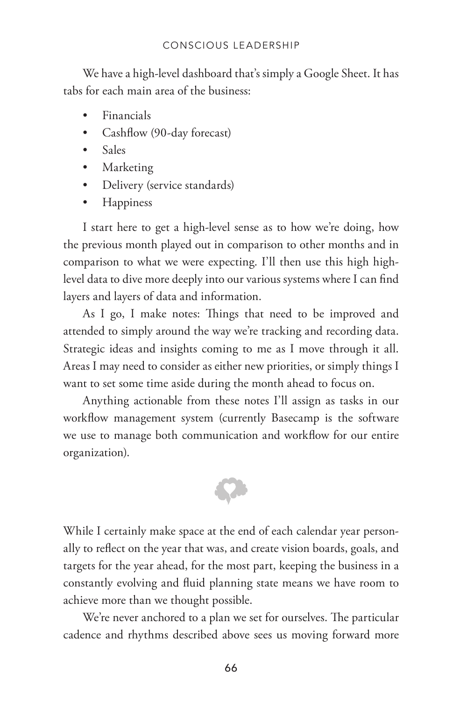We have a high-level dashboard that's simply a Google Sheet. It has tabs for each main area of the business:

- Financials
- Cashflow (90-day forecast)
- Sales
- Marketing
- Delivery (service standards)
- Happiness

I start here to get a high-level sense as to how we're doing, how the previous month played out in comparison to other months and in comparison to what we were expecting. I'll then use this high highlevel data to dive more deeply into our various systems where I can find layers and layers of data and information.

As I go, I make notes: Things that need to be improved and attended to simply around the way we're tracking and recording data. Strategic ideas and insights coming to me as I move through it all. Areas I may need to consider as either new priorities, or simply things I want to set some time aside during the month ahead to focus on.

Anything actionable from these notes I'll assign as tasks in our workflow management system (currently Basecamp is the software we use to manage both communication and workflow for our entire organization).



While I certainly make space at the end of each calendar year personally to reflect on the year that was, and create vision boards, goals, and targets for the year ahead, for the most part, keeping the business in a constantly evolving and fluid planning state means we have room to achieve more than we thought possible.

We're never anchored to a plan we set for ourselves. The particular cadence and rhythms described above sees us moving forward more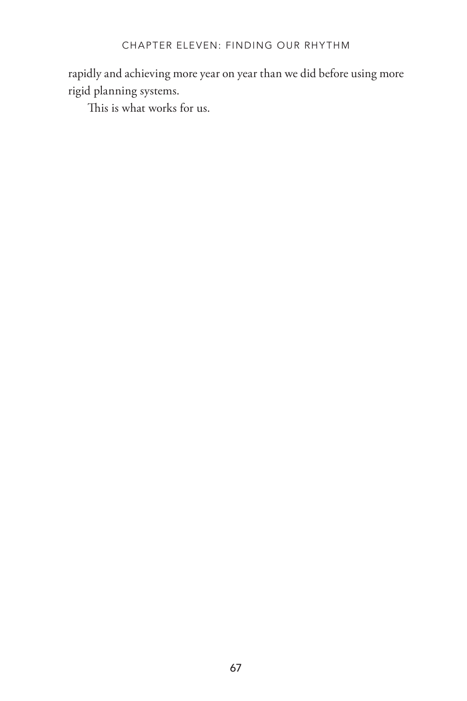rapidly and achieving more year on year than we did before using more rigid planning systems.

This is what works for us.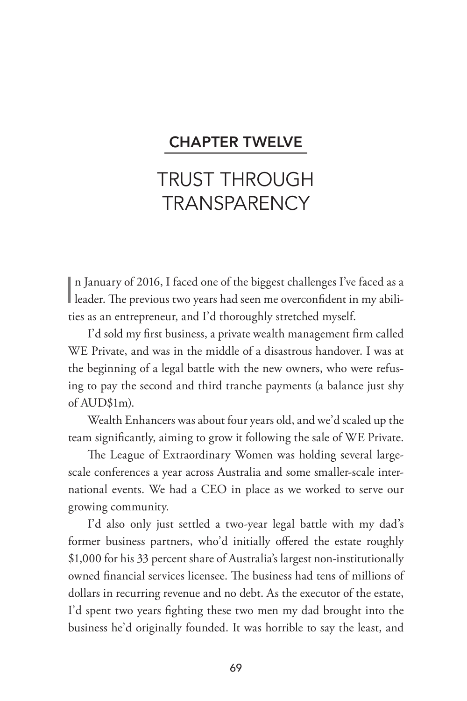## CHAPTER TWELVE

# TRUST THROUGH **TRANSPARENCY**

In January of 2016, I faced one of the biggest challenges I've faced as a leader. The previous two years had seen me overconfident in my abilin January of 2016, I faced one of the biggest challenges I've faced as a ties as an entrepreneur, and I'd thoroughly stretched myself.

I'd sold my first business, a private wealth management firm called WE Private, and was in the middle of a disastrous handover. I was at the beginning of a legal battle with the new owners, who were refusing to pay the second and third tranche payments (a balance just shy of AUD\$1m).

Wealth Enhancers was about four years old, and we'd scaled up the team significantly, aiming to grow it following the sale of WE Private.

The League of Extraordinary Women was holding several largescale conferences a year across Australia and some smaller-scale international events. We had a CEO in place as we worked to serve our growing community.

I'd also only just settled a two-year legal battle with my dad's former business partners, who'd initially offered the estate roughly \$1,000 for his 33 percent share of Australia's largest non-institutionally owned financial services licensee. The business had tens of millions of dollars in recurring revenue and no debt. As the executor of the estate, I'd spent two years fighting these two men my dad brought into the business he'd originally founded. It was horrible to say the least, and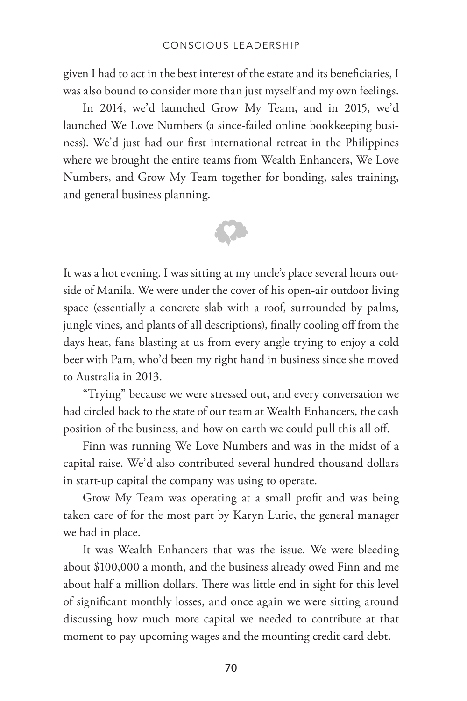given I had to act in the best interest of the estate and its beneficiaries, I was also bound to consider more than just myself and my own feelings.

In 2014, we'd launched Grow My Team, and in 2015, we'd launched We Love Numbers (a since-failed online bookkeeping business). We'd just had our first international retreat in the Philippines where we brought the entire teams from Wealth Enhancers, We Love Numbers, and Grow My Team together for bonding, sales training, and general business planning.



It was a hot evening. I was sitting at my uncle's place several hours outside of Manila. We were under the cover of his open-air outdoor living space (essentially a concrete slab with a roof, surrounded by palms, jungle vines, and plants of all descriptions), finally cooling off from the days heat, fans blasting at us from every angle trying to enjoy a cold beer with Pam, who'd been my right hand in business since she moved to Australia in 2013.

"Trying" because we were stressed out, and every conversation we had circled back to the state of our team at Wealth Enhancers, the cash position of the business, and how on earth we could pull this all off.

Finn was running We Love Numbers and was in the midst of a capital raise. We'd also contributed several hundred thousand dollars in start-up capital the company was using to operate.

Grow My Team was operating at a small profit and was being taken care of for the most part by Karyn Lurie, the general manager we had in place.

It was Wealth Enhancers that was the issue. We were bleeding about \$100,000 a month, and the business already owed Finn and me about half a million dollars. There was little end in sight for this level of significant monthly losses, and once again we were sitting around discussing how much more capital we needed to contribute at that moment to pay upcoming wages and the mounting credit card debt.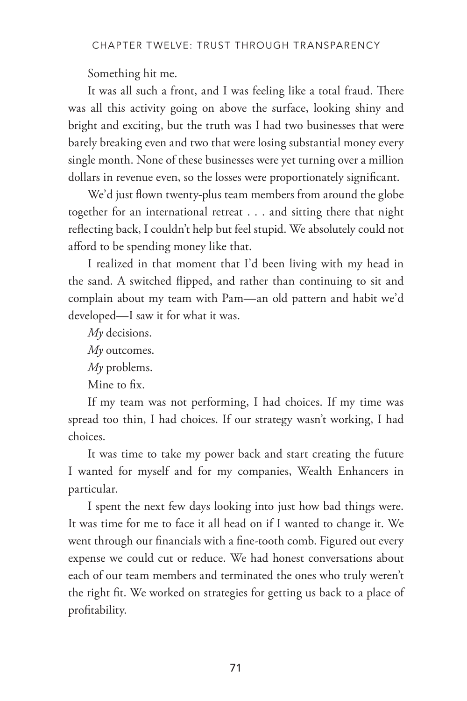Something hit me.

It was all such a front, and I was feeling like a total fraud. There was all this activity going on above the surface, looking shiny and bright and exciting, but the truth was I had two businesses that were barely breaking even and two that were losing substantial money every single month. None of these businesses were yet turning over a million dollars in revenue even, so the losses were proportionately significant.

We'd just flown twenty-plus team members from around the globe together for an international retreat . . . and sitting there that night reflecting back, I couldn't help but feel stupid. We absolutely could not afford to be spending money like that.

I realized in that moment that I'd been living with my head in the sand. A switched flipped, and rather than continuing to sit and complain about my team with Pam—an old pattern and habit we'd developed—I saw it for what it was.

*My* decisions.

*Mγ* outcomes.

*My* problems.

Mine to fix.

If my team was not performing, I had choices. If my time was spread too thin, I had choices. If our strategy wasn't working, I had choices.

It was time to take my power back and start creating the future I wanted for myself and for my companies, Wealth Enhancers in particular.

I spent the next few days looking into just how bad things were. It was time for me to face it all head on if I wanted to change it. We went through our financials with a fine-tooth comb. Figured out every expense we could cut or reduce. We had honest conversations about each of our team members and terminated the ones who truly weren't the right fit. We worked on strategies for getting us back to a place of profitability.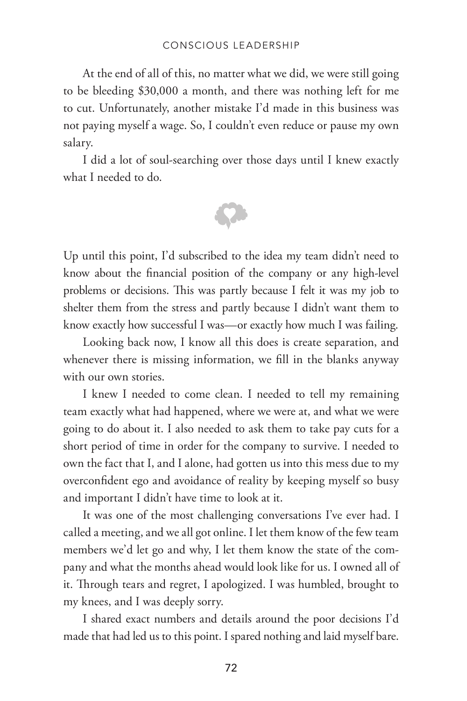At the end of all of this, no matter what we did, we were still going to be bleeding \$30,000 a month, and there was nothing left for me to cut. Unfortunately, another mistake I'd made in this business was not paying myself a wage. So, I couldn't even reduce or pause my own salary.

I did a lot of soul-searching over those days until I knew exactly what I needed to do.



Up until this point, I'd subscribed to the idea my team didn't need to know about the financial position of the company or any high-level problems or decisions. This was partly because I felt it was my job to shelter them from the stress and partly because I didn't want them to know exactly how successful I was—or exactly how much I was failing.

Looking back now, I know all this does is create separation, and whenever there is missing information, we fill in the blanks anyway with our own stories.

I knew I needed to come clean. I needed to tell my remaining team exactly what had happened, where we were at, and what we were going to do about it. I also needed to ask them to take pay cuts for a short period of time in order for the company to survive. I needed to own the fact that I, and I alone, had gotten us into this mess due to my overconfident ego and avoidance of reality by keeping myself so busy and important I didn't have time to look at it.

It was one of the most challenging conversations I've ever had. I called a meeting, and we all got online. I let them know of the few team members we'd let go and why, I let them know the state of the company and what the months ahead would look like for us. I owned all of it. Through tears and regret, I apologized. I was humbled, brought to my knees, and I was deeply sorry.

I shared exact numbers and details around the poor decisions I'd made that had led us to this point. I spared nothing and laid myself bare.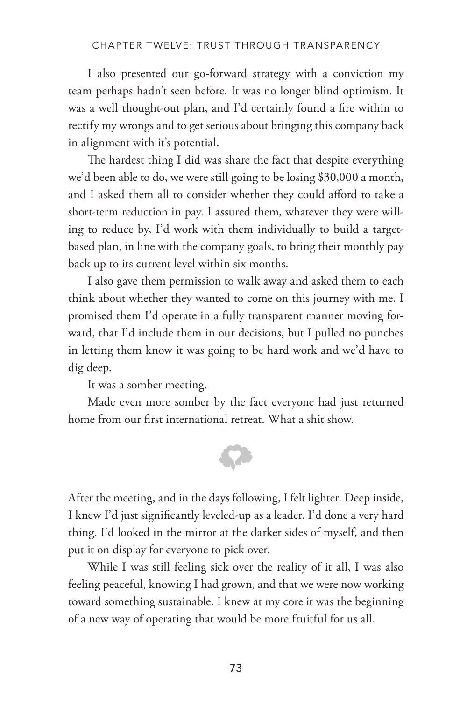### Chapter Twelve: Trust through transparency

I also presented our go-forward strategy with a conviction my team perhaps hadn't seen before. It was no longer blind optimism. It was a well thought-out plan, and I'd certainly found a fire within to rectify my wrongs and to get serious about bringing this company back in alignment with it's potential.

The hardest thing I did was share the fact that despite everything we'd been able to do, we were still going to be losing \$30,000 a month, and I asked them all to consider whether they could afford to take a short-term reduction in pay. I assured them, whatever they were willing to reduce by, I'd work with them individually to build a targetbased plan, in line with the company goals, to bring their monthly pay back up to its current level within six months.

I also gave them permission to walk away and asked them to each think about whether they wanted to come on this journey with me. I promised them I'd operate in a fully transparent manner moving forward, that I'd include them in our decisions, but I pulled no punches in letting them know it was going to be hard work and we'd have to dig deep.

It was a somber meeting.

Made even more somber by the fact everyone had just returned home from our first international retreat. What a shit show.



After the meeting, and in the days following, I felt lighter. Deep inside, I knew I'd just significantly leveled-up as a leader. I'd done a very hard thing. I'd looked in the mirror at the darker sides of myself, and then put it on display for everyone to pick over.

While I was still feeling sick over the reality of it all, I was also feeling peaceful, knowing I had grown, and that we were now working toward something sustainable. I knew at my core it was the beginning of a new way of operating that would be more fruitful for us all.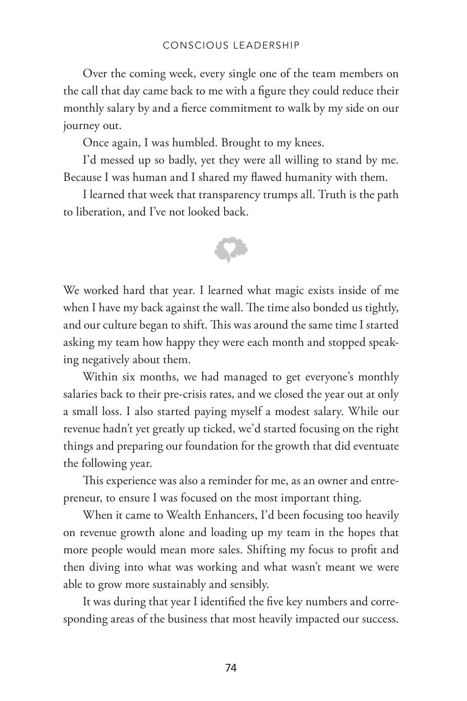Over the coming week, every single one of the team members on the call that day came back to me with a figure they could reduce their monthly salary by and a fierce commitment to walk by my side on our journey out.

Once again, I was humbled. Brought to my knees.

I'd messed up so badly, yet they were all willing to stand by me. Because I was human and I shared my flawed humanity with them.

I learned that week that transparency trumps all. Truth is the path to liberation, and I've not looked back.



We worked hard that year. I learned what magic exists inside of me when I have my back against the wall. The time also bonded us tightly, and our culture began to shift. This was around the same time I started asking my team how happy they were each month and stopped speaking negatively about them.

Within six months, we had managed to get everyone's monthly salaries back to their pre-crisis rates, and we closed the year out at only a small loss. I also started paying myself a modest salary. While our revenue hadn't yet greatly up ticked, we'd started focusing on the right things and preparing our foundation for the growth that did eventuate the following year.

This experience was also a reminder for me, as an owner and entrepreneur, to ensure I was focused on the most important thing.

When it came to Wealth Enhancers, I'd been focusing too heavily on revenue growth alone and loading up my team in the hopes that more people would mean more sales. Shifting my focus to profit and then diving into what was working and what wasn't meant we were able to grow more sustainably and sensibly.

It was during that year I identified the five key numbers and corresponding areas of the business that most heavily impacted our success.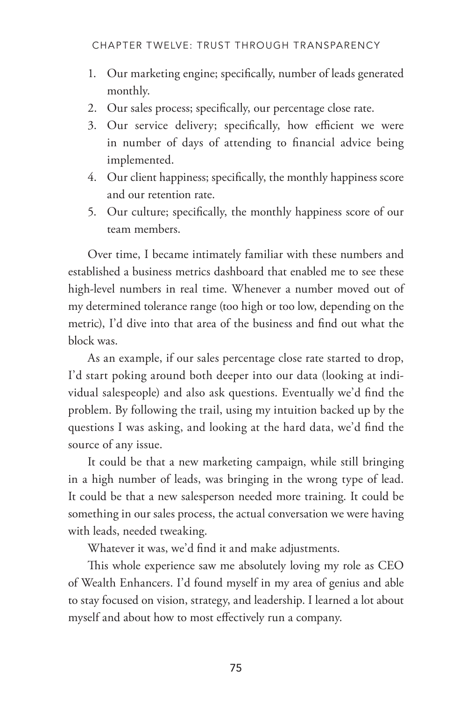- 1. Our marketing engine; specifically, number of leads generated monthly.
- 2. Our sales process; specifically, our percentage close rate.
- 3. Our service delivery; specifically, how efficient we were in number of days of attending to financial advice being implemented.
- 4. Our client happiness; specifically, the monthly happiness score and our retention rate.
- 5. Our culture; specifically, the monthly happiness score of our team members.

Over time, I became intimately familiar with these numbers and established a business metrics dashboard that enabled me to see these high-level numbers in real time. Whenever a number moved out of my determined tolerance range (too high or too low, depending on the metric), I'd dive into that area of the business and find out what the block was.

As an example, if our sales percentage close rate started to drop, I'd start poking around both deeper into our data (looking at individual salespeople) and also ask questions. Eventually we'd find the problem. By following the trail, using my intuition backed up by the questions I was asking, and looking at the hard data, we'd find the source of any issue.

It could be that a new marketing campaign, while still bringing in a high number of leads, was bringing in the wrong type of lead. It could be that a new salesperson needed more training. It could be something in our sales process, the actual conversation we were having with leads, needed tweaking.

Whatever it was, we'd find it and make adjustments.

This whole experience saw me absolutely loving my role as CEO of Wealth Enhancers. I'd found myself in my area of genius and able to stay focused on vision, strategy, and leadership. I learned a lot about myself and about how to most effectively run a company.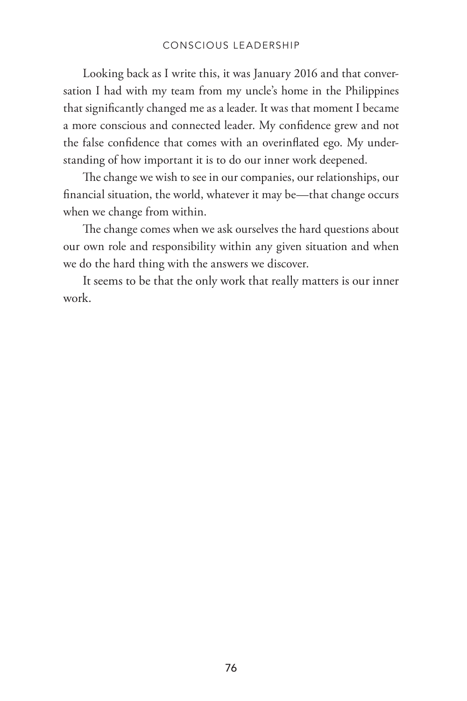### CONSCIOUS LEADERSHIP

Looking back as I write this, it was January 2016 and that conversation I had with my team from my uncle's home in the Philippines that significantly changed me as a leader. It was that moment I became a more conscious and connected leader. My confidence grew and not the false confidence that comes with an overinflated ego. My understanding of how important it is to do our inner work deepened.

The change we wish to see in our companies, our relationships, our financial situation, the world, whatever it may be—that change occurs when we change from within.

The change comes when we ask ourselves the hard questions about our own role and responsibility within any given situation and when we do the hard thing with the answers we discover.

It seems to be that the only work that really matters is our inner work.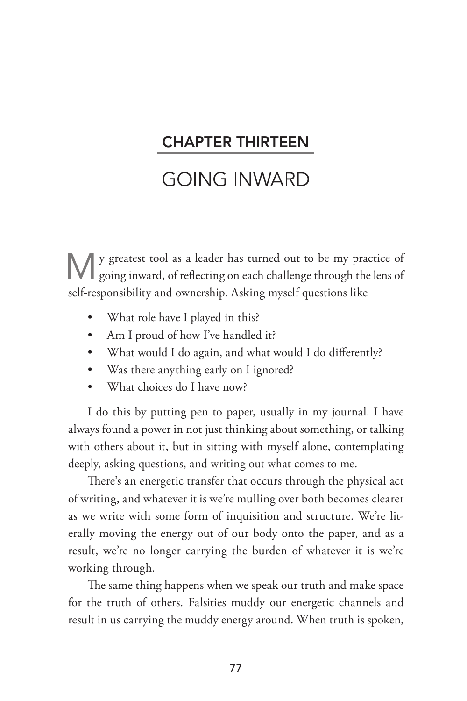## CHAPTER THIRTEEN

# GOING INWARD

My greatest tool as a leader has turned out to be my practice of going inward, of reflecting on each challenge through the lens of self-responsibility and ownership. Asking myself questions like

- What role have I played in this?
- Am I proud of how I've handled it?
- What would I do again, and what would I do differently?
- Was there anything early on I ignored?
- What choices do I have now?

I do this by putting pen to paper, usually in my journal. I have always found a power in not just thinking about something, or talking with others about it, but in sitting with myself alone, contemplating deeply, asking questions, and writing out what comes to me.

There's an energetic transfer that occurs through the physical act of writing, and whatever it is we're mulling over both becomes clearer as we write with some form of inquisition and structure. We're literally moving the energy out of our body onto the paper, and as a result, we're no longer carrying the burden of whatever it is we're working through.

The same thing happens when we speak our truth and make space for the truth of others. Falsities muddy our energetic channels and result in us carrying the muddy energy around. When truth is spoken,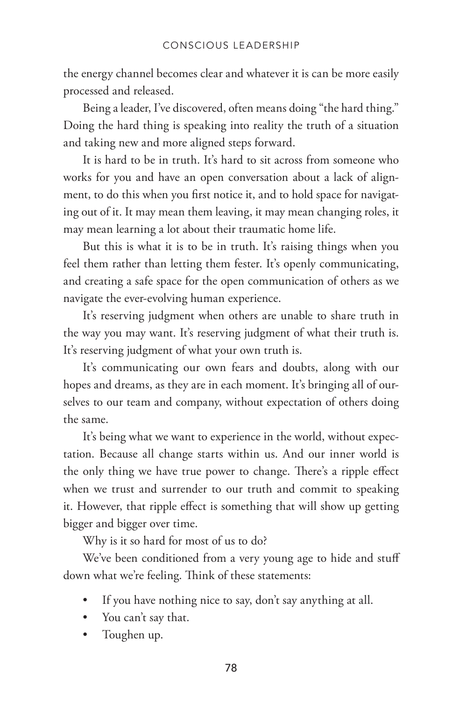the energy channel becomes clear and whatever it is can be more easily processed and released.

Being a leader, I've discovered, often means doing "the hard thing." Doing the hard thing is speaking into reality the truth of a situation and taking new and more aligned steps forward.

It is hard to be in truth. It's hard to sit across from someone who works for you and have an open conversation about a lack of alignment, to do this when you first notice it, and to hold space for navigating out of it. It may mean them leaving, it may mean changing roles, it may mean learning a lot about their traumatic home life.

But this is what it is to be in truth. It's raising things when you feel them rather than letting them fester. It's openly communicating, and creating a safe space for the open communication of others as we navigate the ever-evolving human experience.

It's reserving judgment when others are unable to share truth in the way you may want. It's reserving judgment of what their truth is. It's reserving judgment of what your own truth is.

It's communicating our own fears and doubts, along with our hopes and dreams, as they are in each moment. It's bringing all of ourselves to our team and company, without expectation of others doing the same.

It's being what we want to experience in the world, without expectation. Because all change starts within us. And our inner world is the only thing we have true power to change. There's a ripple effect when we trust and surrender to our truth and commit to speaking it. However, that ripple effect is something that will show up getting bigger and bigger over time.

Why is it so hard for most of us to do?

We've been conditioned from a very young age to hide and stuff down what we're feeling. Think of these statements:

- If you have nothing nice to say, don't say anything at all.
- You can't say that.
- Toughen up.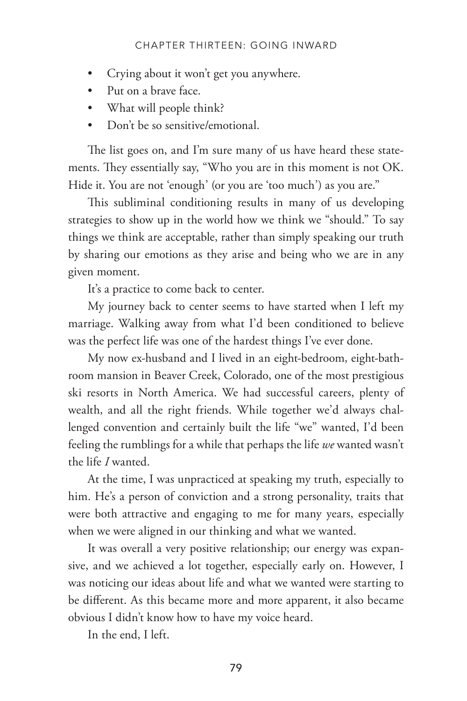- Crying about it won't get you anywhere.
- Put on a brave face.
- What will people think?
- Don't be so sensitive/emotional.

The list goes on, and I'm sure many of us have heard these statements. They essentially say, "Who you are in this moment is not OK. Hide it. You are not 'enough' (or you are 'too much') as you are."

This subliminal conditioning results in many of us developing strategies to show up in the world how we think we "should." To say things we think are acceptable, rather than simply speaking our truth by sharing our emotions as they arise and being who we are in any given moment.

It's a practice to come back to center.

My journey back to center seems to have started when I left my marriage. Walking away from what I'd been conditioned to believe was the perfect life was one of the hardest things I've ever done.

My now ex-husband and I lived in an eight-bedroom, eight-bathroom mansion in Beaver Creek, Colorado, one of the most prestigious ski resorts in North America. We had successful careers, plenty of wealth, and all the right friends. While together we'd always challenged convention and certainly built the life "we" wanted, I'd been feeling the rumblings for a while that perhaps the life *we* wanted wasn't the life *I* wanted.

At the time, I was unpracticed at speaking my truth, especially to him. He's a person of conviction and a strong personality, traits that were both attractive and engaging to me for many years, especially when we were aligned in our thinking and what we wanted.

It was overall a very positive relationship; our energy was expansive, and we achieved a lot together, especially early on. However, I was noticing our ideas about life and what we wanted were starting to be different. As this became more and more apparent, it also became obvious I didn't know how to have my voice heard.

In the end, I left.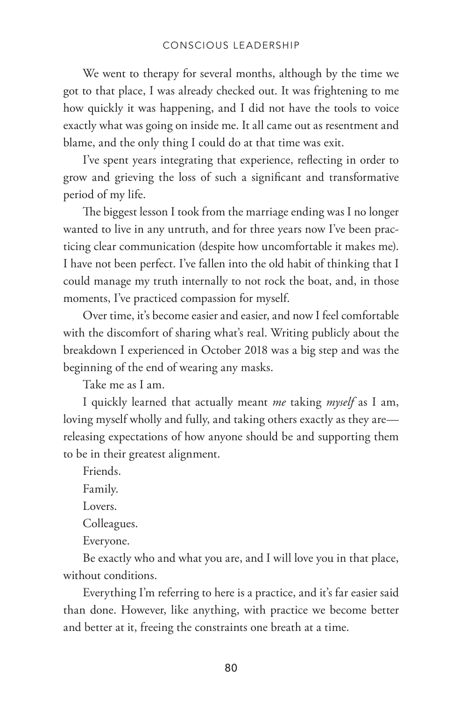### CONSCIOUS LEADERSHIP

We went to therapy for several months, although by the time we got to that place, I was already checked out. It was frightening to me how quickly it was happening, and I did not have the tools to voice exactly what was going on inside me. It all came out as resentment and blame, and the only thing I could do at that time was exit.

I've spent years integrating that experience, reflecting in order to grow and grieving the loss of such a significant and transformative period of my life.

The biggest lesson I took from the marriage ending was I no longer wanted to live in any untruth, and for three years now I've been practicing clear communication (despite how uncomfortable it makes me). I have not been perfect. I've fallen into the old habit of thinking that I could manage my truth internally to not rock the boat, and, in those moments, I've practiced compassion for myself.

Over time, it's become easier and easier, and now I feel comfortable with the discomfort of sharing what's real. Writing publicly about the breakdown I experienced in October 2018 was a big step and was the beginning of the end of wearing any masks.

Take me as I am.

I quickly learned that actually meant *me* taking *myself* as I am, loving myself wholly and fully, and taking others exactly as they are releasing expectations of how anyone should be and supporting them to be in their greatest alignment.

Friends.

Family.

Lovers.

Colleagues.

Everyone.

Be exactly who and what you are, and I will love you in that place, without conditions.

Everything I'm referring to here is a practice, and it's far easier said than done. However, like anything, with practice we become better and better at it, freeing the constraints one breath at a time.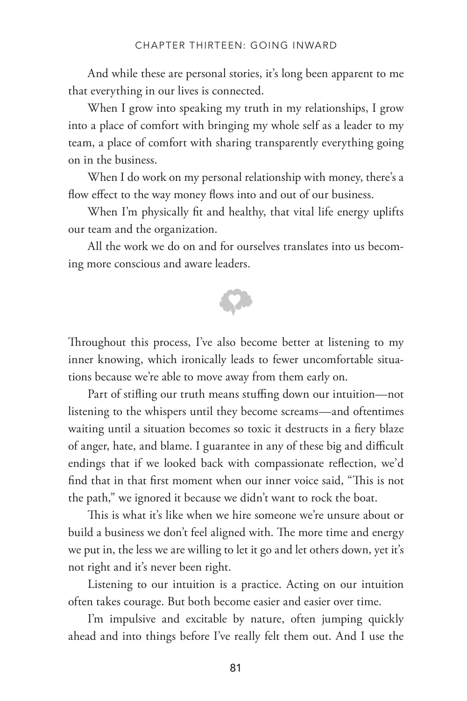And while these are personal stories, it's long been apparent to me that everything in our lives is connected.

When I grow into speaking my truth in my relationships, I grow into a place of comfort with bringing my whole self as a leader to my team, a place of comfort with sharing transparently everything going on in the business.

When I do work on my personal relationship with money, there's a flow effect to the way money flows into and out of our business.

When I'm physically fit and healthy, that vital life energy uplifts our team and the organization.

All the work we do on and for ourselves translates into us becoming more conscious and aware leaders.

Throughout this process, I've also become better at listening to my inner knowing, which ironically leads to fewer uncomfortable situations because we're able to move away from them early on.

Part of stifling our truth means stuffing down our intuition—not listening to the whispers until they become screams—and oftentimes waiting until a situation becomes so toxic it destructs in a fiery blaze of anger, hate, and blame. I guarantee in any of these big and difficult endings that if we looked back with compassionate reflection, we'd find that in that first moment when our inner voice said, "This is not the path," we ignored it because we didn't want to rock the boat.

This is what it's like when we hire someone we're unsure about or build a business we don't feel aligned with. The more time and energy we put in, the less we are willing to let it go and let others down, yet it's not right and it's never been right.

Listening to our intuition is a practice. Acting on our intuition often takes courage. But both become easier and easier over time.

I'm impulsive and excitable by nature, often jumping quickly ahead and into things before I've really felt them out. And I use the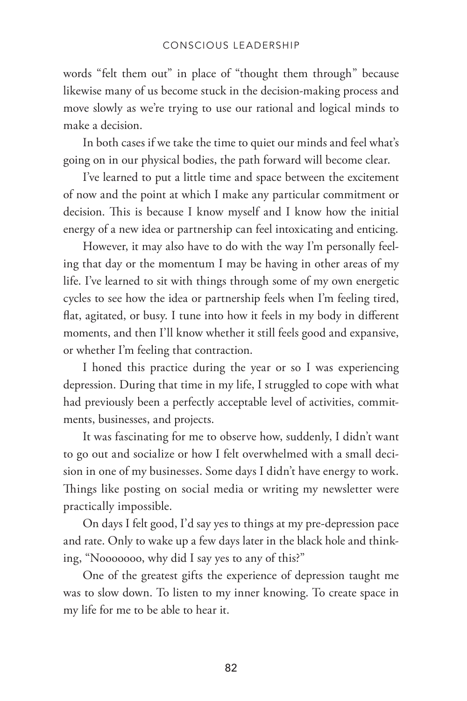words "felt them out" in place of "thought them through" because likewise many of us become stuck in the decision-making process and move slowly as we're trying to use our rational and logical minds to make a decision.

In both cases if we take the time to quiet our minds and feel what's going on in our physical bodies, the path forward will become clear.

I've learned to put a little time and space between the excitement of now and the point at which I make any particular commitment or decision. This is because I know myself and I know how the initial energy of a new idea or partnership can feel intoxicating and enticing.

However, it may also have to do with the way I'm personally feeling that day or the momentum I may be having in other areas of my life. I've learned to sit with things through some of my own energetic cycles to see how the idea or partnership feels when I'm feeling tired, flat, agitated, or busy. I tune into how it feels in my body in different moments, and then I'll know whether it still feels good and expansive, or whether I'm feeling that contraction.

I honed this practice during the year or so I was experiencing depression. During that time in my life, I struggled to cope with what had previously been a perfectly acceptable level of activities, commitments, businesses, and projects.

It was fascinating for me to observe how, suddenly, I didn't want to go out and socialize or how I felt overwhelmed with a small decision in one of my businesses. Some days I didn't have energy to work. Things like posting on social media or writing my newsletter were practically impossible.

On days I felt good, I'd say yes to things at my pre-depression pace and rate. Only to wake up a few days later in the black hole and thinking, "Nooooooo, why did I say yes to any of this?"

One of the greatest gifts the experience of depression taught me was to slow down. To listen to my inner knowing. To create space in my life for me to be able to hear it.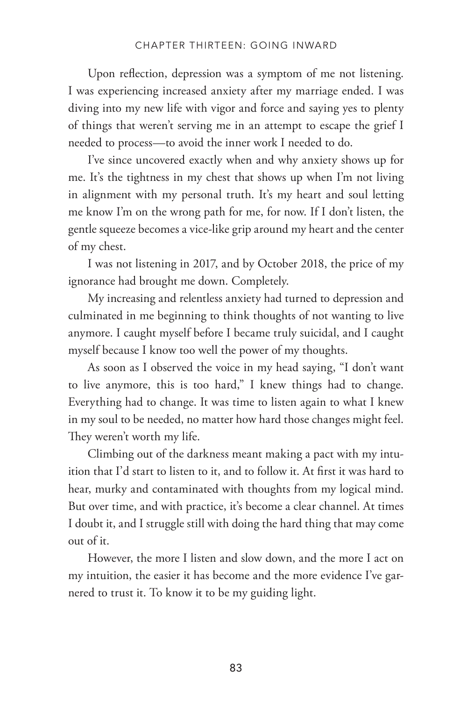Upon reflection, depression was a symptom of me not listening. I was experiencing increased anxiety after my marriage ended. I was diving into my new life with vigor and force and saying yes to plenty of things that weren't serving me in an attempt to escape the grief I needed to process—to avoid the inner work I needed to do.

I've since uncovered exactly when and why anxiety shows up for me. It's the tightness in my chest that shows up when I'm not living in alignment with my personal truth. It's my heart and soul letting me know I'm on the wrong path for me, for now. If I don't listen, the gentle squeeze becomes a vice-like grip around my heart and the center of my chest.

I was not listening in 2017, and by October 2018, the price of my ignorance had brought me down. Completely.

My increasing and relentless anxiety had turned to depression and culminated in me beginning to think thoughts of not wanting to live anymore. I caught myself before I became truly suicidal, and I caught myself because I know too well the power of my thoughts.

As soon as I observed the voice in my head saying, "I don't want to live anymore, this is too hard," I knew things had to change. Everything had to change. It was time to listen again to what I knew in my soul to be needed, no matter how hard those changes might feel. They weren't worth my life.

Climbing out of the darkness meant making a pact with my intuition that I'd start to listen to it, and to follow it. At first it was hard to hear, murky and contaminated with thoughts from my logical mind. But over time, and with practice, it's become a clear channel. At times I doubt it, and I struggle still with doing the hard thing that may come out of it.

However, the more I listen and slow down, and the more I act on my intuition, the easier it has become and the more evidence I've garnered to trust it. To know it to be my guiding light.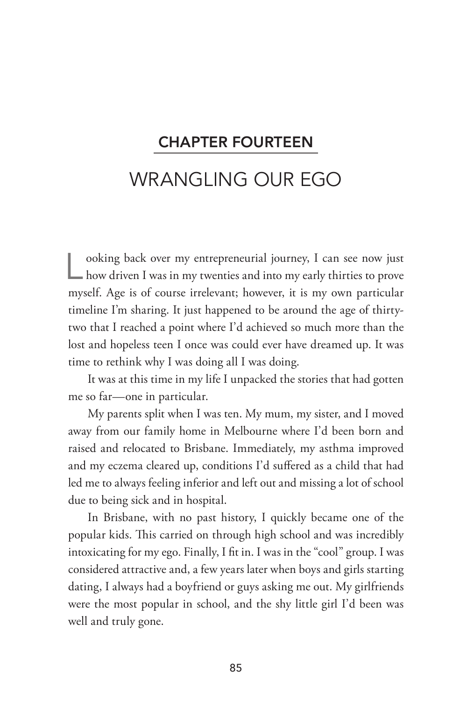## CHAPTER FOURTEEN

# WRANGLING OUR EGO

Looking back over my entrepreneurial journey, I can see now just how driven I was in my twenties and into my early thirties to prove myself. Age is of course irrelevant; however, it is my own particular timeline I'm sharing. It just happened to be around the age of thirtytwo that I reached a point where I'd achieved so much more than the lost and hopeless teen I once was could ever have dreamed up. It was time to rethink why I was doing all I was doing.

It was at this time in my life I unpacked the stories that had gotten me so far—one in particular.

My parents split when I was ten. My mum, my sister, and I moved away from our family home in Melbourne where I'd been born and raised and relocated to Brisbane. Immediately, my asthma improved and my eczema cleared up, conditions I'd suffered as a child that had led me to always feeling inferior and left out and missing a lot of school due to being sick and in hospital.

In Brisbane, with no past history, I quickly became one of the popular kids. This carried on through high school and was incredibly intoxicating for my ego. Finally, I fit in. I was in the "cool" group. I was considered attractive and, a few years later when boys and girls starting dating, I always had a boyfriend or guys asking me out. My girlfriends were the most popular in school, and the shy little girl I'd been was well and truly gone.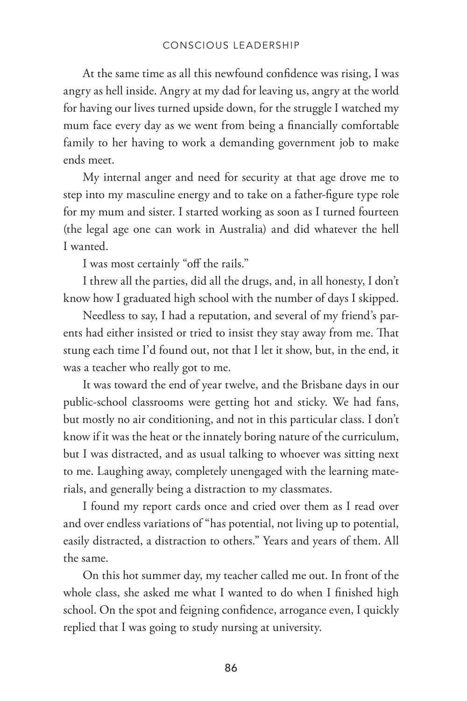### CONSCIOUS LEADERSHIP

At the same time as all this newfound confidence was rising, I was angry as hell inside. Angry at my dad for leaving us, angry at the world for having our lives turned upside down, for the struggle I watched my mum face every day as we went from being a financially comfortable family to her having to work a demanding government job to make ends meet.

My internal anger and need for security at that age drove me to step into my masculine energy and to take on a father-figure type role for my mum and sister. I started working as soon as I turned fourteen (the legal age one can work in Australia) and did whatever the hell I wanted.

I was most certainly "off the rails."

I threw all the parties, did all the drugs, and, in all honesty, I don't know how I graduated high school with the number of days I skipped.

Needless to say, I had a reputation, and several of my friend's parents had either insisted or tried to insist they stay away from me. That stung each time I'd found out, not that I let it show, but, in the end, it was a teacher who really got to me.

It was toward the end of year twelve, and the Brisbane days in our public-school classrooms were getting hot and sticky. We had fans, but mostly no air conditioning, and not in this particular class. I don't know if it was the heat or the innately boring nature of the curriculum, but I was distracted, and as usual talking to whoever was sitting next to me. Laughing away, completely unengaged with the learning materials, and generally being a distraction to my classmates.

I found my report cards once and cried over them as I read over and over endless variations of "has potential, not living up to potential, easily distracted, a distraction to others." Years and years of them. All the same.

On this hot summer day, my teacher called me out. In front of the whole class, she asked me what I wanted to do when I finished high school. On the spot and feigning confidence, arrogance even, I quickly replied that I was going to study nursing at university.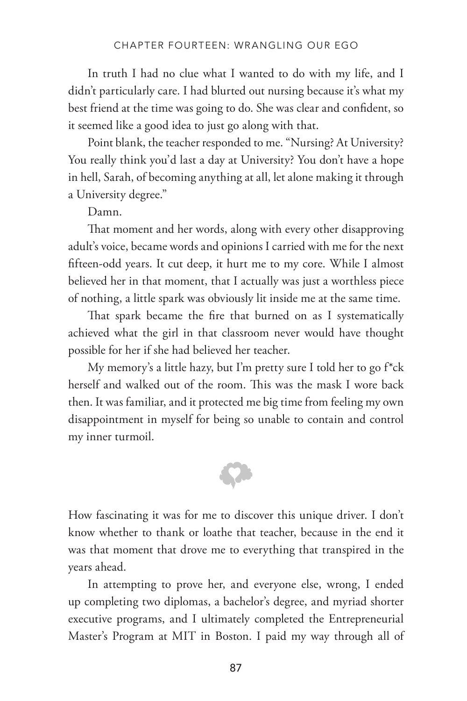In truth I had no clue what I wanted to do with my life, and I didn't particularly care. I had blurted out nursing because it's what my best friend at the time was going to do. She was clear and confident, so it seemed like a good idea to just go along with that.

Point blank, the teacher responded to me. "Nursing? At University? You really think you'd last a day at University? You don't have a hope in hell, Sarah, of becoming anything at all, let alone making it through a University degree."

Damn.

That moment and her words, along with every other disapproving adult's voice, became words and opinions I carried with me for the next fifteen-odd years. It cut deep, it hurt me to my core. While I almost believed her in that moment, that I actually was just a worthless piece of nothing, a little spark was obviously lit inside me at the same time.

That spark became the fire that burned on as I systematically achieved what the girl in that classroom never would have thought possible for her if she had believed her teacher.

My memory's a little hazy, but I'm pretty sure I told her to go f\*ck herself and walked out of the room. This was the mask I wore back then. It was familiar, and it protected me big time from feeling my own disappointment in myself for being so unable to contain and control my inner turmoil.



How fascinating it was for me to discover this unique driver. I don't know whether to thank or loathe that teacher, because in the end it was that moment that drove me to everything that transpired in the years ahead.

In attempting to prove her, and everyone else, wrong, I ended up completing two diplomas, a bachelor's degree, and myriad shorter executive programs, and I ultimately completed the Entrepreneurial Master's Program at MIT in Boston. I paid my way through all of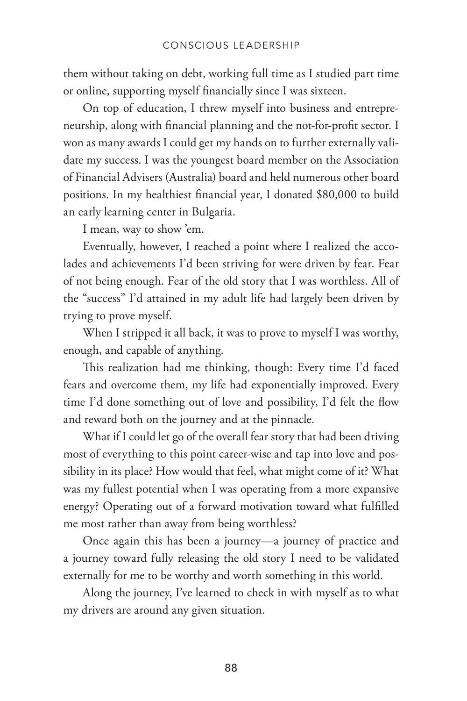them without taking on debt, working full time as I studied part time or online, supporting myself financially since I was sixteen.

On top of education, I threw myself into business and entrepreneurship, along with financial planning and the not-for-profit sector. I won as many awards I could get my hands on to further externally validate my success. I was the youngest board member on the Association of Financial Advisers (Australia) board and held numerous other board positions. In my healthiest financial year, I donated \$80,000 to build an early learning center in Bulgaria.

I mean, way to show 'em.

Eventually, however, I reached a point where I realized the accolades and achievements I'd been striving for were driven by fear. Fear of not being enough. Fear of the old story that I was worthless. All of the "success" I'd attained in my adult life had largely been driven by trying to prove myself.

When I stripped it all back, it was to prove to myself I was worthy, enough, and capable of anything.

This realization had me thinking, though: Every time I'd faced fears and overcome them, my life had exponentially improved. Every time I'd done something out of love and possibility, I'd felt the flow and reward both on the journey and at the pinnacle.

What if I could let go of the overall fear story that had been driving most of everything to this point career-wise and tap into love and possibility in its place? How would that feel, what might come of it? What was my fullest potential when I was operating from a more expansive energy? Operating out of a forward motivation toward what fulfilled me most rather than away from being worthless?

Once again this has been a journey—a journey of practice and a journey toward fully releasing the old story I need to be validated externally for me to be worthy and worth something in this world.

Along the journey, I've learned to check in with myself as to what my drivers are around any given situation.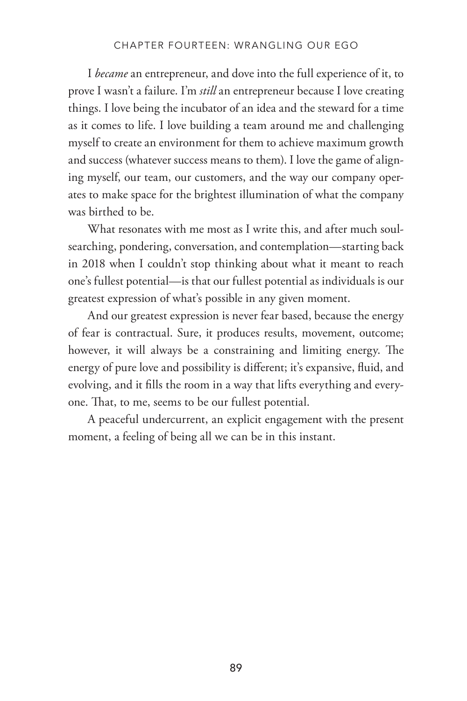### Chapter Fourteen: Wrangling our ego

I *became* an entrepreneur, and dove into the full experience of it, to prove I wasn't a failure. I'm *still* an entrepreneur because I love creating things. I love being the incubator of an idea and the steward for a time as it comes to life. I love building a team around me and challenging myself to create an environment for them to achieve maximum growth and success (whatever success means to them). I love the game of aligning myself, our team, our customers, and the way our company operates to make space for the brightest illumination of what the company was birthed to be.

What resonates with me most as I write this, and after much soulsearching, pondering, conversation, and contemplation—starting back in 2018 when I couldn't stop thinking about what it meant to reach one's fullest potential—is that our fullest potential as individuals is our greatest expression of what's possible in any given moment.

And our greatest expression is never fear based, because the energy of fear is contractual. Sure, it produces results, movement, outcome; however, it will always be a constraining and limiting energy. The energy of pure love and possibility is different; it's expansive, fluid, and evolving, and it fills the room in a way that lifts everything and everyone. That, to me, seems to be our fullest potential.

A peaceful undercurrent, an explicit engagement with the present moment, a feeling of being all we can be in this instant.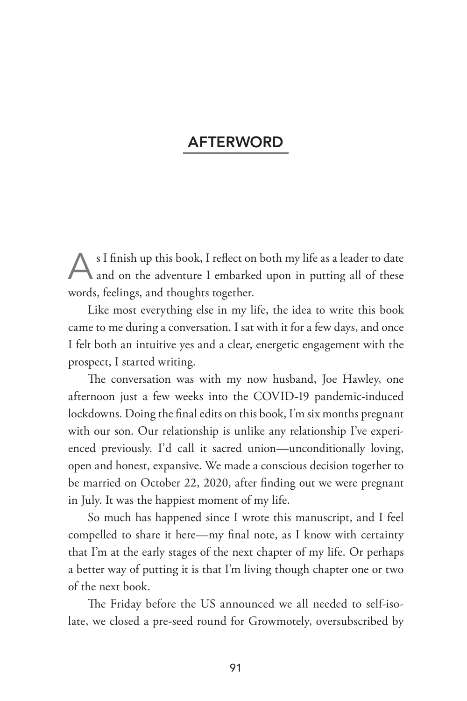As I finish up this book, I reflect on both my life as a leader to date and on the adventure I embarked upon in putting all of these words, feelings, and thoughts together.

Like most everything else in my life, the idea to write this book came to me during a conversation. I sat with it for a few days, and once I felt both an intuitive yes and a clear, energetic engagement with the prospect, I started writing.

The conversation was with my now husband, Joe Hawley, one afternoon just a few weeks into the COVID-19 pandemic-induced lockdowns. Doing the final edits on this book, I'm six months pregnant with our son. Our relationship is unlike any relationship I've experienced previously. I'd call it sacred union—unconditionally loving, open and honest, expansive. We made a conscious decision together to be married on October 22, 2020, after finding out we were pregnant in July. It was the happiest moment of my life.

So much has happened since I wrote this manuscript, and I feel compelled to share it here—my final note, as I know with certainty that I'm at the early stages of the next chapter of my life. Or perhaps a better way of putting it is that I'm living though chapter one or two of the next book.

The Friday before the US announced we all needed to self-isolate, we closed a pre-seed round for Growmotely, oversubscribed by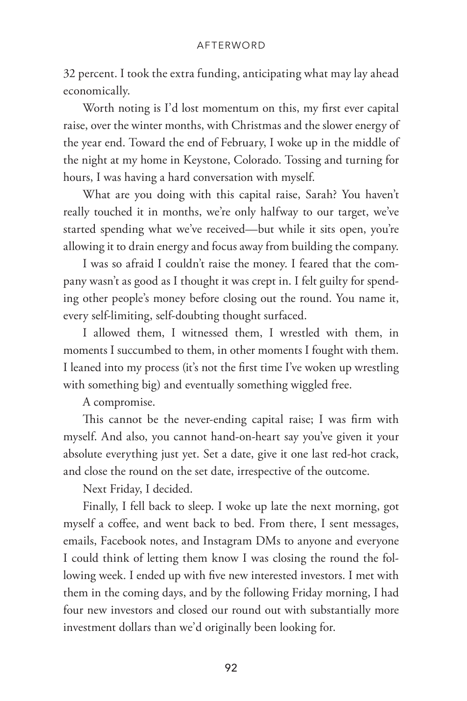32 percent. I took the extra funding, anticipating what may lay ahead economically.

Worth noting is I'd lost momentum on this, my first ever capital raise, over the winter months, with Christmas and the slower energy of the year end. Toward the end of February, I woke up in the middle of the night at my home in Keystone, Colorado. Tossing and turning for hours, I was having a hard conversation with myself.

What are you doing with this capital raise, Sarah? You haven't really touched it in months, we're only halfway to our target, we've started spending what we've received—but while it sits open, you're allowing it to drain energy and focus away from building the company.

I was so afraid I couldn't raise the money. I feared that the company wasn't as good as I thought it was crept in. I felt guilty for spending other people's money before closing out the round. You name it, every self-limiting, self-doubting thought surfaced.

I allowed them, I witnessed them, I wrestled with them, in moments I succumbed to them, in other moments I fought with them. I leaned into my process (it's not the first time I've woken up wrestling with something big) and eventually something wiggled free.

A compromise.

This cannot be the never-ending capital raise; I was firm with myself. And also, you cannot hand-on-heart say you've given it your absolute everything just yet. Set a date, give it one last red-hot crack, and close the round on the set date, irrespective of the outcome.

Next Friday, I decided.

Finally, I fell back to sleep. I woke up late the next morning, got myself a coffee, and went back to bed. From there, I sent messages, emails, Facebook notes, and Instagram DMs to anyone and everyone I could think of letting them know I was closing the round the following week. I ended up with five new interested investors. I met with them in the coming days, and by the following Friday morning, I had four new investors and closed our round out with substantially more investment dollars than we'd originally been looking for.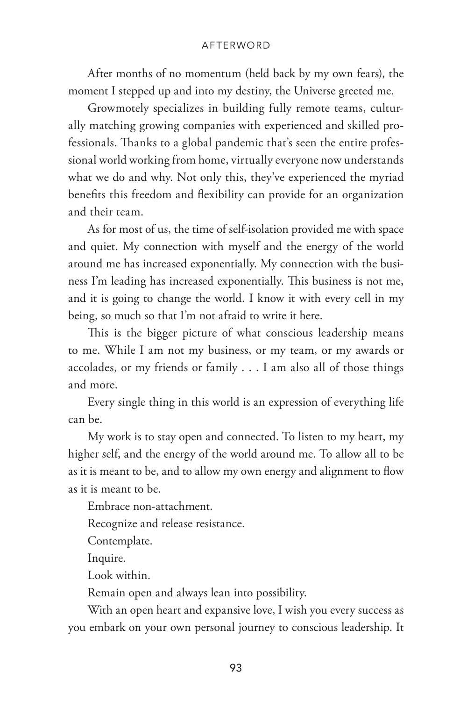After months of no momentum (held back by my own fears), the moment I stepped up and into my destiny, the Universe greeted me.

Growmotely specializes in building fully remote teams, culturally matching growing companies with experienced and skilled professionals. Thanks to a global pandemic that's seen the entire professional world working from home, virtually everyone now understands what we do and why. Not only this, they've experienced the myriad benefits this freedom and flexibility can provide for an organization and their team.

As for most of us, the time of self-isolation provided me with space and quiet. My connection with myself and the energy of the world around me has increased exponentially. My connection with the business I'm leading has increased exponentially. This business is not me, and it is going to change the world. I know it with every cell in my being, so much so that I'm not afraid to write it here.

This is the bigger picture of what conscious leadership means to me. While I am not my business, or my team, or my awards or accolades, or my friends or family . . . I am also all of those things and more.

Every single thing in this world is an expression of everything life can be.

My work is to stay open and connected. To listen to my heart, my higher self, and the energy of the world around me. To allow all to be as it is meant to be, and to allow my own energy and alignment to flow as it is meant to be.

Embrace non-attachment.

Recognize and release resistance.

Contemplate.

Inquire.

Look within.

Remain open and always lean into possibility.

With an open heart and expansive love, I wish you every success as you embark on your own personal journey to conscious leadership. It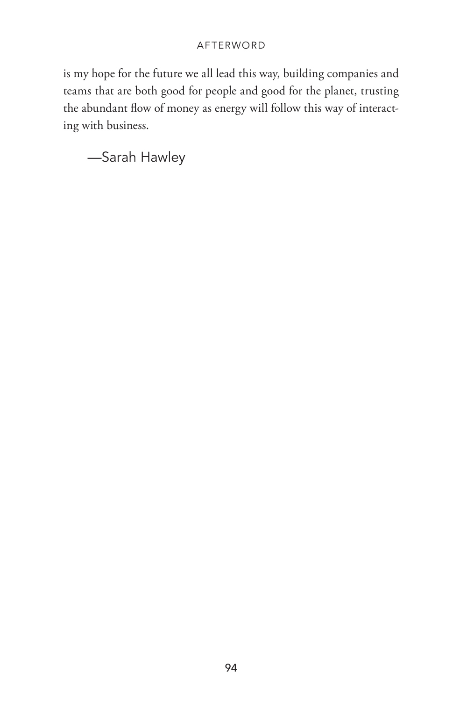is my hope for the future we all lead this way, building companies and teams that are both good for people and good for the planet, trusting the abundant flow of money as energy will follow this way of interacting with business.

—Sarah Hawley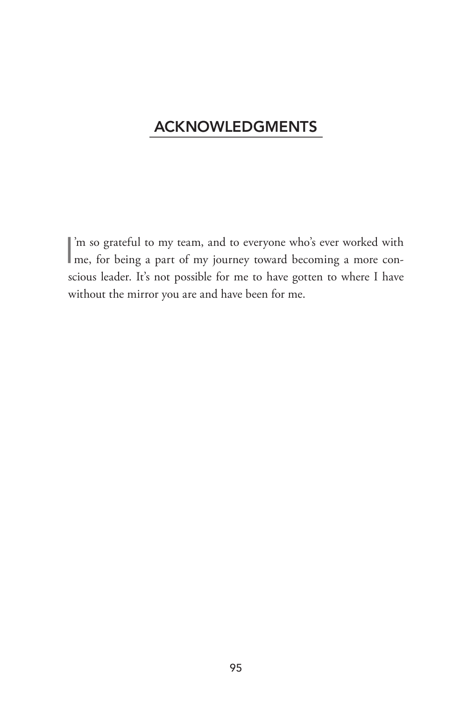# ACKNOWLEDGMENTS

I'm so grateful to my team, and to everyone who's ever worked with me, for being a part of my journey toward becoming a more con-'m so grateful to my team, and to everyone who's ever worked with scious leader. It's not possible for me to have gotten to where I have without the mirror you are and have been for me.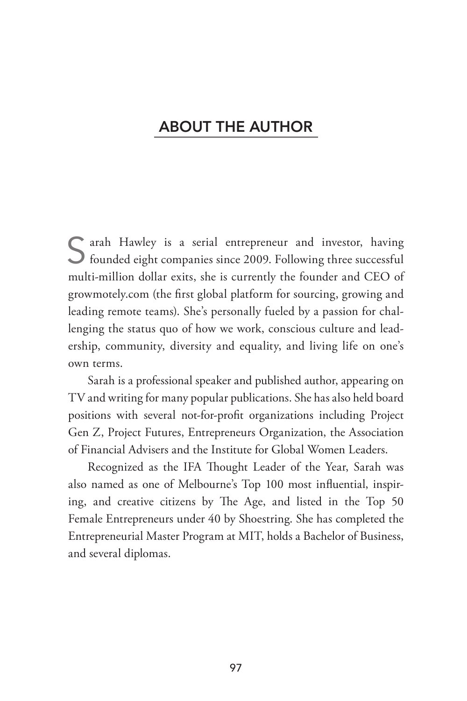## ABOUT THE AUTHOR

Sarah Hawley is a serial entrepreneur and investor, having founded eight companies since 2009. Following three successful multi-million dollar exits, she is currently the founder and CEO of growmotely.com (the first global platform for sourcing, growing and leading remote teams). She's personally fueled by a passion for challenging the status quo of how we work, conscious culture and leadership, community, diversity and equality, and living life on one's own terms.

Sarah is a professional speaker and published author, appearing on TV and writing for many popular publications. She has also held board positions with several not-for-profit organizations including Project Gen Z, Project Futures, Entrepreneurs Organization, the Association of Financial Advisers and the Institute for Global Women Leaders.

Recognized as the IFA Thought Leader of the Year, Sarah was also named as one of Melbourne's Top 100 most influential, inspiring, and creative citizens by The Age, and listed in the Top 50 Female Entrepreneurs under 40 by Shoestring. She has completed the Entrepreneurial Master Program at MIT, holds a Bachelor of Business, and several diplomas.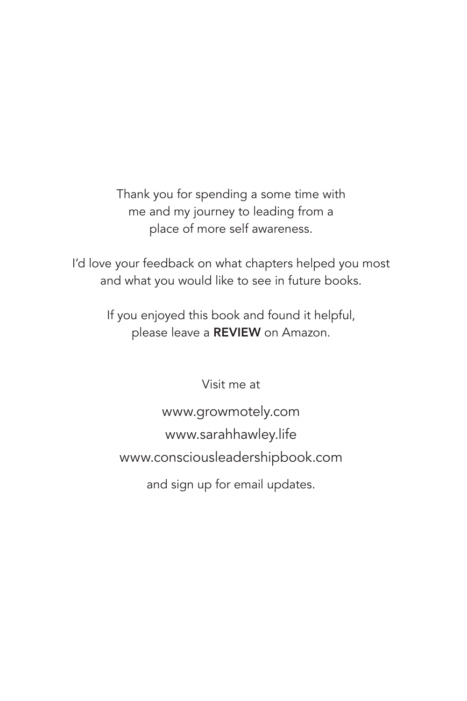Thank you for spending a some time with me and my journey to leading from a place of more self awareness.

I'd love your feedback on what chapters helped you most and what you would like to see in future books.

> If you enjoyed this book and found it helpful, please leave a REVIEW on Amazon.

> > Visit me at

www.growmotely.com www.sarahhawley.life www.consciousleadershipbook.com and sign up for email updates.